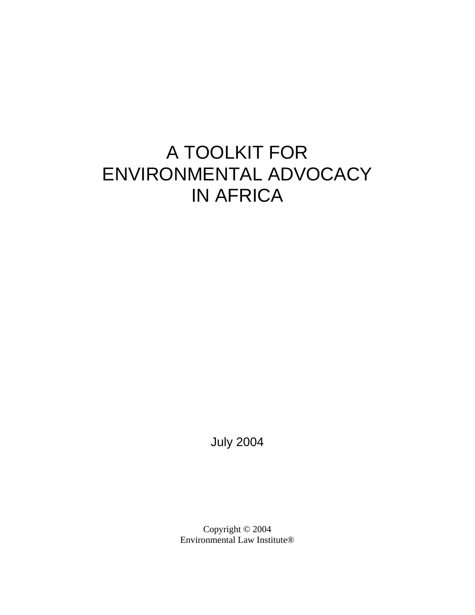# A TOOLKIT FOR ENVIRONMENTAL ADVOCACY IN AFRICA

July 2004

Copyright © 2004 Environmental Law Institute®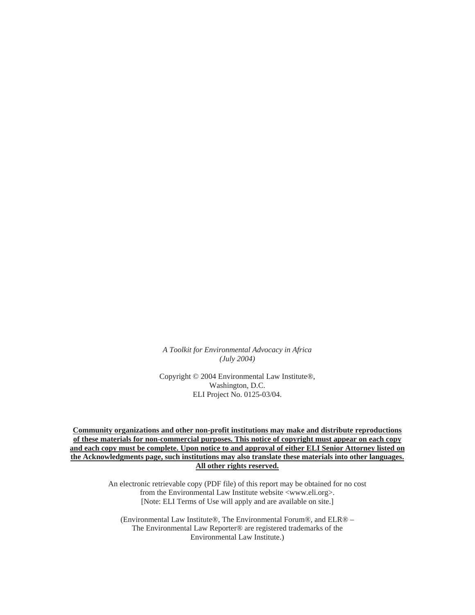*A Toolkit for Environmental Advocacy in Africa (July 2004)* 

Copyright © 2004 Environmental Law Institute®, Washington, D.C. ELI Project No. 0125-03/04.

**Community organizations and other non-profit institutions may make and distribute reproductions of these materials for non-commercial purposes. This notice of copyright must appear on each copy and each copy must be complete. Upon notice to and approval of either ELI Senior Attorney listed on the Acknowledgments page, such institutions may also translate these materials into other languages. All other rights reserved.**

> An electronic retrievable copy (PDF file) of this report may be obtained for no cost from the Environmental Law Institute website <www.eli.org>. [Note: ELI Terms of Use will apply and are available on site.]

(Environmental Law Institute®, The Environmental Forum®, and ELR® – The Environmental Law Reporter® are registered trademarks of the Environmental Law Institute.)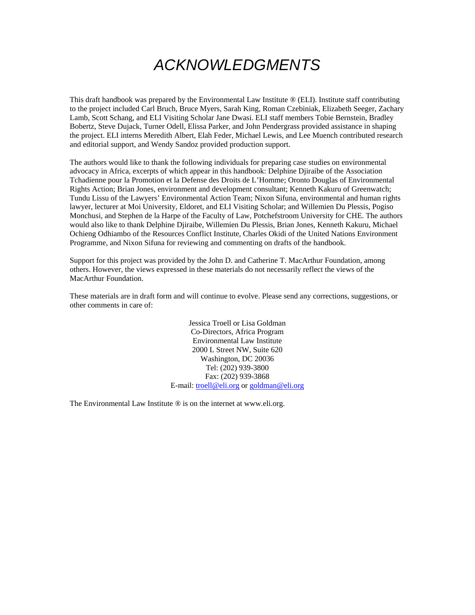## *ACKNOWLEDGMENTS*

This draft handbook was prepared by the Environmental Law Institute ® (ELI). Institute staff contributing to the project included Carl Bruch, Bruce Myers, Sarah King, Roman Czebiniak, Elizabeth Seeger, Zachary Lamb, Scott Schang, and ELI Visiting Scholar Jane Dwasi. ELI staff members Tobie Bernstein, Bradley Bobertz, Steve Dujack, Turner Odell, Elissa Parker, and John Pendergrass provided assistance in shaping the project. ELI interns Meredith Albert, Elah Feder, Michael Lewis, and Lee Muench contributed research and editorial support, and Wendy Sandoz provided production support.

The authors would like to thank the following individuals for preparing case studies on environmental advocacy in Africa, excerpts of which appear in this handbook: Delphine Djiraibe of the Association Tchadienne pour la Promotion et la Defense des Droits de L'Homme; Oronto Douglas of Environmental Rights Action; Brian Jones, environment and development consultant; Kenneth Kakuru of Greenwatch; Tundu Lissu of the Lawyers' Environmental Action Team; Nixon Sifuna, environmental and human rights lawyer, lecturer at Moi University, Eldoret, and ELI Visiting Scholar; and Willemien Du Plessis, Pogiso Monchusi, and Stephen de la Harpe of the Faculty of Law, Potchefstroom University for CHE. The authors would also like to thank Delphine Djiraibe, Willemien Du Plessis, Brian Jones, Kenneth Kakuru, Michael Ochieng Odhiambo of the Resources Conflict Institute, Charles Okidi of the United Nations Environment Programme, and Nixon Sifuna for reviewing and commenting on drafts of the handbook.

Support for this project was provided by the John D. and Catherine T. MacArthur Foundation, among others. However, the views expressed in these materials do not necessarily reflect the views of the MacArthur Foundation.

These materials are in draft form and will continue to evolve. Please send any corrections, suggestions, or other comments in care of:

> Jessica Troell or Lisa Goldman Co-Directors, Africa Program Environmental Law Institute 2000 L Street NW, Suite 620 Washington, DC 20036 Tel: (202) 939-3800 Fax: (202) 939-3868 E-mail: [troell@eli.org](mailto:troell@eli.org) or [goldman@eli.org](mailto:goldman@eli.org)

The Environmental Law Institute ® is on the internet at www.eli.org.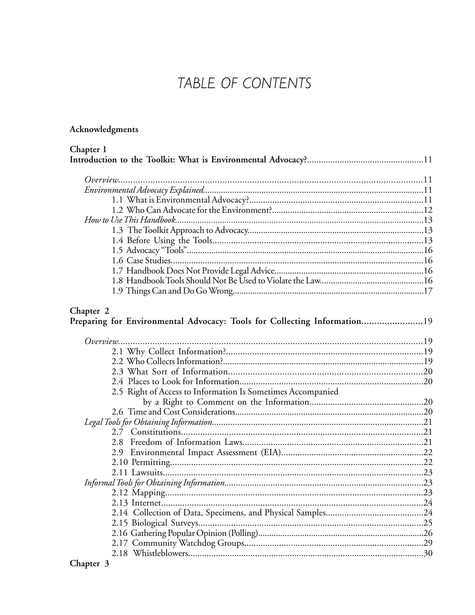## TABLE OF CONTENTS

## $\Large {\bf Acknowledgments}$

| Chapter 1                                                                |  |
|--------------------------------------------------------------------------|--|
|                                                                          |  |
|                                                                          |  |
|                                                                          |  |
|                                                                          |  |
|                                                                          |  |
|                                                                          |  |
|                                                                          |  |
|                                                                          |  |
|                                                                          |  |
|                                                                          |  |
|                                                                          |  |
|                                                                          |  |
|                                                                          |  |
|                                                                          |  |
|                                                                          |  |
| Chapter 2                                                                |  |
| Preparing for Environmental Advocacy: Tools for Collecting Information19 |  |
|                                                                          |  |
|                                                                          |  |
|                                                                          |  |
|                                                                          |  |
|                                                                          |  |
|                                                                          |  |
| 2.5 Right of Access to Information Is Sometimes Accompanied              |  |
|                                                                          |  |
|                                                                          |  |
|                                                                          |  |
|                                                                          |  |
| 2.8                                                                      |  |
| 2.9                                                                      |  |
|                                                                          |  |
|                                                                          |  |
|                                                                          |  |
|                                                                          |  |
|                                                                          |  |
|                                                                          |  |
|                                                                          |  |
|                                                                          |  |
|                                                                          |  |
|                                                                          |  |
| Chapter 3                                                                |  |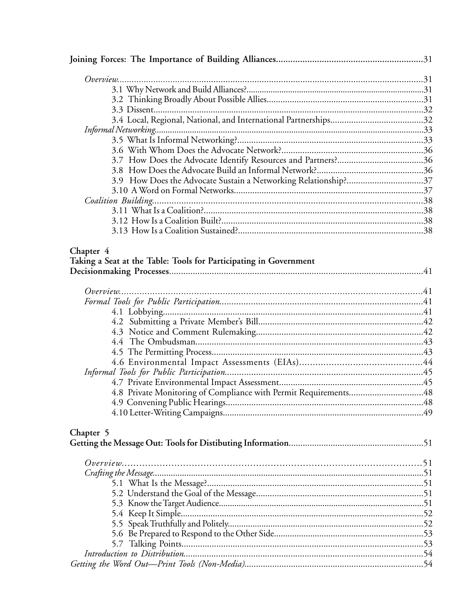| 3.9 How Does the Advocate Sustain a Networking Relationship?37                 |  |
|--------------------------------------------------------------------------------|--|
|                                                                                |  |
|                                                                                |  |
|                                                                                |  |
|                                                                                |  |
|                                                                                |  |
| Chapter 4<br>Taking a Seat at the Table: Tools for Participating in Government |  |
|                                                                                |  |
|                                                                                |  |
|                                                                                |  |
|                                                                                |  |
|                                                                                |  |
|                                                                                |  |
|                                                                                |  |
|                                                                                |  |
|                                                                                |  |
|                                                                                |  |

## Chapter 5

| $Cn$ apter $D$ |  |
|----------------|--|
|                |  |
|                |  |
|                |  |
|                |  |
|                |  |
|                |  |
|                |  |
|                |  |
|                |  |
|                |  |
|                |  |
|                |  |
|                |  |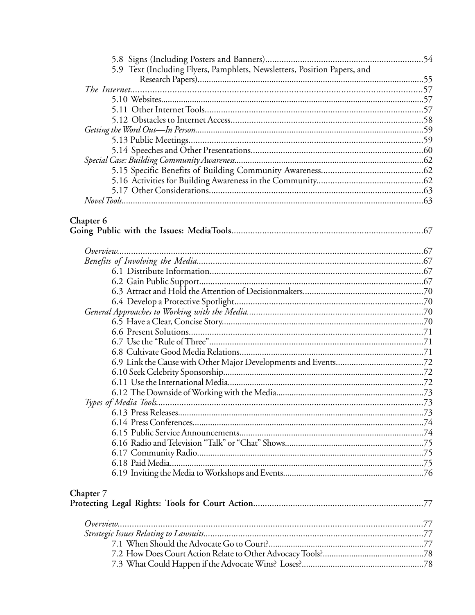| 5.9 Text (Including Flyers, Pamphlets, Newsletters, Position Papers, and |  |
|--------------------------------------------------------------------------|--|
|                                                                          |  |
|                                                                          |  |
|                                                                          |  |
|                                                                          |  |
|                                                                          |  |
|                                                                          |  |
|                                                                          |  |
|                                                                          |  |
|                                                                          |  |
|                                                                          |  |
|                                                                          |  |
|                                                                          |  |
|                                                                          |  |
|                                                                          |  |
| Chapter 6                                                                |  |
|                                                                          |  |
|                                                                          |  |
|                                                                          |  |
|                                                                          |  |
|                                                                          |  |
|                                                                          |  |
|                                                                          |  |
|                                                                          |  |
|                                                                          |  |
|                                                                          |  |
|                                                                          |  |
|                                                                          |  |
|                                                                          |  |
|                                                                          |  |
|                                                                          |  |
|                                                                          |  |
|                                                                          |  |
|                                                                          |  |
|                                                                          |  |
|                                                                          |  |
|                                                                          |  |
|                                                                          |  |
|                                                                          |  |
|                                                                          |  |
| Chapter 7                                                                |  |
|                                                                          |  |
|                                                                          |  |
|                                                                          |  |
|                                                                          |  |
|                                                                          |  |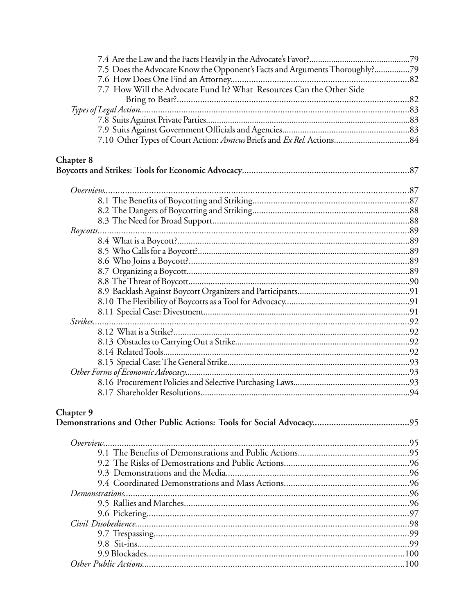| 7.5 Does the Advocate Know the Opponent's Facts and Arguments Thoroughly?79 |  |
|-----------------------------------------------------------------------------|--|
|                                                                             |  |
| 7.7 How Will the Advocate Fund It? What Resources Can the Other Side        |  |
|                                                                             |  |
|                                                                             |  |
|                                                                             |  |
|                                                                             |  |
|                                                                             |  |
| Chapter 8                                                                   |  |
|                                                                             |  |
|                                                                             |  |
|                                                                             |  |
|                                                                             |  |
|                                                                             |  |
|                                                                             |  |
|                                                                             |  |
|                                                                             |  |
|                                                                             |  |
|                                                                             |  |
|                                                                             |  |
|                                                                             |  |
|                                                                             |  |
|                                                                             |  |
|                                                                             |  |
|                                                                             |  |
|                                                                             |  |
|                                                                             |  |
|                                                                             |  |
|                                                                             |  |
|                                                                             |  |
|                                                                             |  |
| Chapter 9                                                                   |  |
|                                                                             |  |
|                                                                             |  |
|                                                                             |  |
|                                                                             |  |
|                                                                             |  |
|                                                                             |  |
|                                                                             |  |
|                                                                             |  |
|                                                                             |  |
|                                                                             |  |
|                                                                             |  |
|                                                                             |  |
|                                                                             |  |
|                                                                             |  |
|                                                                             |  |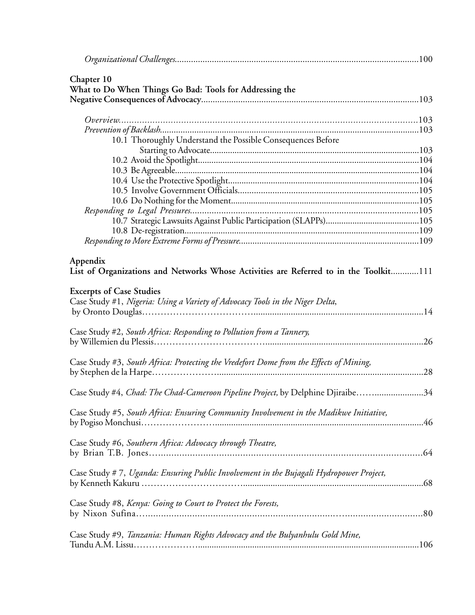| Chapter 10<br>What to Do When Things Go Bad: Tools for Addressing the                                            |  |
|------------------------------------------------------------------------------------------------------------------|--|
|                                                                                                                  |  |
|                                                                                                                  |  |
|                                                                                                                  |  |
| 10.1 Thoroughly Understand the Possible Consequences Before                                                      |  |
|                                                                                                                  |  |
|                                                                                                                  |  |
|                                                                                                                  |  |
|                                                                                                                  |  |
|                                                                                                                  |  |
|                                                                                                                  |  |
|                                                                                                                  |  |
|                                                                                                                  |  |
|                                                                                                                  |  |
|                                                                                                                  |  |
| Appendix<br>List of Organizations and Networks Whose Activities are Referred to in the Toolkit111                |  |
| <b>Excerpts of Case Studies</b><br>Case Study #1, Nigeria: Using a Variety of Advocacy Tools in the Niger Delta, |  |
| Case Study #2, South Africa: Responding to Pollution from a Tannery,                                             |  |
| Case Study #3, South Africa: Protecting the Vredefort Dome from the Effects of Mining,                           |  |
| Case Study #4, Chad: The Chad-Cameroon Pipeline Project, by Delphine Djiraibe34                                  |  |
| Case Study #5, South Africa: Ensuring Community Involvement in the Madikwe Initiative,                           |  |
| Case Study #6, Southern Africa: Advocacy through Theatre,                                                        |  |
| Case Study #7, Uganda: Ensuring Public Involvement in the Bujagali Hydropower Project,                           |  |
| Case Study #8, Kenya: Going to Court to Protect the Forests,                                                     |  |
| Case Study #9, <i>Tanzania: Human Rights Advocacy and the Bulyanhulu Gold Mine</i> ,                             |  |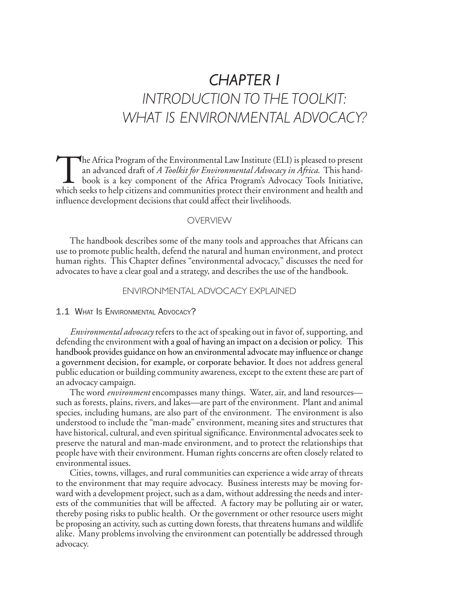## *CHAPTER I INTRODUCTION TO THE TOOLKIT: WHAT IS ENVIRONMENTAL ADVOCACY?*

The Africa Program of the Environmental Law Institute (ELI) is pleased to present an advanced draft of *A Toolkit for Environmental Advocacy in Africa*. This handbook is a key component of the Africa Program's Advocacy Too an advanced draft of *A Toolkit for Environmental Advocacy in Africa*. This handbook is a key component of the Africa Program's Advocacy Tools Initiative, which seeks to help citizens and communities protect their environment and health and influence development decisions that could affect their livelihoods.

## **OVERVIEW**

The handbook describes some of the many tools and approaches that Africans can use to promote public health, defend the natural and human environment, and protect human rights. This Chapter defines "environmental advocacy," discusses the need for advocates to have a clear goal and a strategy, and describes the use of the handbook.

## ENVIRONMENTAL ADVOCACY EXPLAINED

### 1.1 WHAT IS ENVIRONMENTAL ADVOCACY?

*Environmental advocacy* refers to the act of speaking out in favor of, supporting, and defending the environment with a goal of having an impact on a decision or policy. This handbook provides guidance on how an environmental advocate may influence or change a government decision, for example, or corporate behavior. It does not address general public education or building community awareness, except to the extent these are part of an advocacy campaign.

The word *environment* encompasses many things. Water, air, and land resources such as forests, plains, rivers, and lakes—are part of the environment. Plant and animal species, including humans, are also part of the environment. The environment is also understood to include the "man-made" environment, meaning sites and structures that have historical, cultural, and even spiritual significance. Environmental advocates seek to preserve the natural and man-made environment, and to protect the relationships that people have with their environment. Human rights concerns are often closely related to environmental issues.

Cities, towns, villages, and rural communities can experience a wide array of threats to the environment that may require advocacy. Business interests may be moving forward with a development project, such as a dam, without addressing the needs and interests of the communities that will be affected. A factory may be polluting air or water, thereby posing risks to public health. Or the government or other resource users might be proposing an activity, such as cutting down forests, that threatens humans and wildlife alike. Many problems involving the environment can potentially be addressed through advocacy.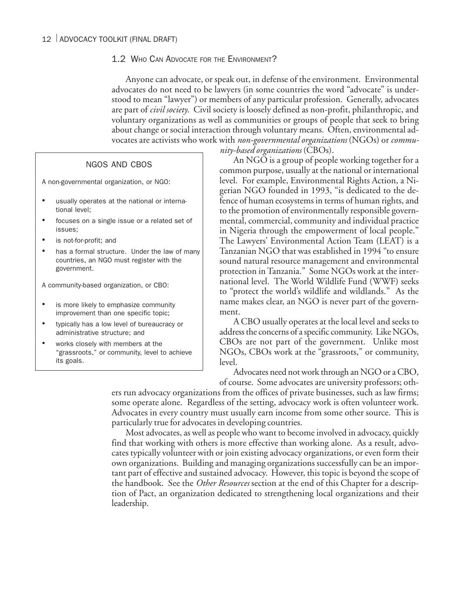## 1.2 WHO CAN ADVOCATE FOR THE ENVIRONMENT?

Anyone can advocate, or speak out, in defense of the environment. Environmental advocates do not need to be lawyers (in some countries the word "advocate" is understood to mean "lawyer") or members of any particular profession. Generally, advocates are part of *civil society*. Civil society is loosely defined as non-profit, philanthropic, and voluntary organizations as well as communities or groups of people that seek to bring about change or social interaction through voluntary means. Often, environmental advocates are activists who work with *non-governmental organizations* (NGOs) or *commu-*

## NGOS AND CBOS

A non-governmental organization, or NGO:

- usually operates at the national or international level;
- focuses on a single issue or a related set of issues;
- is not-for-profit; and
- has a formal structure. Under the law of many countries, an NGO must register with the government.

A community-based organization, or CBO:

- is more likely to emphasize community improvement than one specific topic;
- typically has a low level of bureaucracy or administrative structure; and
- works closely with members at the "grassroots," or community, level to achieve its goals.

*nity-based organizations* (CBOs).

An NGO is a group of people working together for a common purpose, usually at the national or international level. For example, Environmental Rights Action, a Nigerian NGO founded in 1993, "is dedicated to the defence of human ecosystems in terms of human rights, and to the promotion of environmentally responsible governmental, commercial, community and individual practice in Nigeria through the empowerment of local people." The Lawyers' Environmental Action Team (LEAT) is a Tanzanian NGO that was established in 1994 "to ensure sound natural resource management and environmental protection in Tanzania." Some NGOs work at the international level. The World Wildlife Fund (WWF) seeks to "protect the world's wildlife and wildlands." As the name makes clear, an NGO is never part of the government.

A CBO usually operates at the local level and seeks to address the concerns of a specific community. Like NGOs, CBOs are not part of the government. Unlike most NGOs, CBOs work at the "grassroots," or community, level.

Advocates need not work through an NGO or a CBO, of course. Some advocates are university professors; oth-

ers run advocacy organizations from the offices of private businesses, such as law firms; some operate alone. Regardless of the setting, advocacy work is often volunteer work. Advocates in every country must usually earn income from some other source. This is particularly true for advocates in developing countries.

Most advocates, as well as people who want to become involved in advocacy, quickly find that working with others is more effective than working alone. As a result, advocates typically volunteer with or join existing advocacy organizations, or even form their own organizations. Building and managing organizations successfully can be an important part of effective and sustained advocacy. However, this topic is beyond the scope of the handbook. See the *Other Resources* section at the end of this Chapter for a description of Pact, an organization dedicated to strengthening local organizations and their leadership.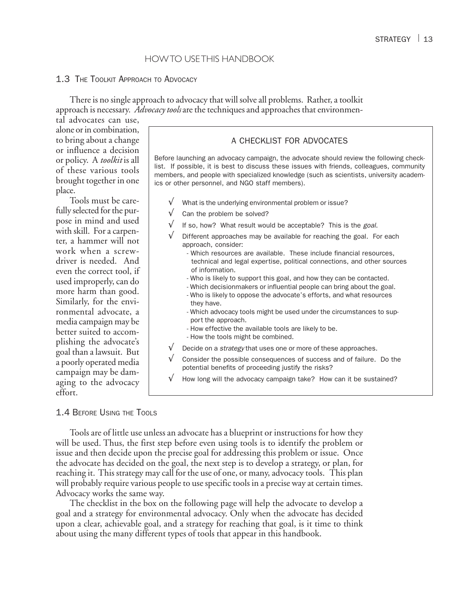## HOW TO USE THIS HANDBOOK

### 1.3 THE TOOLKIT APPROACH TO ADVOCACY

There is no single approach to advocacy that will solve all problems. Rather, a toolkit approach is necessary. *Advocacy tools* are the techniques and approaches that environmen-

tal advocates can use, alone or in combination, to bring about a change or influence a decision or policy. A *toolkit* is all of these various tools brought together in one place.

Tools must be carefully selected for the purpose in mind and used with skill. For a carpenter, a hammer will not work when a screwdriver is needed. And even the correct tool, if used improperly, can do more harm than good. Similarly, for the environmental advocate, a media campaign may be better suited to accomplishing the advocate's goal than a lawsuit. But a poorly operated media campaign may be damaging to the advocacy effort.

## A CHECKLIST FOR ADVOCATES

Before launching an advocacy campaign, the advocate should review the following checklist. If possible, it is best to discuss these issues with friends, colleagues, community members, and people with specialized knowledge (such as scientists, university academics or other personnel, and NGO staff members).

- What is the underlying environmental problem or issue?
- Can the problem be solved?
- If so, how? What result would be acceptable? This is the goal.
- Different approaches may be available for reaching the goal. For each approach, consider:
	- Which resources are available. These include financial resources, technical and legal expertise, political connections, and other sources of information. - Who is likely to support this goal, and how they can be contacted. - Which decisionmakers or influential people can bring about the goal. - Who is likely to oppose the advocate's efforts, and what resources they have. - Which advocacy tools might be used under the circumstances to sup port the approach.
		- How effective the available tools are likely to be.
	- How the tools might be combined.
- Decide on a *strategy* that uses one or more of these approaches.
- Consider the possible consequences of success and of failure. Do the potential benefits of proceeding justify the risks?
- How long will the advocacy campaign take? How can it be sustained?

### 1.4 BEFORE USING THE TOOLS

Tools are of little use unless an advocate has a blueprint or instructions for how they will be used. Thus, the first step before even using tools is to identify the problem or issue and then decide upon the precise goal for addressing this problem or issue. Once the advocate has decided on the goal, the next step is to develop a strategy, or plan, for reaching it. This strategy may call for the use of one, or many, advocacy tools. This plan will probably require various people to use specific tools in a precise way at certain times. Advocacy works the same way.

The checklist in the box on the following page will help the advocate to develop a goal and a strategy for environmental advocacy. Only when the advocate has decided upon a clear, achievable goal, and a strategy for reaching that goal, is it time to think about using the many different types of tools that appear in this handbook.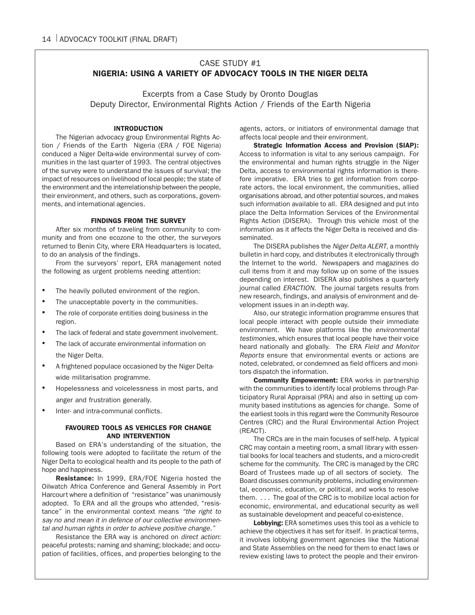## CASE STUDY #1 NIGERIA: USING A VARIETY OF ADVOCACY TOOLS IN THE NIGER DELTA

Excerpts from a Case Study by Oronto Douglas Deputy Director, Environmental Rights Action / Friends of the Earth Nigeria

### INTRODUCTION

The Nigerian advocacy group Environmental Rights Action / Friends of the Earth Nigeria (ERA / FOE Nigeria) conduced a Niger Delta-wide environmental survey of communities in the last quarter of 1993. The central objectives of the survey were to understand the issues of survival; the impact of resources on livelihood of local people; the state of the environment and the interrelationship between the people, their environment, and others, such as corporations, governments, and international agencies.

### FINDINGS FROM THE SURVEY

After six months of traveling from community to community and from one ecozone to the other, the surveyors returned to Benin City, where ERA Headquarters is located, to do an analysis of the findings.

From the surveyors' report, ERA management noted the following as urgent problems needing attention:

- The heavily polluted environment of the region.
- The unacceptable poverty in the communities.
- The role of corporate entities doing business in the region.
- The lack of federal and state government involvement.
- The lack of accurate environmental information on the Niger Delta.
- A frightened populace occasioned by the Niger Deltawide militarisation programme.
- Hopelessness and voicelessness in most parts, and anger and frustration generally.
- Inter- and intra-communal conflicts.

### FAVOURED TOOLS AS VEHICLES FOR CHANGE AND INTERVENTION

Based on ERA's understanding of the situation, the following tools were adopted to facilitate the return of the Niger Delta to ecological health and its people to the path of hope and happiness.

Resistance: In 1999, ERA/FOE Nigeria hosted the Oilwatch Africa Conference and General Assembly in Port Harcourt where a definition of "resistance" was unanimously adopted. To ERA and all the groups who attended, "resistance" in the environmental context means "the right to say no and mean it in defence of our collective environmental and human rights in order to achieve positive change."

Resistance the ERA way is anchored on direct action: peaceful protests; naming and shaming; blockade; and occupation of facilities, offices, and properties belonging to the

agents, actors, or initiators of environmental damage that affects local people and their environment.

Strategic Information Access and Provision (SIAP): Access to information is vital to any serious campaign. For the environmental and human rights struggle in the Niger Delta, access to environmental rights information is therefore imperative. ERA tries to get information from corporate actors, the local environment, the communities, allied organisations abroad, and other potential sources, and makes such information available to all. ERA designed and put into place the Delta Information Services of the Environmental Rights Action (DISERA). Through this vehicle most of the information as it affects the Niger Delta is received and disseminated.

The DISERA publishes the Niger Delta ALERT, a monthly bulletin in hard copy, and distributes it electronically through the Internet to the world. Newspapers and magazines do cull items from it and may follow up on some of the issues depending on interest. DISERA also publishes a quarterly journal called *ERACTION*. The journal targets results from new research, findings, and analysis of environment and development issues in an in-depth way.

Also, our strategic information programme ensures that local people interact with people outside their immediate environment. We have platforms like the environmental testimonies, which ensures that local people have their voice heard nationally and globally. The ERA Field and Monitor Reports ensure that environmental events or actions are noted, celebrated, or condemned as field officers and monitors dispatch the information.

Community Empowerment: ERA works in partnership with the communities to identify local problems through Participatory Rural Appraisal (PRA) and also in setting up community based institutions as agencies for change. Some of the earliest tools in this regard were the Community Resource Centres (CRC) and the Rural Environmental Action Project (REACT).

The CRCs are in the main focuses of self-help. A typical CRC may contain a meeting room, a small library with essential books for local teachers and students, and a micro-credit scheme for the community. The CRC is managed by the CRC Board of Trustees made up of all sectors of society. The Board discusses community problems, including environmental, economic, education, or political, and works to resolve them. . . . The goal of the CRC is to mobilize local action for economic, environmental, and educational security as well as sustainable development and peaceful co-existence.

**Lobbying:** ERA sometimes uses this tool as a vehicle to achieve the objectives it has set for itself. In practical terms, it involves lobbying government agencies like the National and State Assemblies on the need for them to enact laws or review existing laws to protect the people and their environ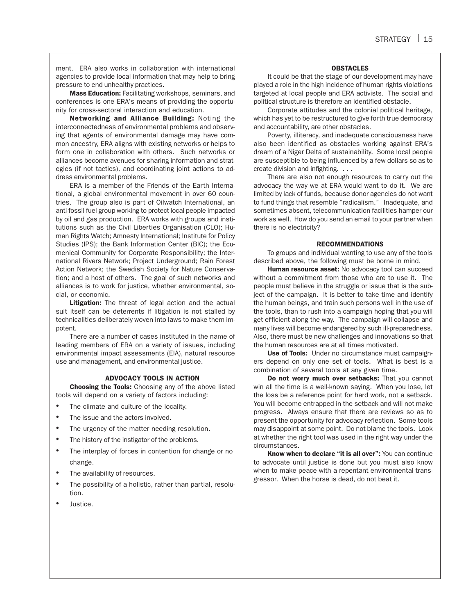ment. ERA also works in collaboration with international agencies to provide local information that may help to bring pressure to end unhealthy practices.

Mass Education: Facilitating workshops, seminars, and conferences is one ERA's means of providing the opportunity for cross-sectoral interaction and education.

Networking and Alliance Building: Noting the interconnectedness of environmental problems and observing that agents of environmental damage may have common ancestry, ERA aligns with existing networks or helps to form one in collaboration with others. Such networks or alliances become avenues for sharing information and strategies (if not tactics), and coordinating joint actions to address environmental problems.

ERA is a member of the Friends of the Earth International, a global environmental movement in over 60 countries. The group also is part of Oilwatch International, an anti-fossil fuel group working to protect local people impacted by oil and gas production. ERA works with groups and institutions such as the Civil Liberties Organisation (CLO); Human Rights Watch; Amnesty International; Institute for Policy Studies (IPS); the Bank Information Center (BIC); the Ecumenical Community for Corporate Responsibility; the International Rivers Network; Project Underground; Rain Forest Action Network; the Swedish Society for Nature Conservation; and a host of others. The goal of such networks and alliances is to work for justice, whether environmental, social, or economic.

Litigation: The threat of legal action and the actual suit itself can be deterrents if litigation is not stalled by technicalities deliberately woven into laws to make them impotent.

There are a number of cases instituted in the name of leading members of ERA on a variety of issues, including environmental impact assessments (EIA), natural resource use and management, and environmental justice.

### ADVOCACY TOOLS IN ACTION

Choosing the Tools: Choosing any of the above listed tools will depend on a variety of factors including:

- The climate and culture of the locality.
- The issue and the actors involved.
- The urgency of the matter needing resolution.
- The history of the instigator of the problems.
- The interplay of forces in contention for change or no change.
- The availability of resources.
- The possibility of a holistic, rather than partial, resolution.
- Justice.

#### **OBSTACLES**

It could be that the stage of our development may have played a role in the high incidence of human rights violations targeted at local people and ERA activists. The social and political structure is therefore an identified obstacle.

Corporate attitudes and the colonial political heritage, which has yet to be restructured to give forth true democracy and accountability, are other obstacles.

Poverty, illiteracy, and inadequate consciousness have also been identified as obstacles working against ERA's dream of a Niger Delta of sustainability. Some local people are susceptible to being influenced by a few dollars so as to create division and infighting. . . .

There are also not enough resources to carry out the advocacy the way we at ERA would want to do it. We are limited by lack of funds, because donor agencies do not want to fund things that resemble "radicalism." Inadequate, and sometimes absent, telecommunication facilities hamper our work as well. How do you send an email to your partner when there is no electricity?

### RECOMMENDATIONS

To groups and individual wanting to use any of the tools described above, the following must be borne in mind.

Human resource asset: No advocacy tool can succeed without a commitment from those who are to use it. The people must believe in the struggle or issue that is the subject of the campaign. It is better to take time and identify the human beings, and train such persons well in the use of the tools, than to rush into a campaign hoping that you will get efficient along the way. The campaign will collapse and many lives will become endangered by such ill-preparedness. Also, there must be new challenges and innovations so that the human resources are at all times motivated.

Use of Tools: Under no circumstance must campaigners depend on only one set of tools. What is best is a combination of several tools at any given time.

Do not worry much over setbacks: That you cannot win all the time is a well-known saying. When you lose, let the loss be a reference point for hard work, not a setback. You will become entrapped in the setback and will not make progress. Always ensure that there are reviews so as to present the opportunity for advocacy reflection. Some tools may disappoint at some point. Do not blame the tools. Look at whether the right tool was used in the right way under the circumstances.

Know when to declare "it is all over": You can continue to advocate until justice is done but you must also know when to make peace with a repentant environmental transgressor. When the horse is dead, do not beat it.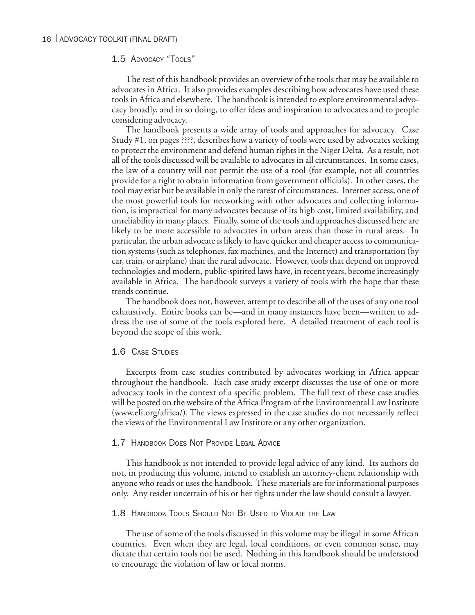## 1.5 ADVOCACY "TOOLS"

The rest of this handbook provides an overview of the tools that may be available to advocates in Africa. It also provides examples describing how advocates have used these tools in Africa and elsewhere. The handbook is intended to explore environmental advocacy broadly, and in so doing, to offer ideas and inspiration to advocates and to people considering advocacy.

The handbook presents a wide array of tools and approaches for advocacy. Case Study #1, on pages ????, describes how a variety of tools were used by advocates seeking to protect the environment and defend human rights in the Niger Delta. As a result, not all of the tools discussed will be available to advocates in all circumstances. In some cases, the law of a country will not permit the use of a tool (for example, not all countries provide for a right to obtain information from government officials). In other cases, the tool may exist but be available in only the rarest of circumstances. Internet access, one of the most powerful tools for networking with other advocates and collecting information, is impractical for many advocates because of its high cost, limited availability, and unreliability in many places. Finally, some of the tools and approaches discussed here are likely to be more accessible to advocates in urban areas than those in rural areas. In particular, the urban advocate is likely to have quicker and cheaper access to communication systems (such as telephones, fax machines, and the Internet) and transportation (by car, train, or airplane) than the rural advocate. However, tools that depend on improved technologies and modern, public-spirited laws have, in recent years, become increasingly available in Africa. The handbook surveys a variety of tools with the hope that these trends continue.

The handbook does not, however, attempt to describe all of the uses of any one tool exhaustively. Entire books can be—and in many instances have been—written to address the use of some of the tools explored here. A detailed treatment of each tool is beyond the scope of this work.

### 1.6 CASE STUDIES

Excerpts from case studies contributed by advocates working in Africa appear throughout the handbook. Each case study excerpt discusses the use of one or more advocacy tools in the context of a specific problem. The full text of these case studies will be posted on the website of the Africa Program of the Environmental Law Institute (www.eli.org/africa/). The views expressed in the case studies do not necessarily reflect the views of the Environmental Law Institute or any other organization.

### 1.7 HANDBOOK DOES NOT PROVIDE LEGAL ADVICE

This handbook is not intended to provide legal advice of any kind. Its authors do not, in producing this volume, intend to establish an attorney-client relationship with anyone who reads or uses the handbook. These materials are for informational purposes only. Any reader uncertain of his or her rights under the law should consult a lawyer.

## 1.8 HANDBOOK TOOLS SHOULD NOT BE USED TO VIOLATE THE LAW

The use of some of the tools discussed in this volume may be illegal in some African countries. Even when they are legal, local conditions, or even common sense, may dictate that certain tools not be used. Nothing in this handbook should be understood to encourage the violation of law or local norms.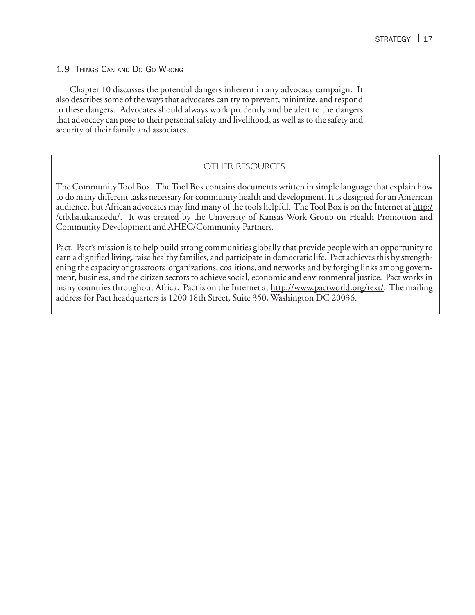1.9 THINGS CAN AND DO GO WRONG

Chapter 10 discusses the potential dangers inherent in any advocacy campaign. It also describes some of the ways that advocates can try to prevent, minimize, and respond to these dangers. Advocates should always work prudently and be alert to the dangers that advocacy can pose to their personal safety and livelihood, as well as to the safety and security of their family and associates.

## OTHER RESOURCES

The Community Tool Box. The Tool Box contains documents written in simple language that explain how to do many different tasks necessary for community health and development. It is designed for an American audience, but African advocates may find many of the tools helpful. The Tool Box is on the Internet at http:/ /ctb.lsi.ukans.edu/. It was created by the University of Kansas Work Group on Health Promotion and Community Development and AHEC/Community Partners.

Pact. Pact's mission is to help build strong communities globally that provide people with an opportunity to earn a dignified living, raise healthy families, and participate in democratic life. Pact achieves this by strengthening the capacity of grassroots organizations, coalitions, and networks and by forging links among government, business, and the citizen sectors to achieve social, economic and environmental justice. Pact works in many countries throughout Africa. Pact is on the Internet at http://www.pactworld.org/text/. The mailing address for Pact headquarters is 1200 18th Street, Suite 350, Washington DC 20036.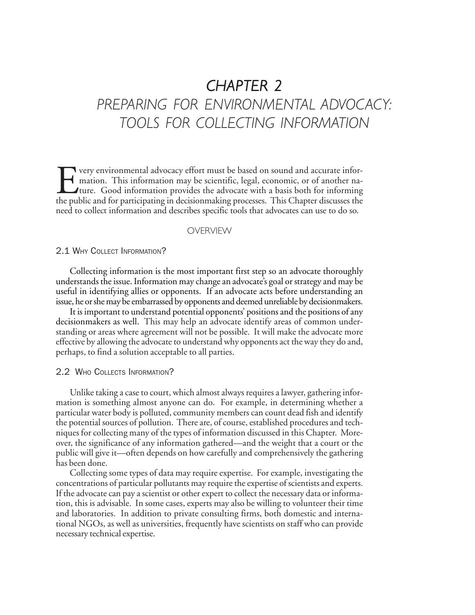## *CHAPTER 2 CHAPTER 2 PREPARING FOR ENVIRONMENTAL ADVOCACY: TOOLS FOR COLLECTING INFORMATION*

Fuery environmental advocacy effort must be based on sound and accurate information. This information may be scientific, legal, economic, or of another nature. Good information provides the advocate with a basis both for i mation. This information may be scientific, legal, economic, or of another nature. Good information provides the advocate with a basis both for informing the public and for participating in decisionmaking processes. This Chapter discusses the need to collect information and describes specific tools that advocates can use to do so.

## **OVERVIEW**

### 2.1 WHY COLLECT INFORMATION?

Collecting information is the most important first step so an advocate thoroughly understands the issue. Information may change an advocate's goal or strategy and may be useful in identifying allies or opponents. If an advocate acts before understanding an issue, he or she may be embarrassed by opponents and deemed unreliable by decisionmakers.

It is important to understand potential opponents' positions and the positions of any decisionmakers as well. This may help an advocate identify areas of common understanding or areas where agreement will not be possible. It will make the advocate more effective by allowing the advocate to understand why opponents act the way they do and, perhaps, to find a solution acceptable to all parties.

## 2.2 WHO COLLECTS INFORMATION?

Unlike taking a case to court, which almost always requires a lawyer, gathering information is something almost anyone can do. For example, in determining whether a particular water body is polluted, community members can count dead fish and identify the potential sources of pollution. There are, of course, established procedures and techniques for collecting many of the types of information discussed in this Chapter. Moreover, the significance of any information gathered—and the weight that a court or the public will give it—often depends on how carefully and comprehensively the gathering has been done.

Collecting some types of data may require expertise. For example, investigating the concentrations of particular pollutants may require the expertise of scientists and experts. If the advocate can pay a scientist or other expert to collect the necessary data or information, this is advisable. In some cases, experts may also be willing to volunteer their time and laboratories. In addition to private consulting firms, both domestic and international NGOs, as well as universities, frequently have scientists on staff who can provide necessary technical expertise.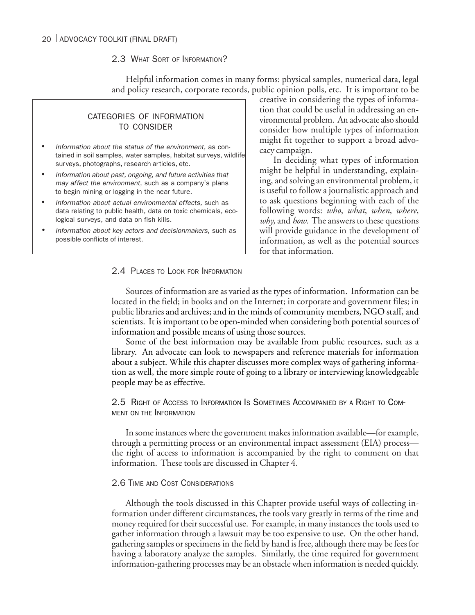## 2.3 WHAT SORT OF INFORMATION?

Helpful information comes in many forms: physical samples, numerical data, legal and policy research, corporate records, public opinion polls, etc. It is important to be

## CATEGORIES OF INFORMATION TO CONSIDER

- Information about the status of the environment, as contained in soil samples, water samples, habitat surveys, wildlife surveys, photographs, research articles, etc.
- Information about past, ongoing, and future activities that may affect the environment, such as a company's plans to begin mining or logging in the near future.
- Information about actual environmental effects, such as data relating to public health, data on toxic chemicals, ecological surveys, and data on fish kills.
- *•* Information about key actors and decisionmakers, such as possible conflicts of interest.

creative in considering the types of information that could be useful in addressing an environmental problem. An advocate also should consider how multiple types of information might fit together to support a broad advocacy campaign.

In deciding what types of information might be helpful in understanding, explaining, and solving an environmental problem, it is useful to follow a journalistic approach and to ask questions beginning with each of the following words: *who*, *what*, *when*, *where*, *why*, and *how*. The answers to these questions will provide guidance in the development of information, as well as the potential sources for that information.

### 2.4 PLACES TO LOOK FOR INFORMATION

Sources of information are as varied as the types of information. Information can be located in the field; in books and on the Internet; in corporate and government files; in public libraries and archives; and in the minds of community members, NGO staff, and scientists. It is important to be open-minded when considering both potential sources of information and possible means of using those sources.

Some of the best information may be available from public resources, such as a library. An advocate can look to newspapers and reference materials for information about a subject. While this chapter discusses more complex ways of gathering information as well, the more simple route of going to a library or interviewing knowledgeable people may be as effective.

## 2.5 RIGHT OF ACCESS TO INFORMATION IS SOMETIMES ACCOMPANIED BY A RIGHT TO COM-MENT ON THE INFORMATION

In some instances where the government makes information available—for example, through a permitting process or an environmental impact assessment (EIA) process the right of access to information is accompanied by the right to comment on that information. These tools are discussed in Chapter 4.

## 2.6 TIME AND COST CONSIDERATIONS

Although the tools discussed in this Chapter provide useful ways of collecting information under different circumstances, the tools vary greatly in terms of the time and money required for their successful use. For example, in many instances the tools used to gather information through a lawsuit may be too expensive to use. On the other hand, gathering samples or specimens in the field by hand is free, although there may be fees for having a laboratory analyze the samples. Similarly, the time required for government information-gathering processes may be an obstacle when information is needed quickly.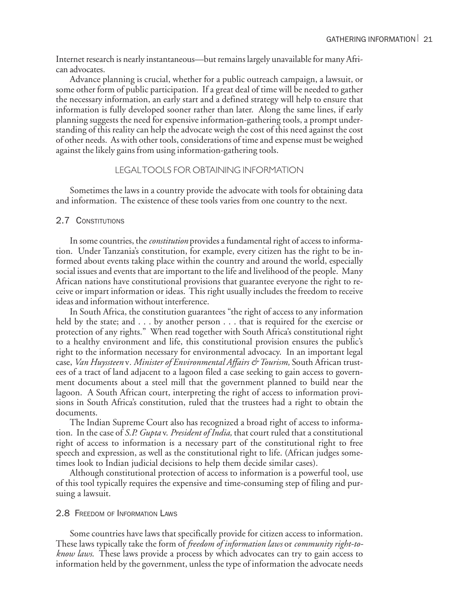Internet research is nearly instantaneous—but remains largely unavailable for many African advocates.

Advance planning is crucial, whether for a public outreach campaign, a lawsuit, or some other form of public participation. If a great deal of time will be needed to gather the necessary information, an early start and a defined strategy will help to ensure that information is fully developed sooner rather than later. Along the same lines, if early planning suggests the need for expensive information-gathering tools, a prompt understanding of this reality can help the advocate weigh the cost of this need against the cost of other needs. As with other tools, considerations of time and expense must be weighed against the likely gains from using information-gathering tools.

## LEGAL TOOLS FOR OBTAINING INFORMATION

Sometimes the laws in a country provide the advocate with tools for obtaining data and information. The existence of these tools varies from one country to the next.

## 2.7 CONSTITUTIONS

In some countries, the *constitution* provides a fundamental right of access to information. Under Tanzania's constitution, for example, every citizen has the right to be informed about events taking place within the country and around the world, especially social issues and events that are important to the life and livelihood of the people. Many African nations have constitutional provisions that guarantee everyone the right to receive or impart information or ideas. This right usually includes the freedom to receive ideas and information without interference.

In South Africa, the constitution guarantees "the right of access to any information held by the state; and . . . by another person . . . that is required for the exercise or protection of any rights." When read together with South Africa's constitutional right to a healthy environment and life, this constitutional provision ensures the public's right to the information necessary for environmental advocacy. In an important legal case, *Van Huyssteen* v*. Minister of Environmental Affairs & Tourism,* South African trustees of a tract of land adjacent to a lagoon filed a case seeking to gain access to government documents about a steel mill that the government planned to build near the lagoon. A South African court, interpreting the right of access to information provisions in South Africa's constitution, ruled that the trustees had a right to obtain the documents.

The Indian Supreme Court also has recognized a broad right of access to information. In the case of *S.P. Gupta* v. *President of India,* that court ruled that a constitutional right of access to information is a necessary part of the constitutional right to free speech and expression, as well as the constitutional right to life. (African judges sometimes look to Indian judicial decisions to help them decide similar cases).

Although constitutional protection of access to information is a powerful tool, use of this tool typically requires the expensive and time-consuming step of filing and pursuing a lawsuit.

## 2.8 FREEDOM OF INFORMATION LAWS

Some countries have laws that specifically provide for citizen access to information. These laws typically take the form of *freedom of information laws* or *community right-toknow laws*. These laws provide a process by which advocates can try to gain access to information held by the government, unless the type of information the advocate needs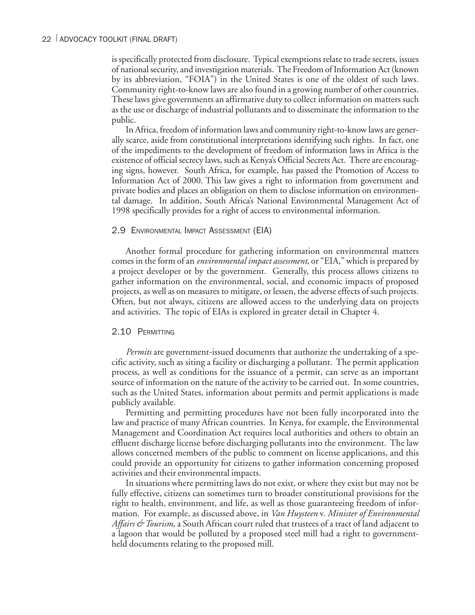is specifically protected from disclosure. Typical exemptions relate to trade secrets, issues of national security, and investigation materials. The Freedom of Information Act (known by its abbreviation, "FOIA") in the United States is one of the oldest of such laws. Community right-to-know laws are also found in a growing number of other countries. These laws give governments an affirmative duty to collect information on matters such as the use or discharge of industrial pollutants and to disseminate the information to the public.

In Africa, freedom of information laws and community right-to-know laws are generally scarce, aside from constitutional interpretations identifying such rights. In fact, one of the impediments to the development of freedom of information laws in Africa is the existence of official secrecy laws, such as Kenya's Official Secrets Act. There are encouraging signs, however. South Africa, for example, has passed the Promotion of Access to Information Act of 2000. This law gives a right to information from government and private bodies and places an obligation on them to disclose information on environmental damage. In addition, South Africa's National Environmental Management Act of 1998 specifically provides for a right of access to environmental information.

### 2.9 ENVIRONMENTAL IMPACT ASSESSMENT (EIA)

Another formal procedure for gathering information on environmental matters comes in the form of an *environmental impact assessment*, or "EIA," which is prepared by a project developer or by the government. Generally, this process allows citizens to gather information on the environmental, social, and economic impacts of proposed projects, as well as on measures to mitigate, or lessen, the adverse effects of such projects. Often, but not always, citizens are allowed access to the underlying data on projects and activities. The topic of EIAs is explored in greater detail in Chapter 4.

### 2.10 PERMITTING

*Permits* are government-issued documents that authorize the undertaking of a specific activity, such as siting a facility or discharging a pollutant. The permit application process, as well as conditions for the issuance of a permit, can serve as an important source of information on the nature of the activity to be carried out. In some countries, such as the United States, information about permits and permit applications is made publicly available.

Permitting and permitting procedures have not been fully incorporated into the law and practice of many African countries. In Kenya, for example, the Environmental Management and Coordination Act requires local authorities and others to obtain an effluent discharge license before discharging pollutants into the environment. The law allows concerned members of the public to comment on license applications, and this could provide an opportunity for citizens to gather information concerning proposed activities and their environmental impacts.

In situations where permitting laws do not exist, or where they exist but may not be fully effective, citizens can sometimes turn to broader constitutional provisions for the right to health, environment, and life, as well as those guaranteeing freedom of information. For example, as discussed above, in *Van Huysteen* v. *Minister of Environmental Affairs & Tourism*, a South African court ruled that trustees of a tract of land adjacent to a lagoon that would be polluted by a proposed steel mill had a right to governmentheld documents relating to the proposed mill.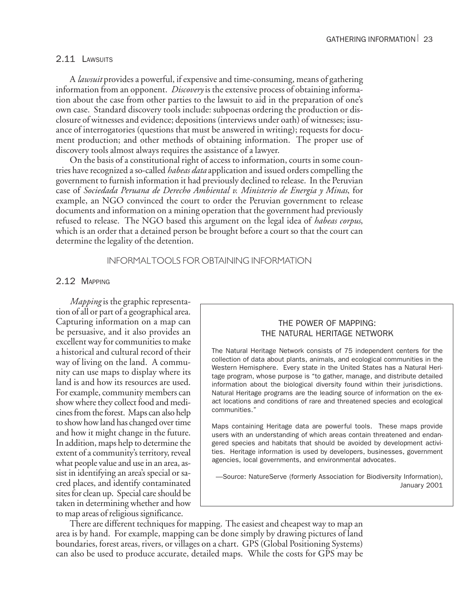## 2.11 LAWSUITS

A *lawsuit* provides a powerful, if expensive and time-consuming, means of gathering information from an opponent. *Discovery* is the extensive process of obtaining information about the case from other parties to the lawsuit to aid in the preparation of one's own case. Standard discovery tools include: subpoenas ordering the production or disclosure of witnesses and evidence; depositions (interviews under oath) of witnesses; issuance of interrogatories (questions that must be answered in writing); requests for document production; and other methods of obtaining information. The proper use of discovery tools almost always requires the assistance of a lawyer.

On the basis of a constitutional right of access to information, courts in some countries have recognized a so-called *habeas data* application and issued orders compelling the government to furnish information it had previously declined to release. In the Peruvian case of *Sociedada Peruana de Derecho Ambiental v. Ministerio de Energia y Minas*, for example, an NGO convinced the court to order the Peruvian government to release documents and information on a mining operation that the government had previously refused to release. The NGO based this argument on the legal idea of *habeas corpus*, which is an order that a detained person be brought before a court so that the court can determine the legality of the detention.

INFORMAL TOOLS FOR OBTAINING INFORMATION

## 2.12 MAPPING

*Mapping* is the graphic representation of all or part of a geographical area. Capturing information on a map can be persuasive, and it also provides an excellent way for communities to make a historical and cultural record of their way of living on the land. A community can use maps to display where its land is and how its resources are used. For example, community members can show where they collect food and medicines from the forest. Maps can also help to show how land has changed over time and how it might change in the future. In addition, maps help to determine the extent of a community's territory, reveal what people value and use in an area, assist in identifying an area's special or sacred places, and identify contaminated sites for clean up. Special care should be taken in determining whether and how to map areas of religious significance.

## THE POWER OF MAPPING: THE NATURAL HERITAGE NETWORK

The Natural Heritage Network consists of 75 independent centers for the collection of data about plants, animals, and ecological communities in the Western Hemisphere. Every state in the United States has a Natural Heritage program, whose purpose is "to gather, manage, and distribute detailed information about the biological diversity found within their jurisdictions. Natural Heritage programs are the leading source of information on the exact locations and conditions of rare and threatened species and ecological communities."

Maps containing Heritage data are powerful tools. These maps provide users with an understanding of which areas contain threatened and endangered species and habitats that should be avoided by development activities. Heritage information is used by developers, businesses, government agencies, local governments, and environmental advocates.

—Source: NatureServe (formerly Association for Biodiversity Information), January 2001

There are different techniques for mapping. The easiest and cheapest way to map an area is by hand. For example, mapping can be done simply by drawing pictures of land boundaries, forest areas, rivers, or villages on a chart. GPS (Global Positioning Systems) can also be used to produce accurate, detailed maps. While the costs for GPS may be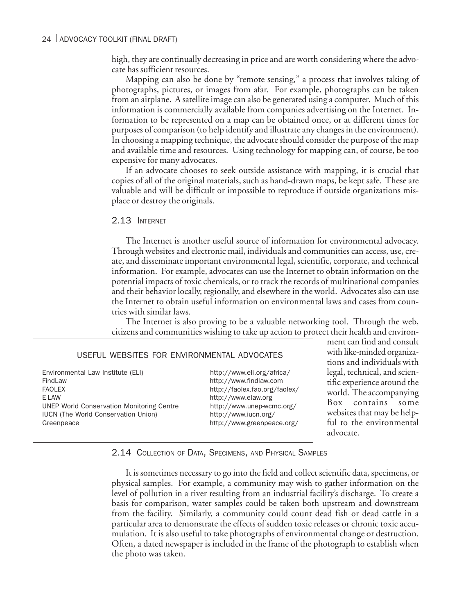high, they are continually decreasing in price and are worth considering where the advocate has sufficient resources.

Mapping can also be done by "remote sensing," a process that involves taking of photographs, pictures, or images from afar. For example, photographs can be taken from an airplane. A satellite image can also be generated using a computer. Much of this information is commercially available from companies advertising on the Internet. Information to be represented on a map can be obtained once, or at different times for purposes of comparison (to help identify and illustrate any changes in the environment). In choosing a mapping technique, the advocate should consider the purpose of the map and available time and resources. Using technology for mapping can, of course, be too expensive for many advocates.

If an advocate chooses to seek outside assistance with mapping, it is crucial that copies of all of the original materials, such as hand-drawn maps, be kept safe. These are valuable and will be difficult or impossible to reproduce if outside organizations misplace or destroy the originals.

## 2.13 INTERNET

The Internet is another useful source of information for environmental advocacy. Through websites and electronic mail, individuals and communities can access, use, create, and disseminate important environmental legal, scientific, corporate, and technical information. For example, advocates can use the Internet to obtain information on the potential impacts of toxic chemicals, or to track the records of multinational companies and their behavior locally, regionally, and elsewhere in the world. Advocates also can use the Internet to obtain useful information on environmental laws and cases from countries with similar laws.

The Internet is also proving to be a valuable networking tool. Through the web, citizens and communities wishing to take up action to protect their health and environ-

## USEFUL WEBSITES FOR ENVIRONMENTAL ADVOCATES

Environmental Law Institute (ELI) http://www.eli.org/africa/ FindLaw http://www.findlaw.com FAOLEX http://faolex.fao.org/faolex/ E-LAW http://www.elaw.org UNEP World Conservation Monitoring Centre http://www.unep-wcmc.org/ IUCN (The World Conservation Union) http://www.iucn.org/ Greenpeace http://www.greenpeace.org/

ment can find and consult with like-minded organizations and individuals with legal, technical, and scientific experience around the world. The accompanying Box contains some websites that may be helpful to the environmental advocate.

## 2.14 COLLECTION OF DATA, SPECIMENS, AND PHYSICAL SAMPLES

It is sometimes necessary to go into the field and collect scientific data, specimens, or physical samples. For example, a community may wish to gather information on the level of pollution in a river resulting from an industrial facility's discharge. To create a basis for comparison, water samples could be taken both upstream and downstream from the facility. Similarly, a community could count dead fish or dead cattle in a particular area to demonstrate the effects of sudden toxic releases or chronic toxic accumulation. It is also useful to take photographs of environmental change or destruction. Often, a dated newspaper is included in the frame of the photograph to establish when the photo was taken.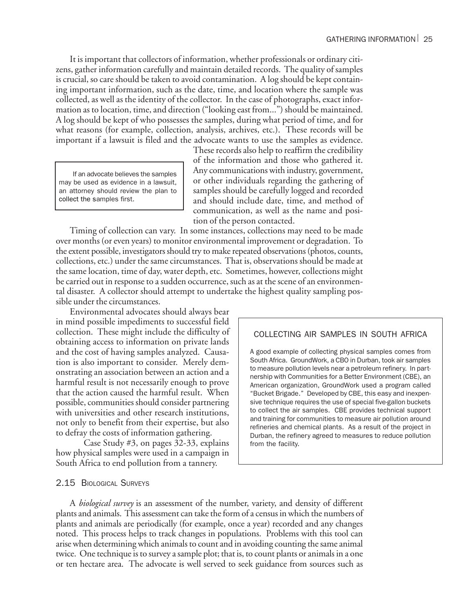It is important that collectors of information, whether professionals or ordinary citizens, gather information carefully and maintain detailed records. The quality of samples is crucial, so care should be taken to avoid contamination. A log should be kept containing important information, such as the date, time, and location where the sample was collected, as well as the identity of the collector. In the case of photographs, exact information as to location, time, and direction ("looking east from...") should be maintained. A log should be kept of who possesses the samples, during what period of time, and for what reasons (for example, collection, analysis, archives, etc.). These records will be important if a lawsuit is filed and the advocate wants to use the samples as evidence.

If an advocate believes the samples may be used as evidence in a lawsuit, an attorney should review the plan to collect the samples first.

These records also help to reaffirm the credibility of the information and those who gathered it. Any communications with industry, government, or other individuals regarding the gathering of samples should be carefully logged and recorded and should include date, time, and method of communication, as well as the name and position of the person contacted.

Timing of collection can vary. In some instances, collections may need to be made over months (or even years) to monitor environmental improvement or degradation. To the extent possible, investigators should try to make repeated observations (photos, counts, collections, etc.) under the same circumstances. That is, observations should be made at the same location, time of day, water depth, etc. Sometimes, however, collections might be carried out in response to a sudden occurrence, such as at the scene of an environmental disaster. A collector should attempt to undertake the highest quality sampling possible under the circumstances.

Environmental advocates should always bear in mind possible impediments to successful field collection. These might include the difficulty of obtaining access to information on private lands and the cost of having samples analyzed. Causation is also important to consider. Merely demonstrating an association between an action and a harmful result is not necessarily enough to prove that the action caused the harmful result. When possible, communities should consider partnering with universities and other research institutions, not only to benefit from their expertise, but also to defray the costs of information gathering.

Case Study #3, on pages 32-33, explains how physical samples were used in a campaign in South Africa to end pollution from a tannery.

# COLLECTING AIR SAMPLES IN SOUTH AFRICA

A good example of collecting physical samples comes from South Africa. GroundWork, a CBO in Durban, took air samples to measure pollution levels near a petroleum refinery. In partnership with Communities for a Better Environment (CBE), an American organization, GroundWork used a program called "Bucket Brigade." Developed by CBE, this easy and inexpensive technique requires the use of special five-gallon buckets to collect the air samples. CBE provides technical support and training for communities to measure air pollution around refineries and chemical plants. As a result of the project in Durban, the refinery agreed to measures to reduce pollution from the facility.

## 2.15 BIOLOGICAL SURVEYS

A *biological survey* is an assessment of the number, variety, and density of different plants and animals. This assessment can take the form of a census in which the numbers of plants and animals are periodically (for example, once a year) recorded and any changes noted. This process helps to track changes in populations. Problems with this tool can arise when determining which animals to count and in avoiding counting the same animal twice. One technique is to survey a sample plot; that is, to count plants or animals in a one or ten hectare area. The advocate is well served to seek guidance from sources such as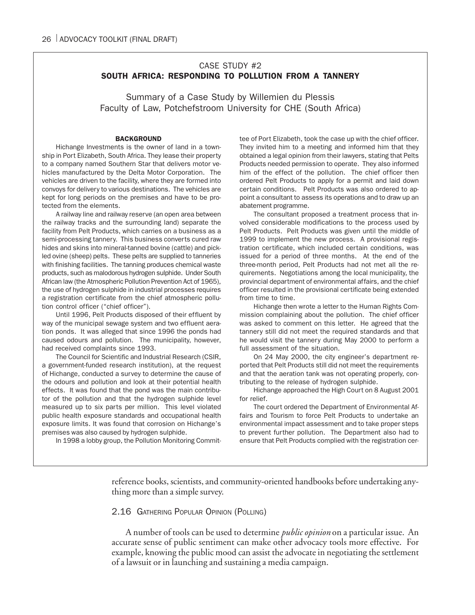## CASE STUDY #2 SOUTH AFRICA: RESPONDING TO POLLUTION FROM A TANNERY

Summary of a Case Study by Willemien du Plessis Faculty of Law, Potchefstroom University for CHE (South Africa)

### **BACKGROUND**

Hichange Investments is the owner of land in a township in Port Elizabeth, South Africa. They lease their property to a company named Southern Star that delivers motor vehicles manufactured by the Delta Motor Corporation. The vehicles are driven to the facility, where they are formed into convoys for delivery to various destinations. The vehicles are kept for long periods on the premises and have to be protected from the elements.

A railway line and railway reserve (an open area between the railway tracks and the surrounding land) separate the facility from Pelt Products, which carries on a business as a semi-processing tannery. This business converts cured raw hides and skins into mineral-tanned bovine (cattle) and pickled ovine (sheep) pelts. These pelts are supplied to tanneries with finishing facilities. The tanning produces chemical waste products, such as malodorous hydrogen sulphide. Under South African law (the Atmospheric Pollution Prevention Act of 1965), the use of hydrogen sulphide in industrial processes requires a registration certificate from the chief atmospheric pollution control officer ("chief officer").

Until 1996, Pelt Products disposed of their effluent by way of the municipal sewage system and two effluent aeration ponds. It was alleged that since 1996 the ponds had caused odours and pollution. The municipality, however, had received complaints since 1993.

The Council for Scientific and Industrial Research (CSIR, a government-funded research institution), at the request of Hichange, conducted a survey to determine the cause of the odours and pollution and look at their potential health effects. It was found that the pond was the main contributor of the pollution and that the hydrogen sulphide level measured up to six parts per million. This level violated public health exposure standards and occupational health exposure limits. It was found that corrosion on Hichange's premises was also caused by hydrogen sulphide.

In 1998 a lobby group, the Pollution Monitoring Commit-

tee of Port Elizabeth, took the case up with the chief officer. They invited him to a meeting and informed him that they obtained a legal opinion from their lawyers, stating that Pelts Products needed permission to operate. They also informed him of the effect of the pollution. The chief officer then ordered Pelt Products to apply for a permit and laid down certain conditions. Pelt Products was also ordered to appoint a consultant to assess its operations and to draw up an abatement programme.

The consultant proposed a treatment process that involved considerable modifications to the process used by Pelt Products. Pelt Products was given until the middle of 1999 to implement the new process. A provisional registration certificate, which included certain conditions, was issued for a period of three months. At the end of the three-month period, Pelt Products had not met all the requirements. Negotiations among the local municipality, the provincial department of environmental affairs, and the chief officer resulted in the provisional certificate being extended from time to time.

Hichange then wrote a letter to the Human Rights Commission complaining about the pollution. The chief officer was asked to comment on this letter. He agreed that the tannery still did not meet the required standards and that he would visit the tannery during May 2000 to perform a full assessment of the situation.

On 24 May 2000, the city engineer's department reported that Pelt Products still did not meet the requirements and that the aeration tank was not operating properly, contributing to the release of hydrogen sulphide.

Hichange approached the High Court on 8 August 2001 for relief.

The court ordered the Department of Environmental Affairs and Tourism to force Pelt Products to undertake an environmental impact assessment and to take proper steps to prevent further pollution. The Department also had to ensure that Pelt Products complied with the registration cer-

reference books, scientists, and community-oriented handbooks before undertaking anything more than a simple survey.

2.16 GATHERING POPULAR OPINION (POLLING)

A number of tools can be used to determine *public opinion* on a particular issue. An accurate sense of public sentiment can make other advocacy tools more effective. For example, knowing the public mood can assist the advocate in negotiating the settlement of a lawsuit or in launching and sustaining a media campaign.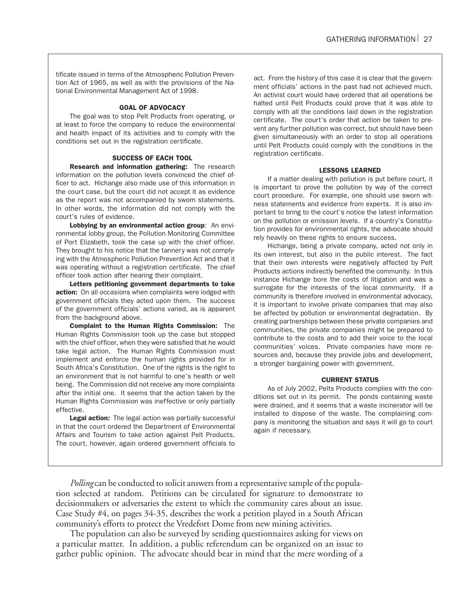tificate issued in terms of the Atmospheric Pollution Prevention Act of 1965, as well as with the provisions of the National Environmental Management Act of 1998.

### GOAL OF ADVOCACY

The goal was to stop Pelt Products from operating, or at least to force the company to reduce the environmental and health impact of its activities and to comply with the conditions set out in the registration certificate.

### SUCCESS OF EACH TOOL

Research and information gathering: The research information on the pollution levels convinced the chief officer to act. Hichange also made use of this information in the court case, but the court did not accept it as evidence as the report was not accompanied by sworn statements. In other words, the information did not comply with the court's rules of evidence.

Lobbying by an environmental action group: An environmental lobby group, the Pollution Monitoring Committee of Port Elizabeth, took the case up with the chief officer. They brought to his notice that the tannery was not complying with the Atmospheric Pollution Prevention Act and that it was operating without a registration certificate. The chief officer took action after hearing their complaint.

Letters petitioning government departments to take action: On all occasions when complaints were lodged with government officials they acted upon them. The success of the government officials' actions varied, as is apparent from the background above.

Complaint to the Human Rights Commission: The Human Rights Commission took up the case but stopped with the chief officer, when they were satisfied that he would take legal action. The Human Rights Commission must implement and enforce the human rights provided for in South Africa's Constitution. One of the rights is the right to an environment that is not harmful to one's health or well being. The Commission did not receive any more complaints after the initial one. It seems that the action taken by the Human Rights Commission was ineffective or only partially effective.

Legal action: The legal action was partially successful in that the court ordered the Department of Environmental Affairs and Tourism to take action against Pelt Products. The court, however, again ordered government officials to act. From the history of this case it is clear that the government officials' actions in the past had not achieved much. An activist court would have ordered that all operations be halted until Pelt Products could prove that it was able to comply with all the conditions laid down in the registration certificate. The court's order that action be taken to prevent any further pollution was correct, but should have been given simultaneously with an order to stop all operations until Pelt Products could comply with the conditions in the registration certificate.

### LESSONS LEARNED

If a matter dealing with pollution is put before court, it is important to prove the pollution by way of the correct court procedure. For example, one should use sworn witness statements and evidence from experts. It is also important to bring to the court's notice the latest information on the pollution or emission levels. If a country's Constitution provides for environmental rights, the advocate should rely heavily on these rights to ensure success.

Hichange, being a private company, acted not only in its own interest, but also in the public interest. The fact that their own interests were negatively affected by Pelt Products actions indirectly benefited the community. In this instance Hichange bore the costs of litigation and was a surrogate for the interests of the local community. If a community is therefore involved in environmental advocacy, it is important to involve private companies that may also be affected by pollution or environmental degradation. By creating partnerships between these private companies and communities, the private companies might be prepared to contribute to the costs and to add their voice to the local communities' voices. Private companies have more resources and, because they provide jobs and development, a stronger bargaining power with government.

### CURRENT STATUS

As of July 2002, Pelts Products complies with the conditions set out in its permit. The ponds containing waste were drained, and it seems that a waste incinerator will be installed to dispose of the waste. The complaining company is monitoring the situation and says it will go to court again if necessary.

*Polling* can be conducted to solicit answers from a representative sample of the population selected at random. Petitions can be circulated for signature to demonstrate to decisionmakers or adversaries the extent to which the community cares about an issue. Case Study #4, on pages 34-35, describes the work a petition played in a South African community's efforts to protect the Vredefort Dome from new mining activities.

The population can also be surveyed by sending questionnaires asking for views on a particular matter. In addition, a public referendum can be organized on an issue to gather public opinion. The advocate should bear in mind that the mere wording of a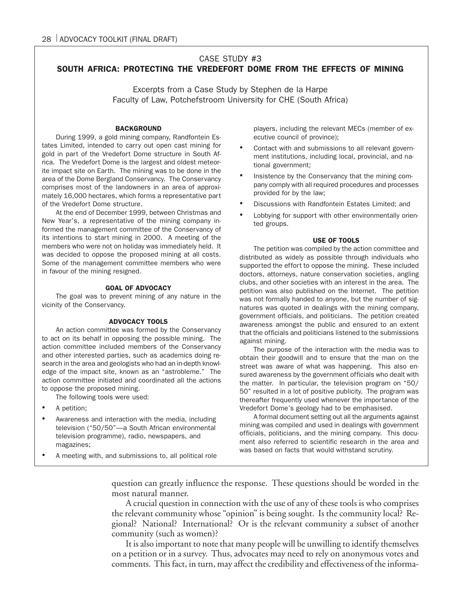## CASE STUDY #3 SOUTH AFRICA: PROTECTING THE VREDEFORT DOME FROM THE EFFECTS OF MINING

Excerpts from a Case Study by Stephen de la Harpe Faculty of Law, Potchefstroom University for CHE (South Africa)

### BACKGROUND

During 1999, a gold mining company, Randfontein Estates Limited, intended to carry out open cast mining for gold in part of the Vredefort Dome structure in South Africa. The Vredefort Dome is the largest and oldest meteorite impact site on Earth. The mining was to be done in the area of the Dome Bergland Conservancy. The Conservancy comprises most of the landowners in an area of approximately 16,000 hectares, which forms a representative part of the Vredefort Dome structure.

At the end of December 1999, between Christmas and New Year's, a representative of the mining company informed the management committee of the Conservancy of its intentions to start mining in 2000. A meeting of the members who were not on holiday was immediately held. It was decided to oppose the proposed mining at all costs. Some of the management committee members who were in favour of the mining resigned.

### GOAL OF ADVOCACY

The goal was to prevent mining of any nature in the vicinity of the Conservancy.

#### ADVOCACY TOOLS

An action committee was formed by the Conservancy to act on its behalf in opposing the possible mining. The action committee included members of the Conservancy and other interested parties, such as academics doing research in the area and geologists who had an in-depth knowledge of the impact site, known as an "astrobleme." The action committee initiated and coordinated all the actions to oppose the proposed mining.

The following tools were used:

- A petition:
- Awareness and interaction with the media, including television ("50/50"—a South African environmental television programme), radio, newspapers, and magazines;
- A meeting with, and submissions to, all political role

players, including the relevant MECs (member of executive council of province);

- Contact with and submissions to all relevant government institutions, including local, provincial, and national government;
- Insistence by the Conservancy that the mining company comply with all required procedures and processes provided for by the law;
- Discussions with Randfontein Estates Limited; and
- Lobbying for support with other environmentally oriented groups.

### USE OF TOOLS

The petition was compiled by the action committee and distributed as widely as possible through individuals who supported the effort to oppose the mining. These included doctors, attorneys, nature conservation societies, angling clubs, and other societies with an interest in the area. The petition was also published on the Internet. The petition was not formally handed to anyone, but the number of signatures was quoted in dealings with the mining company, government officials, and politicians. The petition created awareness amongst the public and ensured to an extent that the officials and politicians listened to the submissions against mining.

The purpose of the interaction with the media was to obtain their goodwill and to ensure that the man on the street was aware of what was happening. This also ensured awareness by the government officials who dealt with the matter. In particular, the television program on "50/ 50" resulted in a lot of positive publicity. The program was thereafter frequently used whenever the importance of the Vredefort Dome's geology had to be emphasised.

A formal document setting out all the arguments against mining was compiled and used in dealings with government officials, politicians, and the mining company. This document also referred to scientific research in the area and was based on facts that would withstand scrutiny.

question can greatly influence the response. These questions should be worded in the most natural manner.

A crucial question in connection with the use of any of these tools is who comprises the relevant community whose "opinion" is being sought. Is the community local? Regional? National? International? Or is the relevant community a subset of another community (such as women)?

It is also important to note that many people will be unwilling to identify themselves on a petition or in a survey. Thus, advocates may need to rely on anonymous votes and comments. This fact, in turn, may affect the credibility and effectiveness of the informa-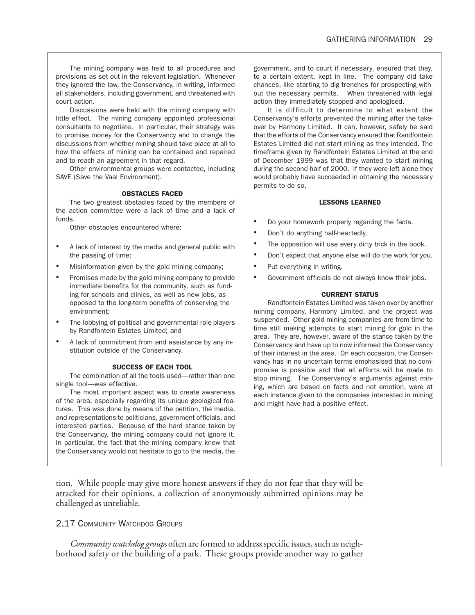The mining company was held to all procedures and provisions as set out in the relevant legislation. Whenever they ignored the law, the Conservancy, in writing, informed all stakeholders, including government, and threatened with court action.

Discussions were held with the mining company with little effect. The mining company appointed professional consultants to negotiate. In particular, their strategy was to promise money for the Conservancy and to change the discussions from whether mining should take place at all to how the effects of mining can be contained and repaired and to reach an agreement in that regard.

Other environmental groups were contacted, including SAVE (Save the Vaal Environment).

### OBSTACLES FACED

The two greatest obstacles faced by the members of the action committee were a lack of time and a lack of funds.

Other obstacles encountered where:

- A lack of interest by the media and general public with the passing of time;
- Misinformation given by the gold mining company;
- Promises made by the gold mining company to provide immediate benefits for the community, such as funding for schools and clinics, as well as new jobs, as opposed to the long-term benefits of conserving the environment;
- The lobbying of political and governmental role-players by Randfontein Estates Limited; and
- A lack of commitment from and assistance by any institution outside of the Conservancy.

### SUCCESS OF EACH TOOL

The combination of all the tools used—rather than one single tool—was effective.

The most important aspect was to create awareness of the area, especially regarding its unique geological features. This was done by means of the petition, the media, and representations to politicians, government officials, and interested parties. Because of the hard stance taken by the Conservancy, the mining company could not ignore it. In particular, the fact that the mining company knew that the Conservancy would not hesitate to go to the media, the

government, and to court if necessary, ensured that they, to a certain extent, kept in line. The company did take chances, like starting to dig trenches for prospecting without the necessary permits. When threatened with legal action they immediately stopped and apologised.

It is difficult to determine to what extent the Conservancy's efforts prevented the mining after the takeover by Harmony Limited. It can, however, safely be said that the efforts of the Conservancy ensured that Randfontein Estates Limited did not start mining as they intended. The timeframe given by Randfontein Estates Limited at the end of December 1999 was that they wanted to start mining during the second half of 2000. If they were left alone they would probably have succeeded in obtaining the necessary permits to do so.

### LESSONS LEARNED

- Do your homework properly regarding the facts.
- Don't do anything half-heartedly.
- The opposition will use every dirty trick in the book.
- Don't expect that anyone else will do the work for you.
- Put everything in writing.
- Government officials do not always know their jobs.

### CURRENT STATUS

Randfontein Estates Limited was taken over by another mining company, Harmony Limited, and the project was suspended. Other gold mining companies are from time to time still making attempts to start mining for gold in the area. They are, however, aware of the stance taken by the Conservancy and have up to now informed the Conservancy of their interest in the area. On each occasion, the Conservancy has in no uncertain terms emphasised that no compromise is possible and that all efforts will be made to stop mining. The Conservancy's arguments against mining, which are based on facts and not emotion, were at each instance given to the companies interested in mining and might have had a positive effect.

tion. While people may give more honest answers if they do not fear that they will be attacked for their opinions, a collection of anonymously submitted opinions may be challenged as unreliable.

2.17 COMMUNITY WATCHDOG GROUPS

*Community watchdog groups* often are formed to address specific issues, such as neighborhood safety or the building of a park. These groups provide another way to gather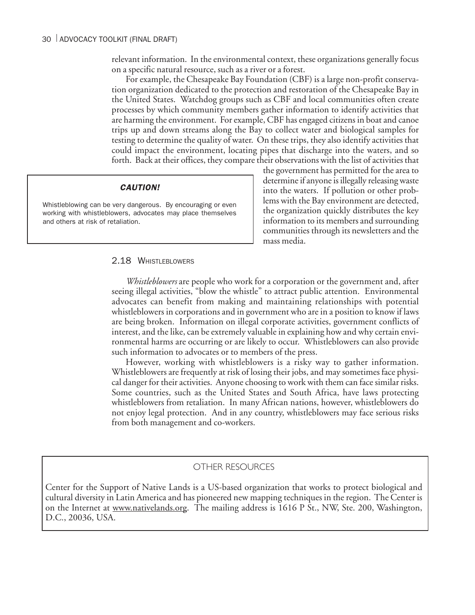relevant information. In the environmental context, these organizations generally focus on a specific natural resource, such as a river or a forest.

For example, the Chesapeake Bay Foundation (CBF) is a large non-profit conservation organization dedicated to the protection and restoration of the Chesapeake Bay in the United States. Watchdog groups such as CBF and local communities often create processes by which community members gather information to identify activities that are harming the environment. For example, CBF has engaged citizens in boat and canoe trips up and down streams along the Bay to collect water and biological samples for testing to determine the quality of water. On these trips, they also identify activities that could impact the environment, locating pipes that discharge into the waters, and so forth. Back at their offices, they compare their observations with the list of activities that

## CAUTION!

Whistleblowing can be very dangerous. By encouraging or even working with whistleblowers, advocates may place themselves and others at risk of retaliation.

the government has permitted for the area to determine if anyone is illegally releasing waste into the waters. If pollution or other problems with the Bay environment are detected, the organization quickly distributes the key information to its members and surrounding communities through its newsletters and the mass media.

## 2.18 WHISTLEBLOWERS

*Whistleblowers* are people who work for a corporation or the government and, after seeing illegal activities, "blow the whistle" to attract public attention. Environmental advocates can benefit from making and maintaining relationships with potential whistleblowers in corporations and in government who are in a position to know if laws are being broken. Information on illegal corporate activities, government conflicts of interest, and the like, can be extremely valuable in explaining how and why certain environmental harms are occurring or are likely to occur. Whistleblowers can also provide such information to advocates or to members of the press.

However, working with whistleblowers is a risky way to gather information. Whistleblowers are frequently at risk of losing their jobs, and may sometimes face physical danger for their activities. Anyone choosing to work with them can face similar risks. Some countries, such as the United States and South Africa, have laws protecting whistleblowers from retaliation. In many African nations, however, whistleblowers do not enjoy legal protection. And in any country, whistleblowers may face serious risks from both management and co-workers.

## OTHER RESOURCES

Center for the Support of Native Lands is a US-based organization that works to protect biological and cultural diversity in Latin America and has pioneered new mapping techniques in the region. The Center is on the Internet at www.nativelands.org. The mailing address is 1616 P St., NW, Ste. 200, Washington, D.C., 20036, USA.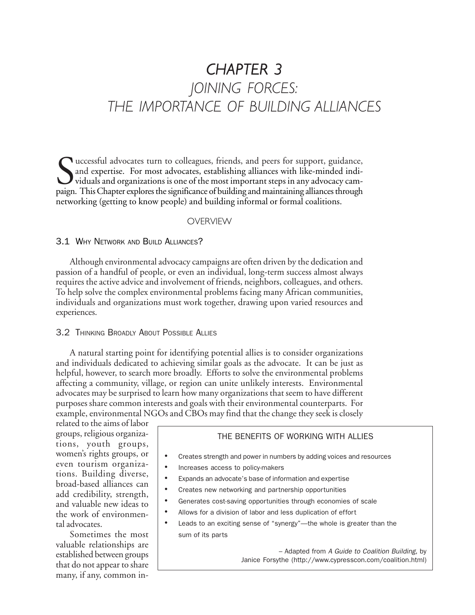## *CHAPTER 3 CHAPTER 3 JOINING FORCES: THE IMPORTANCE OF BUILDING ALLIANCES*

Successful advocates turn to colleagues, friends, and peers for support, guidance, and expertise. For most advocates, establishing alliances with like-minded individuals and organizations is one of the most important steps and expertise. For most advocates, establishing alliances with like-minded individuals and organizations is one of the most important steps in any advocacy campaign. This Chapter explores the significance of building and maintaining alliances through networking (getting to know people) and building informal or formal coalitions.

### **OVERVIEW**

3.1 WHY NETWORK AND BUILD ALLIANCES?

Although environmental advocacy campaigns are often driven by the dedication and passion of a handful of people, or even an individual, long-term success almost always requires the active advice and involvement of friends, neighbors, colleagues, and others. To help solve the complex environmental problems facing many African communities, individuals and organizations must work together, drawing upon varied resources and experiences.

## 3.2 THINKING BROADLY ABOUT POSSIBLE ALLIES

A natural starting point for identifying potential allies is to consider organizations and individuals dedicated to achieving similar goals as the advocate. It can be just as helpful, however, to search more broadly. Efforts to solve the environmental problems affecting a community, village, or region can unite unlikely interests. Environmental advocates may be surprised to learn how many organizations that seem to have different purposes share common interests and goals with their environmental counterparts. For example, environmental NGOs and CBOs may find that the change they seek is closely

related to the aims of labor groups, religious organizations, youth groups, women's rights groups, or even tourism organizations. Building diverse, broad-based alliances can add credibility, strength, and valuable new ideas to the work of environmental advocates.

Sometimes the most valuable relationships are established between groups that do not appear to share many, if any, common in-

### THE BENEFITS OF WORKING WITH ALLIES

- Creates strength and power in numbers by adding voices and resources
- Increases access to policy-makers
- Expands an advocate's base of information and expertise
- Creates new networking and partnership opportunities
- Generates cost-saving opportunities through economies of scale
- Allows for a division of labor and less duplication of effort
- Leads to an exciting sense of "synergy"-the whole is greater than the sum of its parts

– Adapted from A Guide to Coalition Building, by Janice Forsythe (http://www.cypresscon.com/coalition.html)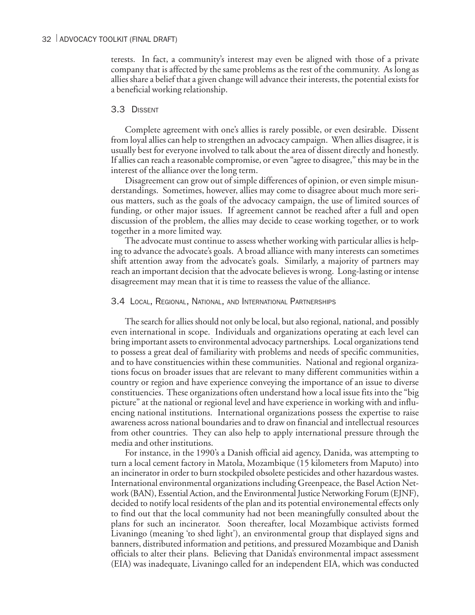terests. In fact, a community's interest may even be aligned with those of a private company that is affected by the same problems as the rest of the community. As long as allies share a belief that a given change will advance their interests, the potential exists for a beneficial working relationship.

## 3.3 DISSENT

Complete agreement with one's allies is rarely possible, or even desirable. Dissent from loyal allies can help to strengthen an advocacy campaign. When allies disagree, it is usually best for everyone involved to talk about the area of dissent directly and honestly. If allies can reach a reasonable compromise, or even "agree to disagree," this may be in the interest of the alliance over the long term.

Disagreement can grow out of simple differences of opinion, or even simple misunderstandings. Sometimes, however, allies may come to disagree about much more serious matters, such as the goals of the advocacy campaign, the use of limited sources of funding, or other major issues. If agreement cannot be reached after a full and open discussion of the problem, the allies may decide to cease working together, or to work together in a more limited way.

The advocate must continue to assess whether working with particular allies is helping to advance the advocate's goals. A broad alliance with many interests can sometimes shift attention away from the advocate's goals. Similarly, a majority of partners may reach an important decision that the advocate believes is wrong. Long-lasting or intense disagreement may mean that it is time to reassess the value of the alliance.

### 3.4 LOCAL, REGIONAL, NATIONAL, AND INTERNATIONAL PARTNERSHIPS

The search for allies should not only be local, but also regional, national, and possibly even international in scope. Individuals and organizations operating at each level can bring important assets to environmental advocacy partnerships. Local organizations tend to possess a great deal of familiarity with problems and needs of specific communities, and to have constituencies within these communities. National and regional organizations focus on broader issues that are relevant to many different communities within a country or region and have experience conveying the importance of an issue to diverse constituencies. These organizations often understand how a local issue fits into the "big picture" at the national or regional level and have experience in working with and influencing national institutions. International organizations possess the expertise to raise awareness across national boundaries and to draw on financial and intellectual resources from other countries. They can also help to apply international pressure through the media and other institutions.

For instance, in the 1990's a Danish official aid agency, Danida, was attempting to turn a local cement factory in Matola, Mozambique (15 kilometers from Maputo) into an incinerator in order to burn stockpiled obsolete pesticides and other hazardous wastes. International environmental organizations including Greenpeace, the Basel Action Network (BAN), Essential Action, and the Environmental Justice Networking Forum (EJNF), decided to notify local residents of the plan and its potential environemental effects only to find out that the local community had not been meaningfully consulted about the plans for such an incinerator. Soon thereafter, local Mozambique activists formed Livaningo (meaning 'to shed light'), an environmental group that displayed signs and banners, distributed information and petitions, and pressured Mozambique and Danish officials to alter their plans. Believing that Danida's environmental impact assessment (EIA) was inadequate, Livaningo called for an independent EIA, which was conducted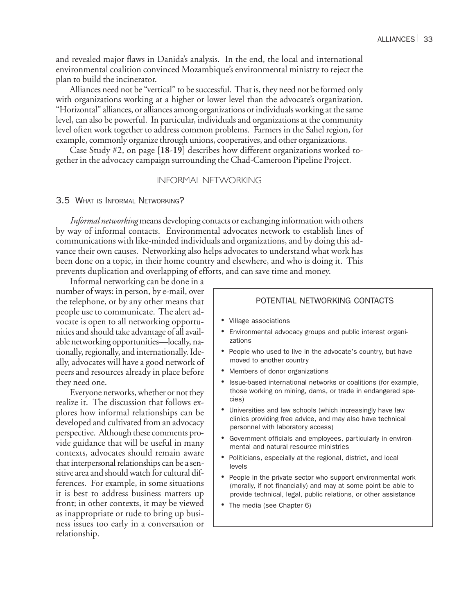and revealed major flaws in Danida's analysis. In the end, the local and international environmental coalition convinced Mozambique's environmental ministry to reject the plan to build the incinerator.

Alliances need not be "vertical" to be successful. That is, they need not be formed only with organizations working at a higher or lower level than the advocate's organization. "Horizontal" alliances, or alliances among organizations or individuals working at the same level, can also be powerful. In particular, individuals and organizations at the community level often work together to address common problems. Farmers in the Sahel region, for example, commonly organize through unions, cooperatives, and other organizations.

Case Study #2, on page **[18-19]** describes how different organizations worked together in the advocacy campaign surrounding the Chad-Cameroon Pipeline Project.

## INFORMAL NETWORKING

### 3.5 WHAT IS INFORMAL NETWORKING?

*Informal networking* means developing contacts or exchanging information with others by way of informal contacts. Environmental advocates network to establish lines of communications with like-minded individuals and organizations, and by doing this advance their own causes. Networking also helps advocates to understand what work has been done on a topic, in their home country and elsewhere, and who is doing it. This prevents duplication and overlapping of efforts, and can save time and money.

Informal networking can be done in a number of ways: in person, by e-mail, over the telephone, or by any other means that people use to communicate. The alert advocate is open to all networking opportunities and should take advantage of all available networking opportunities—locally, nationally, regionally, and internationally. Ideally, advocates will have a good network of peers and resources already in place before they need one.

Everyone networks, whether or not they realize it. The discussion that follows explores how informal relationships can be developed and cultivated from an advocacy perspective. Although these comments provide guidance that will be useful in many contexts, advocates should remain aware that interpersonal relationships can be a sensitive area and should watch for cultural differences. For example, in some situations it is best to address business matters up front; in other contexts, it may be viewed as inappropriate or rude to bring up business issues too early in a conversation or relationship.

### POTENTIAL NETWORKING CONTACTS

- Village associations
- Environmental advocacy groups and public interest organi zations
- People who used to live in the advocate's country, but have moved to another country
- Members of donor organizations
- Issue-based international networks or coalitions (for example, those working on mining, dams, or trade in endangered spe cies)
- Universities and law schools (which increasingly have law clinics providing free advice, and may also have technical personnel with laboratory access)
- Government officials and employees, particularly in environ mental and natural resource ministries
- Politicians, especially at the regional, district, and local levels
- People in the private sector who support environmental work (morally, if not financially) and may at some point be able to provide technical, legal, public relations, or other assistance
- The media (see Chapter 6)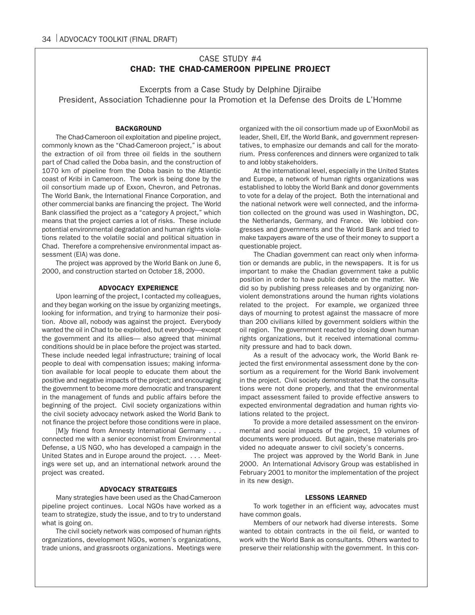## CASE STUDY #4 CHAD: THE CHAD-CAMEROON PIPELINE PROJECT

Excerpts from a Case Study by Delphine Djiraibe President, Association Tchadienne pour la Promotion et la Defense des Droits de L'Homme

### BACKGROUND

The Chad-Cameroon oil exploitation and pipeline project, commonly known as the "Chad-Cameroon project," is about the extraction of oil from three oil fields in the southern part of Chad called the Doba basin, and the construction of 1070 km of pipeline from the Doba basin to the Atlantic coast of Kribi in Cameroon. The work is being done by the oil consortium made up of Exxon, Chevron, and Petronas. The World Bank, the International Finance Corporation, and other commercial banks are financing the project. The World Bank classified the project as a "category A project," which means that the project carries a lot of risks. These include potential environmental degradation and human rights violations related to the volatile social and political situation in Chad. Therefore a comprehensive environmental impact assessment (EIA) was done.

The project was approved by the World Bank on June 6, 2000, and construction started on October 18, 2000.

### ADVOCACY EXPERIENCE

Upon learning of the project, I contacted my colleagues, and they began working on the issue by organizing meetings, looking for information, and trying to harmonize their position. Above all, nobody was against the project. Everybody wanted the oil in Chad to be exploited, but everybody—except the government and its allies— also agreed that minimal conditions should be in place before the project was started. These include needed legal infrastructure; training of local people to deal with compensation issues; making information available for local people to educate them about the positive and negative impacts of the project; and encouraging the government to become more democratic and transparent in the management of funds and public affairs before the beginning of the project. Civil society organizations within the civil society advocacy network asked the World Bank to not finance the project before those conditions were in place.

[M]y friend from Amnesty International Germany . . . connected me with a senior economist from Environmental Defense, a US NGO, who has developed a campaign in the United States and in Europe around the project. . . . Meetings were set up, and an international network around the project was created.

#### ADVOCACY STRATEGIES

Many strategies have been used as the Chad-Cameroon pipeline project continues. Local NGOs have worked as a team to strategize, study the issue, and to try to understand what is going on.

The civil society network was composed of human rights organizations, development NGOs, women's organizations, trade unions, and grassroots organizations. Meetings were organized with the oil consortium made up of ExxonMobil as leader, Shell, Elf, the World Bank, and government representatives, to emphasize our demands and call for the moratorium. Press conferences and dinners were organized to talk to and lobby stakeholders.

At the international level, especially in the United States and Europe, a network of human rights organizations was established to lobby the World Bank and donor governments to vote for a delay of the project. Both the international and the national network were well connected, and the information collected on the ground was used in Washington, DC, the Netherlands, Germany, and France. We lobbied congresses and governments and the World Bank and tried to make taxpayers aware of the use of their money to support a questionable project.

The Chadian government can react only when information or demands are public, in the newspapers. It is for us important to make the Chadian government take a public position in order to have public debate on the matter. We did so by publishing press releases and by organizing nonviolent demonstrations around the human rights violations related to the project. For example, we organized three days of mourning to protest against the massacre of more than 200 civilians killed by government soldiers within the oil region. The government reacted by closing down human rights organizations, but it received international community pressure and had to back down.

As a result of the advocacy work, the World Bank rejected the first environmental assessment done by the consortium as a requirement for the World Bank involvement in the project. Civil society demonstrated that the consultations were not done properly, and that the environmental impact assessment failed to provide effective answers to expected environmental degradation and human rights violations related to the project.

To provide a more detailed assessment on the environmental and social impacts of the project, 19 volumes of documents were produced. But again, these materials provided no adequate answer to civil society's concerns.

The project was approved by the World Bank in June 2000. An International Advisory Group was established in February 2001 to monitor the implementation of the project in its new design.

#### LESSONS LEARNED

To work together in an efficient way, advocates must have common goals.

Members of our network had diverse interests. Some wanted to obtain contracts in the oil field, or wanted to work with the World Bank as consultants. Others wanted to preserve their relationship with the government. In this con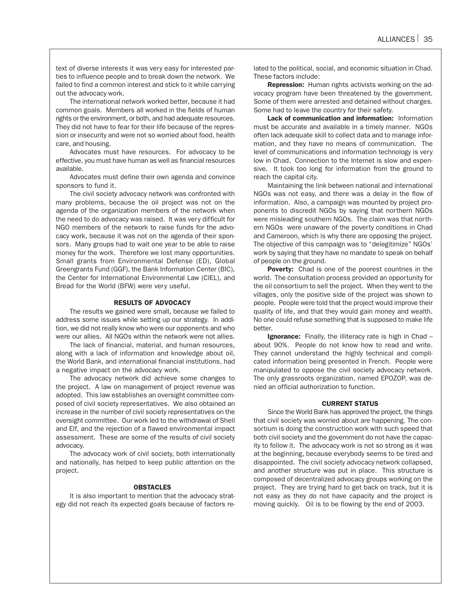text of diverse interests it was very easy for interested parties to influence people and to break down the network. We failed to find a common interest and stick to it while carrying out the advocacy work.

The international network worked better, because it had common goals. Members all worked in the fields of human rights or the environment, or both, and had adequate resources. They did not have to fear for their life because of the repression or insecurity and were not so worried about food, health care, and housing.

Advocates must have resources. For advocacy to be effective, you must have human as well as financial resources available.

Advocates must define their own agenda and convince sponsors to fund it.

The civil society advocacy network was confronted with many problems, because the oil project was not on the agenda of the organization members of the network when the need to do advocacy was raised. It was very difficult for NGO members of the network to raise funds for the advocacy work, because it was not on the agenda of their sponsors. Many groups had to wait one year to be able to raise money for the work. Therefore we lost many opportunities. Small grants from Environmental Defense (ED), Global Greengrants Fund (GGF), the Bank Information Center (BIC), the Center for International Environmental Law (CIEL), and Bread for the World (BFW) were very useful.

### RESULTS OF ADVOCACY

The results we gained were small, because we failed to address some issues while setting up our strategy. In addition, we did not really know who were our opponents and who were our allies. All NGOs within the network were not allies.

The lack of financial, material, and human resources, along with a lack of information and knowledge about oil, the World Bank, and international financial institutions, had a negative impact on the advocacy work.

The advocacy network did achieve some changes to the project. A law on management of project revenue was adopted. This law establishes an oversight committee composed of civil society representatives. We also obtained an increase in the number of civil society representatives on the oversight committee. Our work led to the withdrawal of Shell and Elf, and the rejection of a flawed environmental impact assessment. These are some of the results of civil society advocacy.

The advocacy work of civil society, both internationally and nationally, has helped to keep public attention on the project.

#### OBSTACLES

It is also important to mention that the advocacy strategy did not reach its expected goals because of factors related to the political, social, and economic situation in Chad. These factors include:

Repression: Human rights activists working on the advocacy program have been threatened by the government. Some of them were arrested and detained without charges. Some had to leave the country for their safety.

Lack of communication and information: Information must be accurate and available in a timely manner. NGOs often lack adequate skill to collect data and to manage information, and they have no means of communication. The level of communications and information technology is very low in Chad. Connection to the Internet is slow and expensive. It took too long for information from the ground to reach the capital city.

Maintaining the link between national and international NGOs was not easy, and there was a delay in the flow of information. Also, a campaign was mounted by project proponents to discredit NGOs by saying that northern NGOs were misleading southern NGOs. The claim was that northern NGOs were unaware of the poverty conditions in Chad and Cameroon, which is why there are opposing the project. The objective of this campaign was to "delegitimize" NGOs' work by saying that they have no mandate to speak on behalf of people on the ground.

Poverty: Chad is one of the poorest countries in the world. The consultation process provided an opportunity for the oil consortium to sell the project. When they went to the villages, only the positive side of the project was shown to people. People were told that the project would improve their quality of life, and that they would gain money and wealth. No one could refuse something that is supposed to make life better.

Ignorance: Finally, the illiteracy rate is high in Chad about 90%. People do not know how to read and write. They cannot understand the highly technical and complicated information being presented in French. People were manipulated to oppose the civil society advocacy network. The only grassroots organization, named EPOZOP, was denied an official authorization to function.

### CURRENT STATUS

Since the World Bank has approved the project, the things that civil society was worried about are happening. The consortium is doing the construction work with such speed that both civil society and the government do not have the capacity to follow it. The advocacy work is not so strong as it was at the beginning, because everybody seems to be tired and disappointed. The civil society advocacy network collapsed, and another structure was put in place. This structure is composed of decentralized advocacy groups working on the project. They are trying hard to get back on track, but it is not easy as they do not have capacity and the project is moving quickly. Oil is to be flowing by the end of 2003.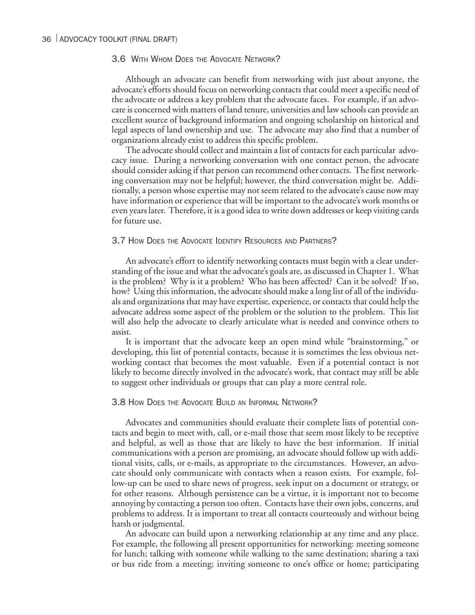### 3.6 WITH WHOM DOES THE ADVOCATE NETWORK?

Although an advocate can benefit from networking with just about anyone, the advocate's efforts should focus on networking contacts that could meet a specific need of the advocate or address a key problem that the advocate faces. For example, if an advocate is concerned with matters of land tenure, universities and law schools can provide an excellent source of background information and ongoing scholarship on historical and legal aspects of land ownership and use. The advocate may also find that a number of organizations already exist to address this specific problem.

The advocate should collect and maintain a list of contacts for each particular advocacy issue. During a networking conversation with one contact person, the advocate should consider asking if that person can recommend other contacts. The first networking conversation may not be helpful; however, the third conversation might be. Additionally, a person whose expertise may not seem related to the advocate's cause now may have information or experience that will be important to the advocate's work months or even years later. Therefore, it is a good idea to write down addresses or keep visiting cards for future use.

## 3.7 HOW DOES THE ADVOCATE IDENTIFY RESOURCES AND PARTNERS?

An advocate's effort to identify networking contacts must begin with a clear understanding of the issue and what the advocate's goals are, as discussed in Chapter 1. What is the problem? Why is it a problem? Who has been affected? Can it be solved? If so, how? Using this information, the advocate should make a long list of all of the individuals and organizations that may have expertise, experience, or contacts that could help the advocate address some aspect of the problem or the solution to the problem. This list will also help the advocate to clearly articulate what is needed and convince others to assist.

It is important that the advocate keep an open mind while "brainstorming," or developing, this list of potential contacts, because it is sometimes the less obvious networking contact that becomes the most valuable. Even if a potential contact is not likely to become directly involved in the advocate's work, that contact may still be able to suggest other individuals or groups that can play a more central role.

### 3.8 HOW DOES THE ADVOCATE BUILD AN INFORMAL NETWORK?

Advocates and communities should evaluate their complete lists of potential contacts and begin to meet with, call, or e-mail those that seem most likely to be receptive and helpful, as well as those that are likely to have the best information. If initial communications with a person are promising, an advocate should follow up with additional visits, calls, or e-mails, as appropriate to the circumstances. However, an advocate should only communicate with contacts when a reason exists. For example, follow-up can be used to share news of progress, seek input on a document or strategy, or for other reasons. Although persistence can be a virtue, it is important not to become annoying by contacting a person too often. Contacts have their own jobs, concerns, and problems to address. It is important to treat all contacts courteously and without being harsh or judgmental.

An advocate can build upon a networking relationship at any time and any place. For example, the following all present opportunities for networking: meeting someone for lunch; talking with someone while walking to the same destination; sharing a taxi or bus ride from a meeting; inviting someone to one's office or home; participating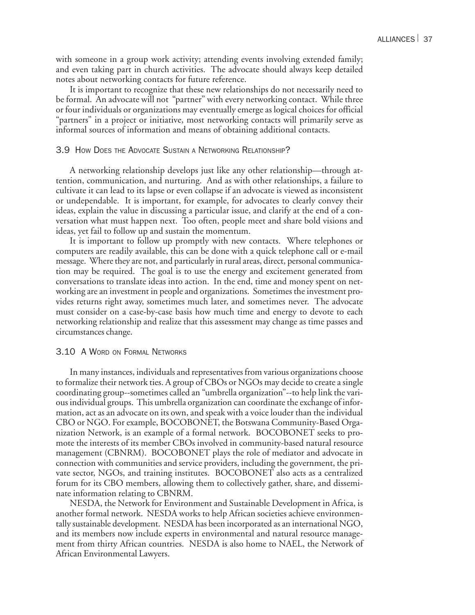with someone in a group work activity; attending events involving extended family; and even taking part in church activities. The advocate should always keep detailed notes about networking contacts for future reference.

It is important to recognize that these new relationships do not necessarily need to be formal. An advocate will not "partner" with every networking contact. While three or four individuals or organizations may eventually emerge as logical choices for official "partners" in a project or initiative, most networking contacts will primarily serve as informal sources of information and means of obtaining additional contacts.

## 3.9 HOW DOES THE ADVOCATE SUSTAIN A NETWORKING RELATIONSHIP?

A networking relationship develops just like any other relationship—through attention, communication, and nurturing. And as with other relationships, a failure to cultivate it can lead to its lapse or even collapse if an advocate is viewed as inconsistent or undependable. It is important, for example, for advocates to clearly convey their ideas, explain the value in discussing a particular issue, and clarify at the end of a conversation what must happen next. Too often, people meet and share bold visions and ideas, yet fail to follow up and sustain the momentum.

It is important to follow up promptly with new contacts. Where telephones or computers are readily available, this can be done with a quick telephone call or e-mail message. Where they are not, and particularly in rural areas, direct, personal communication may be required. The goal is to use the energy and excitement generated from conversations to translate ideas into action. In the end, time and money spent on networking are an investment in people and organizations. Sometimes the investment provides returns right away, sometimes much later, and sometimes never. The advocate must consider on a case-by-case basis how much time and energy to devote to each networking relationship and realize that this assessment may change as time passes and circumstances change.

## 3.10 A WORD ON FORMAL NETWORKS

In many instances, individuals and representatives from various organizations choose to formalize their network ties. A group of CBOs or NGOs may decide to create a single coordinating group--sometimes called an "umbrella organization"--to help link the various individual groups. This umbrella organization can coordinate the exchange of information, act as an advocate on its own, and speak with a voice louder than the individual CBO or NGO. For example, BOCOBONET, the Botswana Community-Based Organization Network, is an example of a formal network. BOCOBONET seeks to promote the interests of its member CBOs involved in community-based natural resource management (CBNRM). BOCOBONET plays the role of mediator and advocate in connection with communities and service providers, including the government, the private sector, NGOs, and training institutes. BOCOBONET also acts as a centralized forum for its CBO members, allowing them to collectively gather, share, and disseminate information relating to CBNRM.

NESDA, the Network for Environment and Sustainable Development in Africa, is another formal network. NESDA works to help African societies achieve environmentally sustainable development. NESDA has been incorporated as an international NGO, and its members now include experts in environmental and natural resource management from thirty African countries. NESDA is also home to NAEL, the Network of African Environmental Lawyers.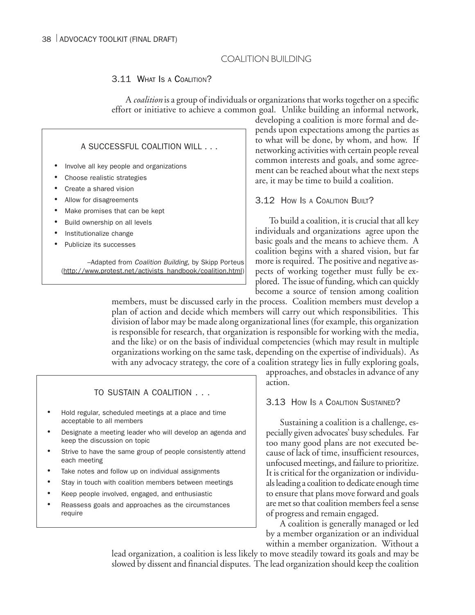# COALITION BUILDING

# 3.11 WHAT IS A COALITION?

A *coalition* is a group of individuals or organizations that works together on a specific effort or initiative to achieve a common goal. Unlike building an informal network,

# A SUCCESSFUL COALITION WILL . . .

- Involve all key people and organizations
- Choose realistic strategies
- Create a shared vision
- Allow for disagreements
- Make promises that can be kept
- Build ownership on all levels
- Institutionalize change
- Publicize its successes

–Adapted from Coalition Building, by Skipp Porteus (http://www.protest.net/activists\_handbook/coalition.html)

developing a coalition is more formal and depends upon expectations among the parties as to what will be done, by whom, and how. If networking activities with certain people reveal common interests and goals, and some agreement can be reached about what the next steps are, it may be time to build a coalition.

# 3.12 HOW IS A COALITION BUILT?

To build a coalition, it is crucial that all key individuals and organizations agree upon the basic goals and the means to achieve them. A coalition begins with a shared vision, but far more is required. The positive and negative aspects of working together must fully be explored. The issue of funding, which can quickly become a source of tension among coalition

members, must be discussed early in the process. Coalition members must develop a plan of action and decide which members will carry out which responsibilities. This division of labor may be made along organizational lines (for example, this organization is responsible for research, that organization is responsible for working with the media, and the like) or on the basis of individual competencies (which may result in multiple organizations working on the same task, depending on the expertise of individuals). As with any advocacy strategy, the core of a coalition strategy lies in fully exploring goals,

## TO SUSTAIN A COALITION . . .

- Hold regular, scheduled meetings at a place and time acceptable to all members
- Designate a meeting leader who will develop an agenda and keep the discussion on topic
- Strive to have the same group of people consistently attend each meeting
- Take notes and follow up on individual assignments
- Stay in touch with coalition members between meetings
- Keep people involved, engaged, and enthusiastic
- Reassess goals and approaches as the circumstances require

approaches, and obstacles in advance of any action.

# 3.13 HOW IS A COALITION SUSTAINED?

Sustaining a coalition is a challenge, especially given advocates' busy schedules. Far too many good plans are not executed because of lack of time, insufficient resources, unfocused meetings, and failure to prioritize. It is critical for the organization or individuals leading a coalition to dedicate enough time to ensure that plans move forward and goals are met so that coalition members feel a sense of progress and remain engaged.

A coalition is generally managed or led by a member organization or an individual within a member organization. Without a

lead organization, a coalition is less likely to move steadily toward its goals and may be slowed by dissent and financial disputes. The lead organization should keep the coalition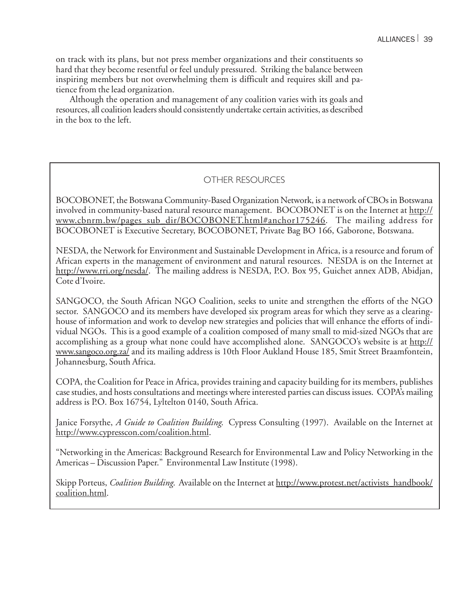on track with its plans, but not press member organizations and their constituents so hard that they become resentful or feel unduly pressured. Striking the balance between inspiring members but not overwhelming them is difficult and requires skill and patience from the lead organization.

Although the operation and management of any coalition varies with its goals and resources, all coalition leaders should consistently undertake certain activities, as described in the box to the left.

# OTHER RESOURCES

BOCOBONET, the Botswana Community-Based Organization Network, is a network of CBOs in Botswana involved in community-based natural resource management. BOCOBONET is on the Internet at http:// www.cbnrm.bw/pages\_sub\_dir/BOCOBONET.html#anchor175246. The mailing address for BOCOBONET is Executive Secretary, BOCOBONET, Private Bag BO 166, Gaborone, Botswana.

NESDA, the Network for Environment and Sustainable Development in Africa, is a resource and forum of African experts in the management of environment and natural resources. NESDA is on the Internet at http://www.rri.org/nesda/. The mailing address is NESDA, P.O. Box 95, Guichet annex ADB, Abidjan, Cote d'Ivoire.

SANGOCO, the South African NGO Coalition, seeks to unite and strengthen the efforts of the NGO sector. SANGOCO and its members have developed six program areas for which they serve as a clearinghouse of information and work to develop new strategies and policies that will enhance the efforts of individual NGOs. This is a good example of a coalition composed of many small to mid-sized NGOs that are accomplishing as a group what none could have accomplished alone. SANGOCO's website is at http:// www.sangoco.org.za/ and its mailing address is 10th Floor Aukland House 185, Smit Street Braamfontein, Johannesburg, South Africa.

COPA, the Coalition for Peace in Africa, provides training and capacity building for its members, publishes case studies, and hosts consultations and meetings where interested parties can discuss issues. COPA's mailing address is P.O. Box 16754, Lyltelton 0140, South Africa.

Janice Forsythe, *A Guide to Coalition Building*. Cypress Consulting (1997). Available on the Internet at http://www.cypresscon.com/coalition.html.

"Networking in the Americas: Background Research for Environmental Law and Policy Networking in the Americas – Discussion Paper." Environmental Law Institute (1998).

Skipp Porteus, *Coalition Building*. Available on the Internet at http://www.protest.net/activists\_handbook/ coalition.html.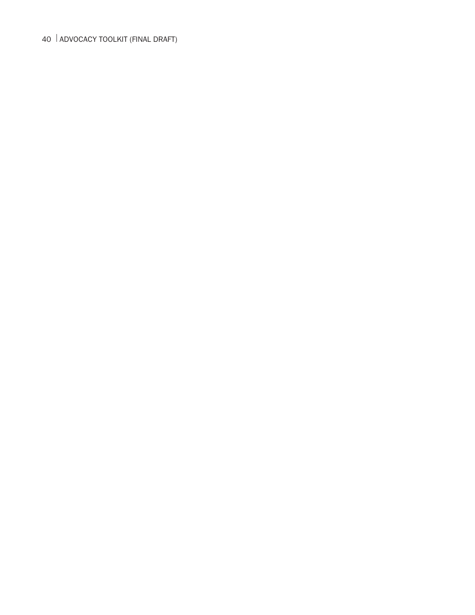# 40 ADVOCACY TOOLKIT (FINAL DRAFT)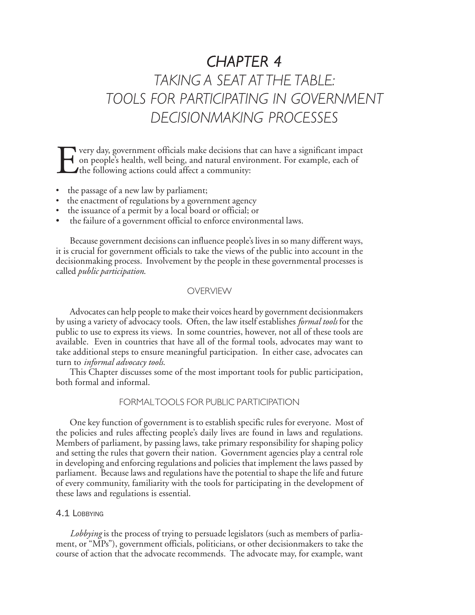# *CHAPTER 4 CHAPTER 4*

# *TAKING A SEAT AT THE TABLE: TOOLS FOR PARTICIPATING IN GOVERNMENT DECISIONMAKING PROCESSES*

Funday, government officials make decisions that can have a significant impact<br>on people's health, well being, and natural environment. For example, each of<br>the following actions could affect a community: on people's health, well being, and natural environment. For example, each of the following actions could affect a community:

- the passage of a new law by parliament;
- the enactment of regulations by a government agency
- the issuance of a permit by a local board or official; or
- the failure of a government official to enforce environmental laws.

Because government decisions can influence people's lives in so many different ways, it is crucial for government officials to take the views of the public into account in the decisionmaking process. Involvement by the people in these governmental processes is called *public participation*.

# **OVERVIEW**

Advocates can help people to make their voices heard by government decisionmakers by using a variety of advocacy tools. Often, the law itself establishes *formal tools* for the public to use to express its views. In some countries, however, not all of these tools are available. Even in countries that have all of the formal tools, advocates may want to take additional steps to ensure meaningful participation. In either case, advocates can turn to *informal advocacy tools*.

This Chapter discusses some of the most important tools for public participation, both formal and informal.

# FORMAL TOOLS FOR PUBLIC PARTICIPATION

One key function of government is to establish specific rules for everyone. Most of the policies and rules affecting people's daily lives are found in laws and regulations. Members of parliament, by passing laws, take primary responsibility for shaping policy and setting the rules that govern their nation. Government agencies play a central role in developing and enforcing regulations and policies that implement the laws passed by parliament. Because laws and regulations have the potential to shape the life and future of every community, familiarity with the tools for participating in the development of these laws and regulations is essential.

# 4.1 LOBBYING

*Lobbying* is the process of trying to persuade legislators (such as members of parliament, or "MPs"), government officials, politicians, or other decisionmakers to take the course of action that the advocate recommends. The advocate may, for example, want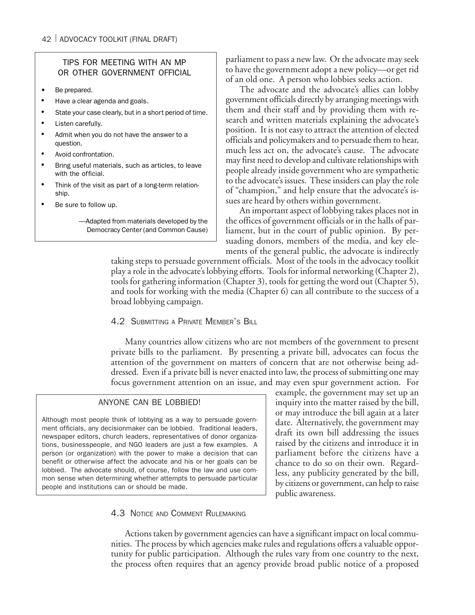# TIPS FOR MEETING WITH AN MP OR OTHER GOVERNMENT OFFICIAL

- Be prepared.
- Have a clear agenda and goals.
- State your case clearly, but in a short period of time.
- Listen carefully.
- Admit when you do not have the answer to a question.
- Avoid confrontation.
- Bring useful materials, such as articles, to leave with the official.
- Think of the visit as part of a long-term relationship.
- Be sure to follow up.

—Adapted from materials developed by the Democracy Center (and Common Cause) parliament to pass a new law. Or the advocate may seek to have the government adopt a new policy—or get rid of an old one. A person who lobbies seeks action.

The advocate and the advocate's allies can lobby government officials directly by arranging meetings with them and their staff and by providing them with research and written materials explaining the advocate's position. It is not easy to attract the attention of elected officials and policymakers and to persuade them to hear, much less act on, the advocate's cause. The advocate may first need to develop and cultivate relationships with people already inside government who are sympathetic to the advocate's issues. These insiders can play the role of "champion," and help ensure that the advocate's issues are heard by others within government.

An important aspect of lobbying takes places not in the offices of government officials or in the halls of parliament, but in the court of public opinion. By persuading donors, members of the media, and key elements of the general public, the advocate is indirectly

taking steps to persuade government officials. Most of the tools in the advocacy toolkit play a role in the advocate's lobbying efforts. Tools for informal networking (Chapter 2), tools for gathering information (Chapter 3), tools for getting the word out (Chapter 5), and tools for working with the media (Chapter 6) can all contribute to the success of a broad lobbying campaign.

# 4.2 SUBMITTING A PRIVATE MEMBER'S BILL

Many countries allow citizens who are not members of the government to present private bills to the parliament. By presenting a private bill, advocates can focus the attention of the government on matters of concern that are not otherwise being addressed. Even if a private bill is never enacted into law, the process of submitting one may focus government attention on an issue, and may even spur government action. For

# ANYONE CAN BE LOBBIED!

Although most people think of lobbying as a way to persuade government officials, any decisionmaker can be lobbied. Traditional leaders, newspaper editors, church leaders, representatives of donor organizations, businesspeople, and NGO leaders are just a few examples. A person (or organization) with the power to make a decision that can benefit or otherwise affect the advocate and his or her goals can be lobbied. The advocate should, of course, follow the law and use common sense when determining whether attempts to persuade particular people and institutions can or should be made.

example, the government may set up an inquiry into the matter raised by the bill, or may introduce the bill again at a later date. Alternatively, the government may draft its own bill addressing the issues raised by the citizens and introduce it in parliament before the citizens have a chance to do so on their own. Regardless, any publicity generated by the bill, by citizens or government, can help to raise public awareness.

# 4.3 NOTICE AND COMMENT RULEMAKING

Actions taken by government agencies can have a significant impact on local communities. The process by which agencies make rules and regulations offers a valuable opportunity for public participation. Although the rules vary from one country to the next, the process often requires that an agency provide broad public notice of a proposed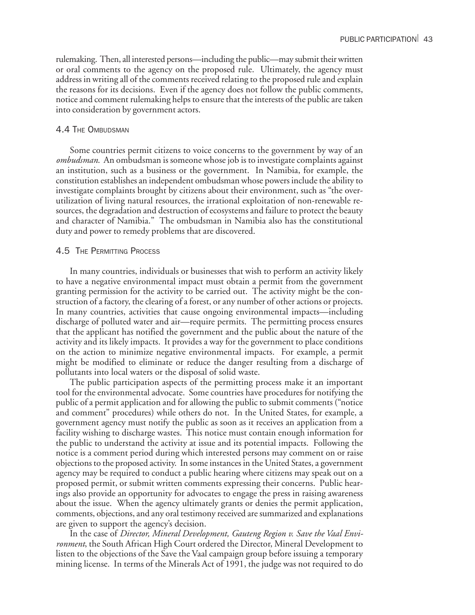rulemaking. Then, all interested persons—including the public—may submit their written or oral comments to the agency on the proposed rule. Ultimately, the agency must address in writing all of the comments received relating to the proposed rule and explain the reasons for its decisions. Even if the agency does not follow the public comments, notice and comment rulemaking helps to ensure that the interests of the public are taken into consideration by government actors.

## 4.4 THE OMBUDSMAN

Some countries permit citizens to voice concerns to the government by way of an *ombudsman*. An ombudsman is someone whose job is to investigate complaints against an institution, such as a business or the government. In Namibia, for example, the constitution establishes an independent ombudsman whose powers include the ability to investigate complaints brought by citizens about their environment, such as "the overutilization of living natural resources, the irrational exploitation of non-renewable resources, the degradation and destruction of ecosystems and failure to protect the beauty and character of Namibia." The ombudsman in Namibia also has the constitutional duty and power to remedy problems that are discovered.

## 4.5 THE PERMITTING PROCESS

In many countries, individuals or businesses that wish to perform an activity likely to have a negative environmental impact must obtain a permit from the government granting permission for the activity to be carried out. The activity might be the construction of a factory, the clearing of a forest, or any number of other actions or projects. In many countries, activities that cause ongoing environmental impacts—including discharge of polluted water and air—require permits. The permitting process ensures that the applicant has notified the government and the public about the nature of the activity and its likely impacts. It provides a way for the government to place conditions on the action to minimize negative environmental impacts. For example, a permit might be modified to eliminate or reduce the danger resulting from a discharge of pollutants into local waters or the disposal of solid waste.

The public participation aspects of the permitting process make it an important tool for the environmental advocate. Some countries have procedures for notifying the public of a permit application and for allowing the public to submit comments ("notice and comment" procedures) while others do not. In the United States, for example, a government agency must notify the public as soon as it receives an application from a facility wishing to discharge wastes. This notice must contain enough information for the public to understand the activity at issue and its potential impacts. Following the notice is a comment period during which interested persons may comment on or raise objections to the proposed activity. In some instances in the United States, a government agency may be required to conduct a public hearing where citizens may speak out on a proposed permit, or submit written comments expressing their concerns. Public hearings also provide an opportunity for advocates to engage the press in raising awareness about the issue. When the agency ultimately grants or denies the permit application, comments, objections, and any oral testimony received are summarized and explanations are given to support the agency's decision.

In the case of *Director, Mineral Development, Gauteng Region v. Save the Vaal Environment*, the South African High Court ordered the Director, Mineral Development to listen to the objections of the Save the Vaal campaign group before issuing a temporary mining license. In terms of the Minerals Act of 1991, the judge was not required to do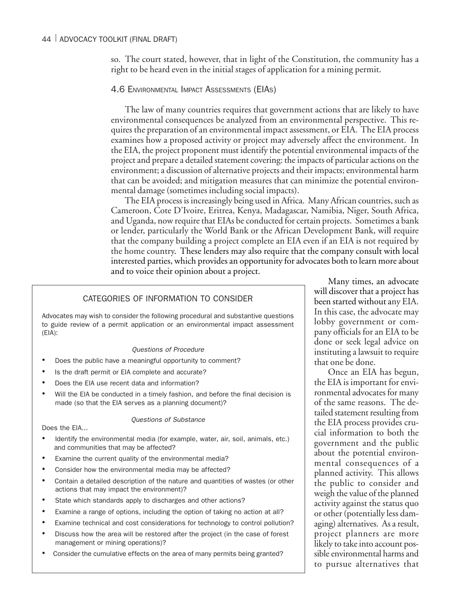so. The court stated, however, that in light of the Constitution, the community has a right to be heard even in the initial stages of application for a mining permit.

## 4.6 ENVIRONMENTAL IMPACT ASSESSMENTS (EIAS)

The law of many countries requires that government actions that are likely to have environmental consequences be analyzed from an environmental perspective. This requires the preparation of an environmental impact assessment, or EIA. The EIA process examines how a proposed activity or project may adversely affect the environment. In the EIA, the project proponent must identify the potential environmental impacts of the project and prepare a detailed statement covering: the impacts of particular actions on the environment; a discussion of alternative projects and their impacts; environmental harm that can be avoided; and mitigation measures that can minimize the potential environmental damage (sometimes including social impacts).

The EIA process is increasingly being used in Africa. Many African countries, such as Cameroon, Cote D'Ivoire, Eritrea, Kenya, Madagascar, Namibia, Niger, South Africa, and Uganda, now require that EIAs be conducted for certain projects. Sometimes a bank or lender, particularly the World Bank or the African Development Bank, will require that the company building a project complete an EIA even if an EIA is not required by the home country. These lenders may also require that the company consult with local interested parties, which provides an opportunity for advocates both to learn more about and to voice their opinion about a project.

## CATEGORIES OF INFORMATION TO CONSIDER

Advocates may wish to consider the following procedural and substantive questions to guide review of a permit application or an environmental impact assessment (EIA):

#### Questions of Procedure

- Does the public have a meaningful opportunity to comment?
- Is the draft permit or EIA complete and accurate?
- Does the EIA use recent data and information?
- Will the EIA be conducted in a timely fashion, and before the final decision is made (so that the EIA serves as a planning document)?

#### Questions of Substance

Does the EIA...

- Identify the environmental media (for example, water, air, soil, animals, etc.) and communities that may be affected?
- Examine the current quality of the environmental media?
- Consider how the environmental media may be affected?
- Contain a detailed description of the nature and quantities of wastes (or other actions that may impact the environment)?
- State which standards apply to discharges and other actions?
- Examine a range of options, including the option of taking no action at all?
- Examine technical and cost considerations for technology to control pollution?
- Discuss how the area will be restored after the project (in the case of forest management or mining operations)?
- Consider the cumulative effects on the area of many permits being granted?

Many times, an advocate will discover that a project has been started without any EIA. In this case, the advocate may lobby government or company officials for an EIA to be done or seek legal advice on instituting a lawsuit to require that one be done.

Once an EIA has begun, the EIA is important for environmental advocates for many of the same reasons. The detailed statement resulting from the EIA process provides crucial information to both the government and the public about the potential environmental consequences of a planned activity. This allows the public to consider and weigh the value of the planned activity against the status quo or other (potentially less damaging) alternatives. As a result, project planners are more likely to take into account possible environmental harms and to pursue alternatives that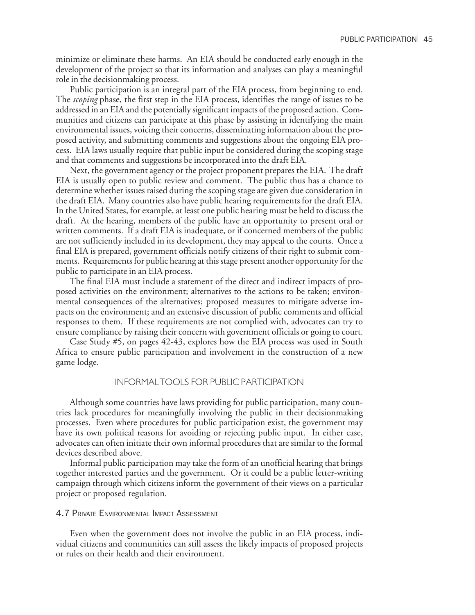minimize or eliminate these harms. An EIA should be conducted early enough in the development of the project so that its information and analyses can play a meaningful role in the decisionmaking process.

Public participation is an integral part of the EIA process, from beginning to end. The *scoping* phase, the first step in the EIA process, identifies the range of issues to be addressed in an EIA and the potentially significant impacts of the proposed action. Communities and citizens can participate at this phase by assisting in identifying the main environmental issues, voicing their concerns, disseminating information about the proposed activity, and submitting comments and suggestions about the ongoing EIA process. EIA laws usually require that public input be considered during the scoping stage and that comments and suggestions be incorporated into the draft EIA.

Next, the government agency or the project proponent prepares the EIA. The draft EIA is usually open to public review and comment. The public thus has a chance to determine whether issues raised during the scoping stage are given due consideration in the draft EIA. Many countries also have public hearing requirements for the draft EIA. In the United States, for example, at least one public hearing must be held to discuss the draft. At the hearing, members of the public have an opportunity to present oral or written comments. If a draft EIA is inadequate, or if concerned members of the public are not sufficiently included in its development, they may appeal to the courts. Once a final EIA is prepared, government officials notify citizens of their right to submit comments. Requirements for public hearing at this stage present another opportunity for the public to participate in an EIA process.

The final EIA must include a statement of the direct and indirect impacts of proposed activities on the environment; alternatives to the actions to be taken; environmental consequences of the alternatives; proposed measures to mitigate adverse impacts on the environment; and an extensive discussion of public comments and official responses to them. If these requirements are not complied with, advocates can try to ensure compliance by raising their concern with government officials or going to court.

Case Study #5, on pages 42-43, explores how the EIA process was used in South Africa to ensure public participation and involvement in the construction of a new game lodge.

## INFORMAL TOOLS FOR PUBLIC PARTICIPATION

Although some countries have laws providing for public participation, many countries lack procedures for meaningfully involving the public in their decisionmaking processes. Even where procedures for public participation exist, the government may have its own political reasons for avoiding or rejecting public input. In either case, advocates can often initiate their own informal procedures that are similar to the formal devices described above.

Informal public participation may take the form of an unofficial hearing that brings together interested parties and the government. Or it could be a public letter-writing campaign through which citizens inform the government of their views on a particular project or proposed regulation.

## 4.7 PRIVATE ENVIRONMENTAL IMPACT ASSESSMENT

Even when the government does not involve the public in an EIA process, individual citizens and communities can still assess the likely impacts of proposed projects or rules on their health and their environment.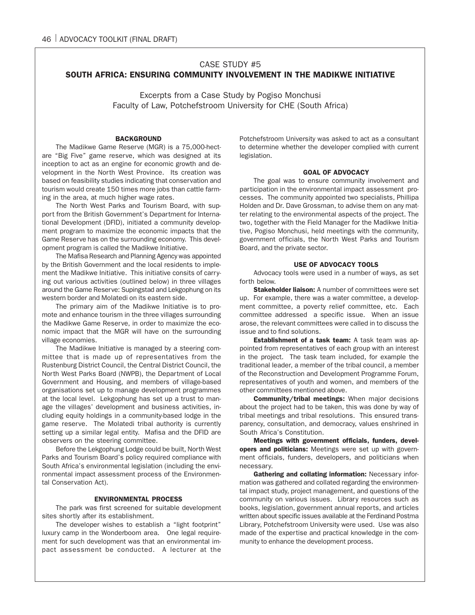# CASE STUDY #5 SOUTH AFRICA: ENSURING COMMUNITY INVOLVEMENT IN THE MADIKWE INITIATIVE

Excerpts from a Case Study by Pogiso Monchusi Faculty of Law, Potchefstroom University for CHE (South Africa)

#### **BACKGROUND**

The Madikwe Game Reserve (MGR) is a 75,000-hectare "Big Five" game reserve, which was designed at its inception to act as an engine for economic growth and development in the North West Province. Its creation was based on feasibility studies indicating that conservation and tourism would create 150 times more jobs than cattle farming in the area, at much higher wage rates.

The North West Parks and Tourism Board, with support from the British Government's Department for International Development (DFID), initiated a community development program to maximize the economic impacts that the Game Reserve has on the surrounding economy. This development program is called the Madikwe Initiative.

The Mafisa Research and Planning Agency was appointed by the British Government and the local residents to implement the Madikwe Initiative. This initiative consits of carrying out various activities (outlined below) in three villages around the Game Reserve: Supingstad and Lekgophung on its western border and Molatedi on its eastern side.

The primary aim of the Madikwe Initiative is to promote and enhance tourism in the three villages surrounding the Madikwe Game Reserve, in order to maximize the economic impact that the MGR will have on the surrounding village economies.

The Madikwe Initiative is managed by a steering committee that is made up of representatives from the Rustenburg District Council, the Central District Council, the North West Parks Board (NWPB), the Department of Local Government and Housing, and members of village-based organisations set up to manage development programmes at the local level. Lekgophung has set up a trust to manage the villages' development and business activities, including equity holdings in a community-based lodge in the game reserve. The Molatedi tribal authority is currently setting up a similar legal entity. Mafisa and the DFID are observers on the steering committee.

Before the Lekgophung Lodge could be built, North West Parks and Tourism Board's policy required compliance with South Africa's environmental legislation (including the environmental impact assessment process of the Environmental Conservation Act).

## ENVIRONMENTAL PROCESS

The park was first screened for suitable development sites shortly after its establishment.

The developer wishes to establish a "light footprint" luxury camp in the Wonderboom area. One legal requirement for such development was that an environmental impact assessment be conducted. A lecturer at the

Potchefstroom University was asked to act as a consultant to determine whether the developer complied with current legislation.

#### GOAL OF ADVOCACY

The goal was to ensure community involvement and participation in the environmental impact assessment processes. The community appointed two specialists, Phillipa Holden and Dr. Dave Grossman, to advise them on any matter relating to the environmental aspects of the project. The two, together with the Field Manager for the Madikwe Initiative, Pogiso Monchusi, held meetings with the community, government officials, the North West Parks and Tourism Board, and the private sector.

#### USE OF ADVOCACY TOOLS

Advocacy tools were used in a number of ways, as set forth below.

Stakeholder liaison: A number of committees were set up. For example, there was a water committee, a development committee, a poverty relief committee, etc. Each committee addressed a specific issue. When an issue arose, the relevant committees were called in to discuss the issue and to find solutions.

Establishment of a task team: A task team was appointed from representatives of each group with an interest in the project. The task team included, for example the traditional leader, a member of the tribal council, a member of the Reconstruction and Development Programme Forum, representatives of youth and women, and members of the other committees mentioned above.

Community/tribal meetings: When major decisions about the project had to be taken, this was done by way of tribal meetings and tribal resolutions. This ensured transparency, consultation, and democracy, values enshrined in South Africa's Constitution.

Meetings with government officials, funders, developers and politicians: Meetings were set up with government officials, funders, developers, and politicians when necessary.

Gathering and collating information: Necessary information was gathered and collated regarding the environmental impact study, project management, and questions of the community on various issues. Library resources such as books, legislation, government annual reports, and articles written about specific issues available at the Ferdinand Postma Library, Potchefstroom University were used. Use was also made of the expertise and practical knowledge in the community to enhance the development process.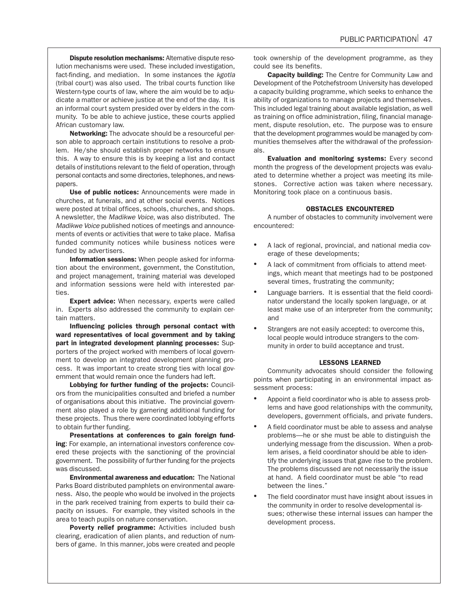**Dispute resolution mechanisms:** Alternative dispute resolution mechanisms were used. These included investigation, fact-finding, and mediation. In some instances the kgotla (tribal court) was also used. The tribal courts function like Western-type courts of law, where the aim would be to adjudicate a matter or achieve justice at the end of the day. It is an informal court system presided over by elders in the community. To be able to achieve justice, these courts applied African customary law.

Networking: The advocate should be a resourceful person able to approach certain institutions to resolve a problem. He/she should establish proper networks to ensure this. A way to ensure this is by keeping a list and contact details of institutions relevant to the field of operation, through personal contacts and some directories, telephones, and newspapers.

Use of public notices: Announcements were made in churches, at funerals, and at other social events. Notices were posted at tribal offices, schools, churches, and shops. A newsletter, the Madikwe Voice, was also distributed. The Madikwe Voice published notices of meetings and announcements of events or activities that were to take place. Mafisa funded community notices while business notices were funded by advertisers.

Information sessions: When people asked for information about the environment, government, the Constitution, and project management, training material was developed and information sessions were held with interested parties.

**Expert advice:** When necessary, experts were called in. Experts also addressed the community to explain certain matters.

Influencing policies through personal contact with ward representatives of local government and by taking part in integrated development planning processes: Supporters of the project worked with members of local government to develop an integrated development planning process. It was important to create strong ties with local government that would remain once the funders had left.

Lobbying for further funding of the projects: Councilors from the municipalities consulted and briefed a number of organisations about this initiative. The provincial government also played a role by garnering additional funding for these projects. Thus there were coordinated lobbying efforts to obtain further funding.

Presentations at conferences to gain foreign funding: For example, an international investors conference covered these projects with the sanctioning of the provincial government. The possibility of further funding for the projects was discussed.

Environmental awareness and education: The National Parks Board distributed pamphlets on environmental awareness. Also, the people who would be involved in the projects in the park received training from experts to build their capacity on issues. For example, they visited schools in the area to teach pupils on nature conservation.

Poverty relief programme: Activities included bush clearing, eradication of alien plants, and reduction of numbers of game. In this manner, jobs were created and people

took ownership of the development programme, as they could see its benefits.

**Capacity building:** The Centre for Community Law and Development of the Potchefstroom University has developed a capacity building programme, which seeks to enhance the ability of organizations to manage projects and themselves. This included legal training about available legislation, as well as training on office administration, filing, financial management, dispute resolution, etc. The purpose was to ensure that the development programmes would be managed by communities themselves after the withdrawal of the professionals.

**Evaluation and monitoring systems:** Every second month the progress of the development projects was evaluated to determine whether a project was meeting its milestones. Corrective action was taken where necessary. Monitoring took place on a continuous basis.

#### OBSTACLES ENCOUNTERED

A number of obstacles to community involvement were encountered:

- A lack of regional, provincial, and national media coverage of these developments;
- A lack of commitment from officials to attend meetings, which meant that meetings had to be postponed several times, frustrating the community;
- Language barriers. It is essential that the field coordinator understand the locally spoken language, or at least make use of an interpreter from the community; and
- Strangers are not easily accepted: to overcome this, local people would introduce strangers to the community in order to build acceptance and trust.

#### LESSONS LEARNED

Community advocates should consider the following points when participating in an environmental impact assessment process:

- Appoint a field coordinator who is able to assess problems and have good relationships with the community, developers, government officials, and private funders.
- A field coordinator must be able to assess and analyse problems—he or she must be able to distinguish the underlying message from the discussion. When a problem arises, a field coordinator should be able to identify the underlying issues that gave rise to the problem. The problems discussed are not necessarily the issue at hand. A field coordinator must be able "to read between the lines."
- The field coordinator must have insight about issues in the community in order to resolve developmental issues; otherwise these internal issues can hamper the development process.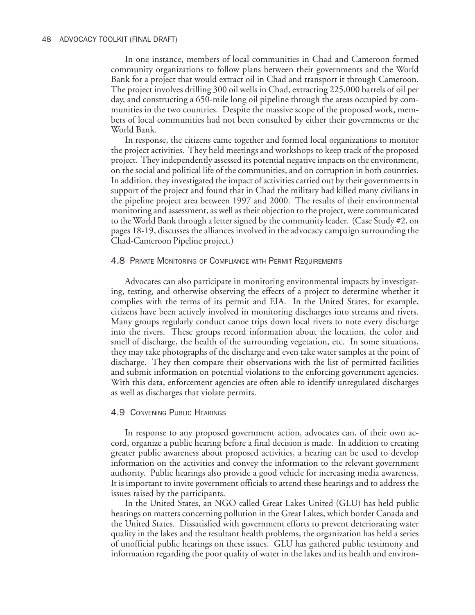In one instance, members of local communities in Chad and Cameroon formed community organizations to follow plans between their governments and the World Bank for a project that would extract oil in Chad and transport it through Cameroon. The project involves drilling 300 oil wells in Chad, extracting 225,000 barrels of oil per day, and constructing a 650-mile long oil pipeline through the areas occupied by communities in the two countries. Despite the massive scope of the proposed work, members of local communities had not been consulted by either their governments or the World Bank.

In response, the citizens came together and formed local organizations to monitor the project activities. They held meetings and workshops to keep track of the proposed project. They independently assessed its potential negative impacts on the environment, on the social and political life of the communities, and on corruption in both countries. In addition, they investigated the impact of activities carried out by their governments in support of the project and found that in Chad the military had killed many civilians in the pipeline project area between 1997 and 2000. The results of their environmental monitoring and assessment, as well as their objection to the project, were communicated to the World Bank through a letter signed by the community leader. (Case Study #2, on pages 18-19, discusses the alliances involved in the advocacy campaign surrounding the Chad-Cameroon Pipeline project.)

# 4.8 PRIVATE MONITORING OF COMPLIANCE WITH PERMIT REQUIREMENTS

Advocates can also participate in monitoring environmental impacts by investigating, testing, and otherwise observing the effects of a project to determine whether it complies with the terms of its permit and EIA. In the United States, for example, citizens have been actively involved in monitoring discharges into streams and rivers. Many groups regularly conduct canoe trips down local rivers to note every discharge into the rivers. These groups record information about the location, the color and smell of discharge, the health of the surrounding vegetation, etc. In some situations, they may take photographs of the discharge and even take water samples at the point of discharge. They then compare their observations with the list of permitted facilities and submit information on potential violations to the enforcing government agencies. With this data, enforcement agencies are often able to identify unregulated discharges as well as discharges that violate permits.

## 4.9 CONVENING PUBLIC HEARINGS

In response to any proposed government action, advocates can, of their own accord, organize a public hearing before a final decision is made. In addition to creating greater public awareness about proposed activities, a hearing can be used to develop information on the activities and convey the information to the relevant government authority. Public hearings also provide a good vehicle for increasing media awareness. It is important to invite government officials to attend these hearings and to address the issues raised by the participants.

In the United States, an NGO called Great Lakes United (GLU) has held public hearings on matters concerning pollution in the Great Lakes, which border Canada and the United States. Dissatisfied with government efforts to prevent deteriorating water quality in the lakes and the resultant health problems, the organization has held a series of unofficial public hearings on these issues. GLU has gathered public testimony and information regarding the poor quality of water in the lakes and its health and environ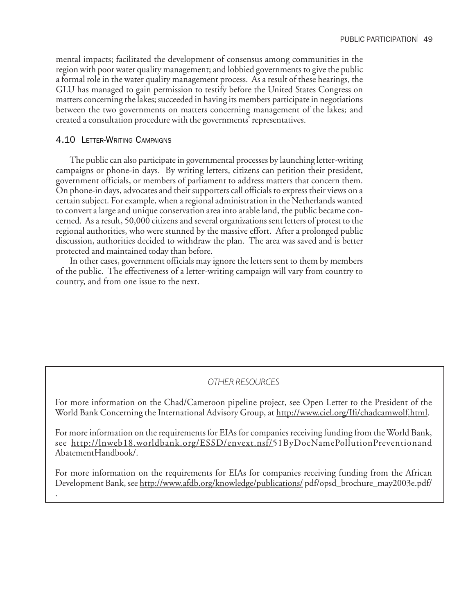mental impacts; facilitated the development of consensus among communities in the region with poor water quality management; and lobbied governments to give the public a formal role in the water quality management process. As a result of these hearings, the GLU has managed to gain permission to testify before the United States Congress on matters concerning the lakes; succeeded in having its members participate in negotiations between the two governments on matters concerning management of the lakes; and created a consultation procedure with the governments' representatives.

# 4.10 LETTER-WRITING CAMPAIGNS

The public can also participate in governmental processes by launching letter-writing campaigns or phone-in days. By writing letters, citizens can petition their president, government officials, or members of parliament to address matters that concern them. On phone-in days, advocates and their supporters call officials to express their views on a certain subject. For example, when a regional administration in the Netherlands wanted to convert a large and unique conservation area into arable land, the public became concerned. As a result, 50,000 citizens and several organizations sent letters of protest to the regional authorities, who were stunned by the massive effort. After a prolonged public discussion, authorities decided to withdraw the plan. The area was saved and is better protected and maintained today than before.

In other cases, government officials may ignore the letters sent to them by members of the public. The effectiveness of a letter-writing campaign will vary from country to country, and from one issue to the next.

# *OTHER RESOURCES*

For more information on the Chad/Cameroon pipeline project, see Open Letter to the President of the World Bank Concerning the International Advisory Group, at http://www.ciel.org/Ifi/chadcamwolf.html.

For more information on the requirements for EIAs for companies receiving funding from the World Bank, see http://lnweb18.worldbank.org/ESSD/envext.nsf/51ByDocNamePollutionPreventionand AbatementHandbook/.

For more information on the requirements for EIAs for companies receiving funding from the African Development Bank, see http://www.afdb.org/knowledge/publications/ pdf/opsd\_brochure\_may2003e.pdf/ .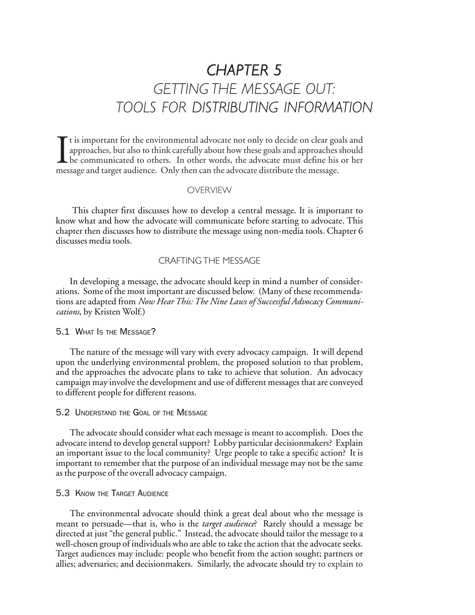# *CHAPTER 5 CHAPTER 5 GETTING THE MESSAGE OUT: TOOLS FOR DISTRIBUTING INFORMATION*

If the important for the environmental advocate not only to decide on clear goals and approaches, but also to think carefully about how these goals and approaches should be communicated to others. In other words, the advoc approaches, but also to think carefully about how these goals and approaches should L be communicated to others. In other words, the advocate must define his or her message and target audience. Only then can the advocate distribute the message.

# **OVERVIEW**

 This chapter first discusses how to develop a central message. It is important to know what and how the advocate will communicate before starting to advocate. This chapter then discusses how to distribute the message using non-media tools. Chapter 6 discusses media tools.

# CRAFTING THE MESSAGE

In developing a message, the advocate should keep in mind a number of considerations. Some of the most important are discussed below. (Many of these recommendations are adapted from *Now Hear This: The Nine Laws of Successful Advocacy Communications*, by Kristen Wolf.)

5.1 WHAT IS THE MESSAGE?

The nature of the message will vary with every advocacy campaign. It will depend upon the underlying environmental problem, the proposed solution to that problem, and the approaches the advocate plans to take to achieve that solution. An advocacy campaign may involve the development and use of different messages that are conveyed to different people for different reasons.

5.2 UNDERSTAND THE GOAL OF THE MESSAGE

The advocate should consider what each message is meant to accomplish. Does the advocate intend to develop general support? Lobby particular decisionmakers? Explain an important issue to the local community? Urge people to take a specific action? It is important to remember that the purpose of an individual message may not be the same as the purpose of the overall advocacy campaign.

## 5.3 KNOW THE TARGET AUDIENCE

The environmental advocate should think a great deal about who the message is meant to persuade—that is, who is the *target audience*? Rarely should a message be directed at just "the general public." Instead, the advocate should tailor the message to a well-chosen group of individuals who are able to take the action that the advocate seeks. Target audiences may include: people who benefit from the action sought; partners or allies; adversaries; and decisionmakers. Similarly, the advocate should try to explain to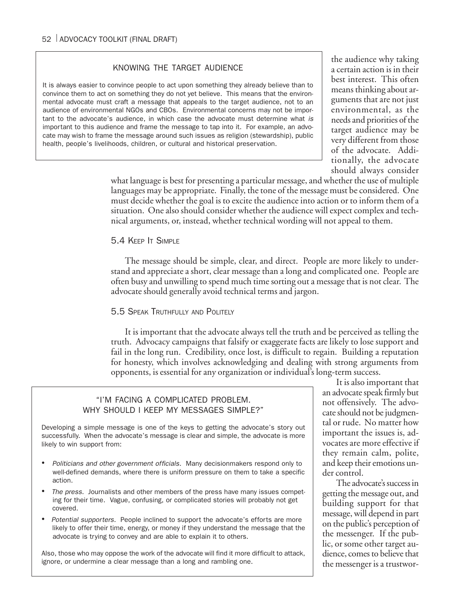# KNOWING THE TARGET AUDIENCE

It is always easier to convince people to act upon something they already believe than to convince them to act on something they do not yet believe. This means that the environmental advocate must craft a message that appeals to the target audience, not to an audience of environmental NGOs and CBOs. Environmental concerns may not be important to the advocate's audience, in which case the advocate must determine what is important to this audience and frame the message to tap into it. For example, an advocate may wish to frame the message around such issues as religion (stewardship), public health, people's livelihoods, children, or cultural and historical preservation.

the audience why taking a certain action is in their best interest. This often means thinking about arguments that are not just environmental, as the needs and priorities of the target audience may be very different from those of the advocate. Additionally, the advocate should always consider

what language is best for presenting a particular message, and whether the use of multiple languages may be appropriate. Finally, the tone of the message must be considered. One must decide whether the goal is to excite the audience into action or to inform them of a situation. One also should consider whether the audience will expect complex and technical arguments, or, instead, whether technical wording will not appeal to them.

# 5.4 KEEP IT SIMPLE

The message should be simple, clear, and direct. People are more likely to understand and appreciate a short, clear message than a long and complicated one. People are often busy and unwilling to spend much time sorting out a message that is not clear. The advocate should generally avoid technical terms and jargon.

# 5.5 SPEAK TRUTHFULLY AND POLITELY

It is important that the advocate always tell the truth and be perceived as telling the truth. Advocacy campaigns that falsify or exaggerate facts are likely to lose support and fail in the long run. Credibility, once lost, is difficult to regain. Building a reputation for honesty, which involves acknowledging and dealing with strong arguments from opponents, is essential for any organization or individual's long-term success.

# "I'M FACING A COMPLICATED PROBLEM. WHY SHOULD I KEEP MY MESSAGES SIMPLE?"

Developing a simple message is one of the keys to getting the advocate's story out successfully. When the advocate's message is clear and simple, the advocate is more likely to win support from:

- Politicians and other government officials. Many decisionmakers respond only to well-defined demands, where there is uniform pressure on them to take a specific action.
- The press. Journalists and other members of the press have many issues compet ing for their time. Vague, confusing, or complicated stories will probably not get covered.
- Potential supporters. People inclined to support the advocate's efforts are more likely to offer their time, energy, or money if they understand the message that the advocate is trying to convey and are able to explain it to others.

Also, those who may oppose the work of the advocate will find it more difficult to attack, ignore, or undermine a clear message than a long and rambling one.

It is also important that an advocate speak firmly but not offensively. The advocate should not be judgmental or rude. No matter how important the issues is, advocates are more effective if they remain calm, polite, and keep their emotions under control.

The advocate's success in getting the message out, and building support for that message, will depend in part on the public's perception of the messenger. If the public, or some other target audience, comes to believe that the messenger is a trustwor-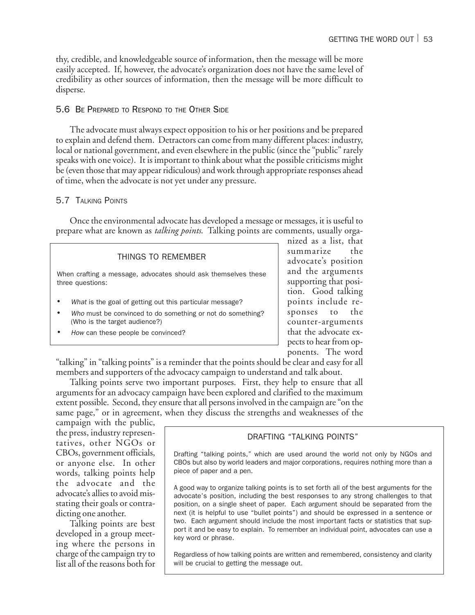thy, credible, and knowledgeable source of information, then the message will be more easily accepted. If, however, the advocate's organization does not have the same level of credibility as other sources of information, then the message will be more difficult to disperse.

# 5.6 BE PREPARED TO RESPOND TO THE OTHER SIDE

The advocate must always expect opposition to his or her positions and be prepared to explain and defend them. Detractors can come from many different places: industry, local or national government, and even elsewhere in the public (since the "public" rarely speaks with one voice). It is important to think about what the possible criticisms might be (even those that may appear ridiculous) and work through appropriate responses ahead of time, when the advocate is not yet under any pressure.

# 5.7 TALKING POINTS

Once the environmental advocate has developed a message or messages, it is useful to prepare what are known as *talking points*. Talking points are comments, usually orga-

# THINGS TO REMEMBER

When crafting a message, advocates should ask themselves these three questions:

- What is the goal of getting out this particular message?
- Who must be convinced to do something or not do something? (Who is the target audience?)
- *•* How can these people be convinced?

nized as a list, that summarize the advocate's position and the arguments supporting that position. Good talking points include responses to the counter-arguments that the advocate expects to hear from opponents. The word

"talking" in "talking points" is a reminder that the points should be clear and easy for all members and supporters of the advocacy campaign to understand and talk about.

Talking points serve two important purposes. First, they help to ensure that all arguments for an advocacy campaign have been explored and clarified to the maximum extent possible. Second, they ensure that all persons involved in the campaign are "on the same page," or in agreement, when they discuss the strengths and weaknesses of the

campaign with the public, the press, industry representatives, other NGOs or CBOs, government officials, or anyone else. In other words, talking points help the advocate and the advocate's allies to avoid misstating their goals or contradicting one another.

Talking points are best developed in a group meeting where the persons in charge of the campaign try to list all of the reasons both for

# DRAFTING "TALKING POINTS"

Drafting "talking points," which are used around the world not only by NGOs and CBOs but also by world leaders and major corporations, requires nothing more than a piece of paper and a pen.

A good way to organize talking points is to set forth all of the best arguments for the advocate's position, including the best responses to any strong challenges to that position, on a single sheet of paper. Each argument should be separated from the next (it is helpful to use "bullet points") and should be expressed in a sentence or two. Each argument should include the most important facts or statistics that support it and be easy to explain. To remember an individual point, advocates can use a key word or phrase.

Regardless of how talking points are written and remembered, consistency and clarity will be crucial to getting the message out.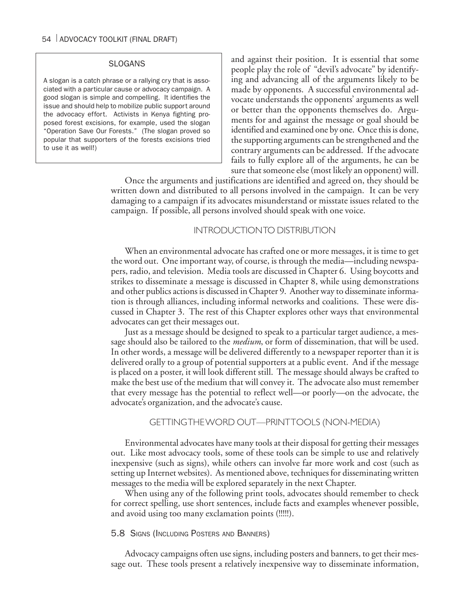### SLOGANS

A slogan is a catch phrase or a rallying cry that is associated with a particular cause or advocacy campaign. A good slogan is simple and compelling. It identifies the issue and should help to mobilize public support around the advocacy effort. Activists in Kenya fighting proposed forest excisions, for example, used the slogan "Operation Save Our Forests." (The slogan proved so popular that supporters of the forests excisions tried to use it as well!)

and against their position. It is essential that some people play the role of "devil's advocate" by identifying and advancing all of the arguments likely to be made by opponents. A successful environmental advocate understands the opponents' arguments as well or better than the opponents themselves do. Arguments for and against the message or goal should be identified and examined one by one. Once this is done, the supporting arguments can be strengthened and the contrary arguments can be addressed. If the advocate fails to fully explore all of the arguments, he can be sure that someone else (most likely an opponent) will.

Once the arguments and justifications are identified and agreed on, they should be written down and distributed to all persons involved in the campaign. It can be very damaging to a campaign if its advocates misunderstand or misstate issues related to the campaign. If possible, all persons involved should speak with one voice.

# INTRODUCTION TO DISTRIBUTION

When an environmental advocate has crafted one or more messages, it is time to get the word out. One important way, of course, is through the media—including newspapers, radio, and television. Media tools are discussed in Chapter 6. Using boycotts and strikes to disseminate a message is discussed in Chapter 8, while using demonstrations and other publics actions is discussed in Chapter 9. Another way to disseminate information is through alliances, including informal networks and coalitions. These were discussed in Chapter 3. The rest of this Chapter explores other ways that environmental advocates can get their messages out.

Just as a message should be designed to speak to a particular target audience, a message should also be tailored to the *medium*, or form of dissemination, that will be used. In other words, a message will be delivered differently to a newspaper reporter than it is delivered orally to a group of potential supporters at a public event. And if the message is placed on a poster, it will look different still. The message should always be crafted to make the best use of the medium that will convey it. The advocate also must remember that every message has the potential to reflect well—or poorly—on the advocate, the advocate's organization, and the advocate's cause.

GETTING THE WORD OUT—PRINT TOOLS (NON-MEDIA)

Environmental advocates have many tools at their disposal for getting their messages out. Like most advocacy tools, some of these tools can be simple to use and relatively inexpensive (such as signs), while others can involve far more work and cost (such as setting up Internet websites). As mentioned above, techniques for disseminating written messages to the media will be explored separately in the next Chapter.

When using any of the following print tools, advocates should remember to check for correct spelling, use short sentences, include facts and examples whenever possible, and avoid using too many exclamation points (!!!!!).

## 5.8 SIGNS (INCLUDING POSTERS AND BANNERS)

Advocacy campaigns often use signs, including posters and banners, to get their message out. These tools present a relatively inexpensive way to disseminate information,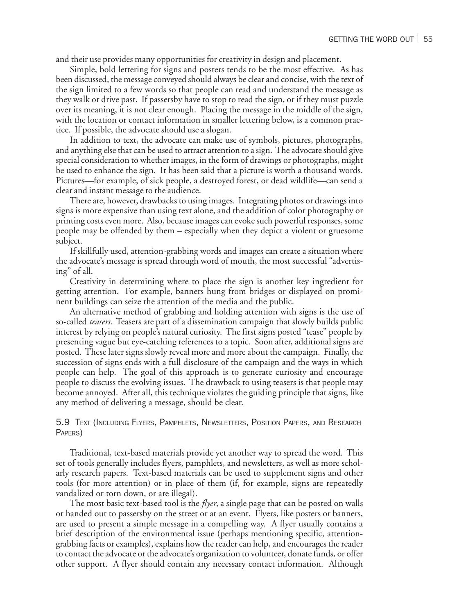and their use provides many opportunities for creativity in design and placement.

Simple, bold lettering for signs and posters tends to be the most effective. As has been discussed, the message conveyed should always be clear and concise, with the text of the sign limited to a few words so that people can read and understand the message as they walk or drive past. If passersby have to stop to read the sign, or if they must puzzle over its meaning, it is not clear enough. Placing the message in the middle of the sign, with the location or contact information in smaller lettering below, is a common practice. If possible, the advocate should use a slogan.

In addition to text, the advocate can make use of symbols, pictures, photographs, and anything else that can be used to attract attention to a sign. The advocate should give special consideration to whether images, in the form of drawings or photographs, might be used to enhance the sign. It has been said that a picture is worth a thousand words. Pictures—for example, of sick people, a destroyed forest, or dead wildlife—can send a clear and instant message to the audience.

There are, however, drawbacks to using images. Integrating photos or drawings into signs is more expensive than using text alone, and the addition of color photography or printing costs even more. Also, because images can evoke such powerful responses, some people may be offended by them – especially when they depict a violent or gruesome subject.

If skillfully used, attention-grabbing words and images can create a situation where the advocate's message is spread through word of mouth, the most successful "advertising" of all.

Creativity in determining where to place the sign is another key ingredient for getting attention. For example, banners hung from bridges or displayed on prominent buildings can seize the attention of the media and the public.

An alternative method of grabbing and holding attention with signs is the use of so-called *teasers*. Teasers are part of a dissemination campaign that slowly builds public interest by relying on people's natural curiosity. The first signs posted "tease" people by presenting vague but eye-catching references to a topic. Soon after, additional signs are posted. These later signs slowly reveal more and more about the campaign. Finally, the succession of signs ends with a full disclosure of the campaign and the ways in which people can help. The goal of this approach is to generate curiosity and encourage people to discuss the evolving issues. The drawback to using teasers is that people may become annoyed. After all, this technique violates the guiding principle that signs, like any method of delivering a message, should be clear.

5.9 TEXT (INCLUDING FLYERS, PAMPHLETS, NEWSLETTERS, POSITION PAPERS, AND RESEARCH PAPERS)

Traditional, text-based materials provide yet another way to spread the word. This set of tools generally includes flyers, pamphlets, and newsletters, as well as more scholarly research papers. Text-based materials can be used to supplement signs and other tools (for more attention) or in place of them (if, for example, signs are repeatedly vandalized or torn down, or are illegal).

The most basic text-based tool is the *flyer*, a single page that can be posted on walls or handed out to passersby on the street or at an event. Flyers, like posters or banners, are used to present a simple message in a compelling way. A flyer usually contains a brief description of the environmental issue (perhaps mentioning specific, attentiongrabbing facts or examples), explains how the reader can help, and encourages the reader to contact the advocate or the advocate's organization to volunteer, donate funds, or offer other support. A flyer should contain any necessary contact information. Although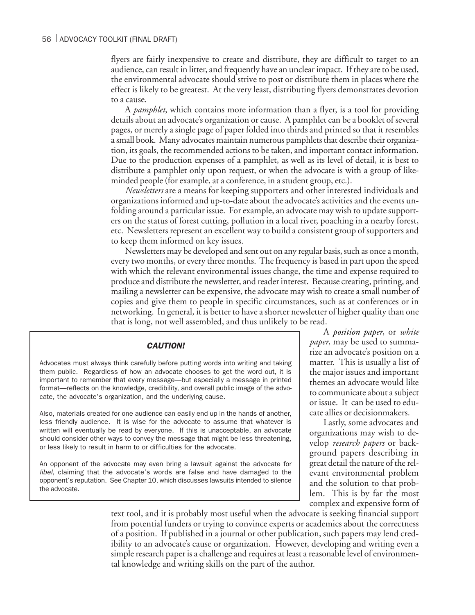flyers are fairly inexpensive to create and distribute, they are difficult to target to an audience, can result in litter, and frequently have an unclear impact. If they are to be used, the environmental advocate should strive to post or distribute them in places where the effect is likely to be greatest. At the very least, distributing flyers demonstrates devotion to a cause.

A *pamphlet*, which contains more information than a flyer, is a tool for providing details about an advocate's organization or cause. A pamphlet can be a booklet of several pages, or merely a single page of paper folded into thirds and printed so that it resembles a small book. Many advocates maintain numerous pamphlets that describe their organization, its goals, the recommended actions to be taken, and important contact information. Due to the production expenses of a pamphlet, as well as its level of detail, it is best to distribute a pamphlet only upon request, or when the advocate is with a group of likeminded people (for example, at a conference, in a student group, etc.).

*Newsletters* are a means for keeping supporters and other interested individuals and organizations informed and up-to-date about the advocate's activities and the events unfolding around a particular issue. For example, an advocate may wish to update supporters on the status of forest cutting, pollution in a local river, poaching in a nearby forest, etc. Newsletters represent an excellent way to build a consistent group of supporters and to keep them informed on key issues.

Newsletters may be developed and sent out on any regular basis, such as once a month, every two months, or every three months. The frequency is based in part upon the speed with which the relevant environmental issues change, the time and expense required to produce and distribute the newsletter, and reader interest. Because creating, printing, and mailing a newsletter can be expensive, the advocate may wish to create a small number of copies and give them to people in specific circumstances, such as at conferences or in networking. In general, it is better to have a shorter newsletter of higher quality than one that is long, not well assembled, and thus unlikely to be read.

## CAUTION!

Advocates must always think carefully before putting words into writing and taking them public. Regardless of how an advocate chooses to get the word out, it is important to remember that every message—but especially a message in printed format—reflects on the knowledge, credibility, and overall public image of the advocate, the advocate's organization, and the underlying cause.

Also, materials created for one audience can easily end up in the hands of another, less friendly audience. It is wise for the advocate to assume that whatever is written will eventually be read by everyone. If this is unacceptable, an advocate should consider other ways to convey the message that might be less threatening, or less likely to result in harm to or difficulties for the advocate.

An opponent of the advocate may even bring a lawsuit against the advocate for libel, claiming that the advocate's words are false and have damaged to the opponent's reputation. See Chapter 10, which discusses lawsuits intended to silence the advocate.

A *position paper*, or *white paper*, may be used to summarize an advocate's position on a matter. This is usually a list of the major issues and important themes an advocate would like to communicate about a subject or issue. It can be used to educate allies or decisionmakers.

Lastly, some advocates and organizations may wish to develop *research papers* or background papers describing in great detail the nature of the relevant environmental problem and the solution to that problem. This is by far the most complex and expensive form of

text tool, and it is probably most useful when the advocate is seeking financial support from potential funders or trying to convince experts or academics about the correctness of a position. If published in a journal or other publication, such papers may lend credibility to an advocate's cause or organization. However, developing and writing even a simple research paper is a challenge and requires at least a reasonable level of environmental knowledge and writing skills on the part of the author.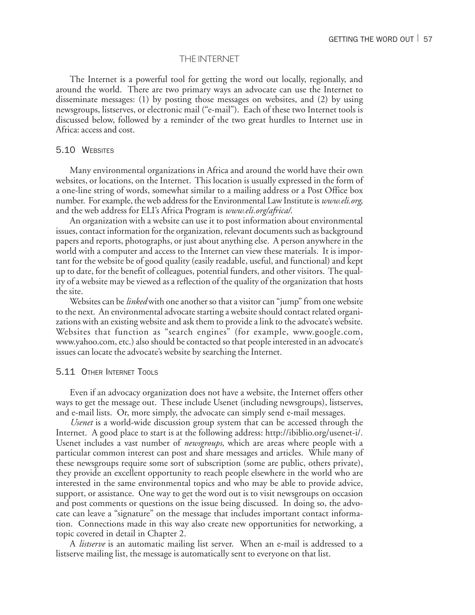## THE INTERNET

The Internet is a powerful tool for getting the word out locally, regionally, and around the world. There are two primary ways an advocate can use the Internet to disseminate messages: (1) by posting those messages on websites, and (2) by using newsgroups, listserves, or electronic mail ("e-mail"). Each of these two Internet tools is discussed below, followed by a reminder of the two great hurdles to Internet use in Africa: access and cost.

# 5.10 WEBSITES

Many environmental organizations in Africa and around the world have their own websites, or locations, on the Internet. This location is usually expressed in the form of a one-line string of words, somewhat similar to a mailing address or a Post Office box number. For example, the web address for the Environmental Law Institute is *www.eli.org*, and the web address for ELI's Africa Program is *www.eli.org/africa/*.

An organization with a website can use it to post information about environmental issues, contact information for the organization, relevant documents such as background papers and reports, photographs, or just about anything else. A person anywhere in the world with a computer and access to the Internet can view these materials. It is important for the website be of good quality (easily readable, useful, and functional) and kept up to date, for the benefit of colleagues, potential funders, and other visitors. The quality of a website may be viewed as a reflection of the quality of the organization that hosts the site.

Websites can be *linked* with one another so that a visitor can "jump" from one website to the next. An environmental advocate starting a website should contact related organizations with an existing website and ask them to provide a link to the advocate's website. Websites that function as "search engines" (for example, www.google.com, www.yahoo.com, etc.) also should be contacted so that people interested in an advocate's issues can locate the advocate's website by searching the Internet.

## 5.11 OTHER INTERNET TOOLS

Even if an advocacy organization does not have a website, the Internet offers other ways to get the message out. These include Usenet (including newsgroups), listserves, and e-mail lists. Or, more simply, the advocate can simply send e-mail messages.

*Usenet* is a world-wide discussion group system that can be accessed through the Internet. A good place to start is at the following address: http://ibiblio.org/usenet-i/. Usenet includes a vast number of *newsgroups*, which are areas where people with a particular common interest can post and share messages and articles. While many of these newsgroups require some sort of subscription (some are public, others private), they provide an excellent opportunity to reach people elsewhere in the world who are interested in the same environmental topics and who may be able to provide advice, support, or assistance. One way to get the word out is to visit newsgroups on occasion and post comments or questions on the issue being discussed. In doing so, the advocate can leave a "signature" on the message that includes important contact information. Connections made in this way also create new opportunities for networking, a topic covered in detail in Chapter 2.

A *listserve* is an automatic mailing list server. When an e-mail is addressed to a listserve mailing list, the message is automatically sent to everyone on that list.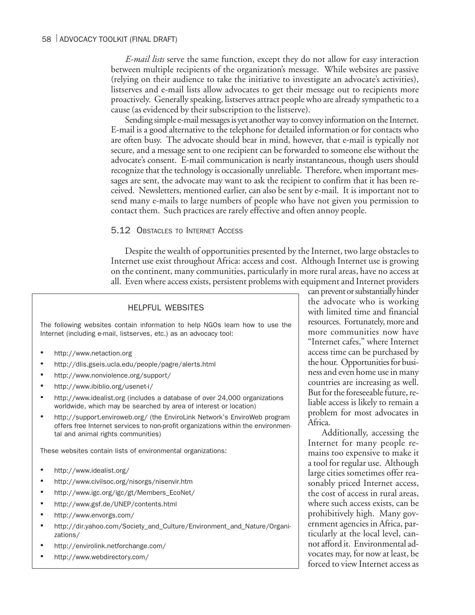*E-mail lists* serve the same function, except they do not allow for easy interaction between multiple recipients of the organization's message. While websites are passive (relying on their audience to take the initiative to investigate an advocate's activities), listserves and e-mail lists allow advocates to get their message out to recipients more proactively. Generally speaking, listserves attract people who are already sympathetic to a cause (as evidenced by their subscription to the listserve).

Sending simple e-mail messages is yet another way to convey information on the Internet. E-mail is a good alternative to the telephone for detailed information or for contacts who are often busy. The advocate should bear in mind, however, that e-mail is typically not secure, and a message sent to one recipient can be forwarded to someone else without the advocate's consent. E-mail communication is nearly instantaneous, though users should recognize that the technology is occasionally unreliable. Therefore, when important messages are sent, the advocate may want to ask the recipient to confirm that it has been received. Newsletters, mentioned earlier, can also be sent by e-mail. It is important not to send many e-mails to large numbers of people who have not given you permission to contact them. Such practices are rarely effective and often annoy people.

5.12 OBSTACLES TO INTERNET ACCESS

Despite the wealth of opportunities presented by the Internet, two large obstacles to Internet use exist throughout Africa: access and cost. Although Internet use is growing on the continent, many communities, particularly in more rural areas, have no access at all. Even where access exists, persistent problems with equipment and Internet providers

# HELPFUL WEBSITES

The following websites contain information to help NGOs learn how to use the Internet (including e-mail, listserves, etc.) as an advocacy tool:

- http://www.netaction.org
- http://dlis.gseis.ucla.edu/people/pagre/alerts.html
- http://www.nonviolence.org/support/
- http://www.ibiblio.org/usenet-i/
- http://www.idealist.org (includes a database of over 24,000 organizations worldwide, which may be searched by area of interest or location)
- http://support.enviroweb.org/ (the EnviroLink Network's EnviroWeb program offers free Internet services to non-profit organizations within the environmental and animal rights communities)

These websites contain lists of environmental organizations:

- http://www.idealist.org/
- http://www.civilsoc.org/nisorgs/nisenvir.htm
- http://www.igc.org/igc/gt/Members\_EcoNet/
- http://www.gsf.de/UNEP/contents.html
- http://www.envorgs.com/
- http://dir.yahoo.com/Society\_and\_Culture/Environment\_and\_Nature/Organizations/
- http://envirolink.netforchange.com/
- http://www.webdirectory.com/

can prevent or substantially hinder the advocate who is working with limited time and financial resources. Fortunately, more and more communities now have "Internet cafes," where Internet access time can be purchased by the hour. Opportunities for business and even home use in many countries are increasing as well. But for the foreseeable future, reliable access is likely to remain a problem for most advocates in Africa.

Additionally, accessing the Internet for many people remains too expensive to make it a tool for regular use. Although large cities sometimes offer reasonably priced Internet access, the cost of access in rural areas, where such access exists, can be prohibitively high. Many government agencies in Africa, particularly at the local level, cannot afford it. Environmental advocates may, for now at least, be forced to view Internet access as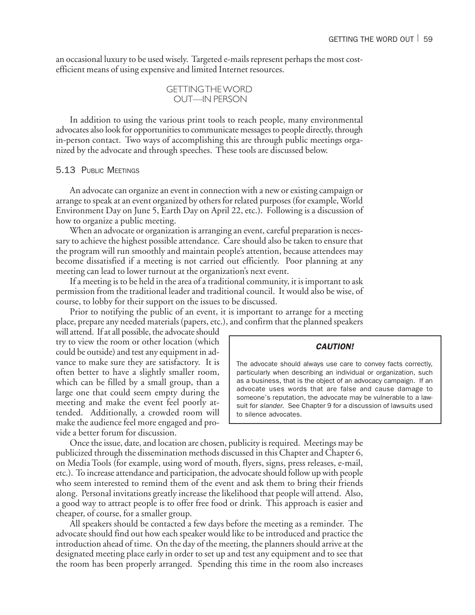an occasional luxury to be used wisely. Targeted e-mails represent perhaps the most costefficient means of using expensive and limited Internet resources.

# GETTING THE WORD OUT—IN PERSON

In addition to using the various print tools to reach people, many environmental advocates also look for opportunities to communicate messages to people directly, through in-person contact. Two ways of accomplishing this are through public meetings organized by the advocate and through speeches. These tools are discussed below.

## 5.13 PUBLIC MEETINGS

An advocate can organize an event in connection with a new or existing campaign or arrange to speak at an event organized by others for related purposes (for example, World Environment Day on June 5, Earth Day on April 22, etc.). Following is a discussion of how to organize a public meeting.

When an advocate or organization is arranging an event, careful preparation is necessary to achieve the highest possible attendance. Care should also be taken to ensure that the program will run smoothly and maintain people's attention, because attendees may become dissatisfied if a meeting is not carried out efficiently. Poor planning at any meeting can lead to lower turnout at the organization's next event.

If a meeting is to be held in the area of a traditional community, it is important to ask permission from the traditional leader and traditional council. It would also be wise, of course, to lobby for their support on the issues to be discussed.

Prior to notifying the public of an event, it is important to arrange for a meeting place, prepare any needed materials (papers, etc.), and confirm that the planned speakers

will attend. If at all possible, the advocate should try to view the room or other location (which could be outside) and test any equipment in advance to make sure they are satisfactory. It is often better to have a slightly smaller room, which can be filled by a small group, than a large one that could seem empty during the meeting and make the event feel poorly attended. Additionally, a crowded room will make the audience feel more engaged and provide a better forum for discussion.

## CAUTION!

The advocate should always use care to convey facts correctly, particularly when describing an individual or organization, such as a business, that is the object of an advocacy campaign. If an advocate uses words that are false and cause damage to someone's reputation, the advocate may be vulnerable to a lawsuit for slander. See Chapter 9 for a discussion of lawsuits used to silence advocates.

Once the issue, date, and location are chosen, publicity is required. Meetings may be publicized through the dissemination methods discussed in this Chapter and Chapter 6, on Media Tools (for example, using word of mouth, flyers, signs, press releases, e-mail, etc.). To increase attendance and participation, the advocate should follow up with people who seem interested to remind them of the event and ask them to bring their friends along. Personal invitations greatly increase the likelihood that people will attend. Also, a good way to attract people is to offer free food or drink. This approach is easier and cheaper, of course, for a smaller group.

All speakers should be contacted a few days before the meeting as a reminder. The advocate should find out how each speaker would like to be introduced and practice the introduction ahead of time. On the day of the meeting, the planners should arrive at the designated meeting place early in order to set up and test any equipment and to see that the room has been properly arranged. Spending this time in the room also increases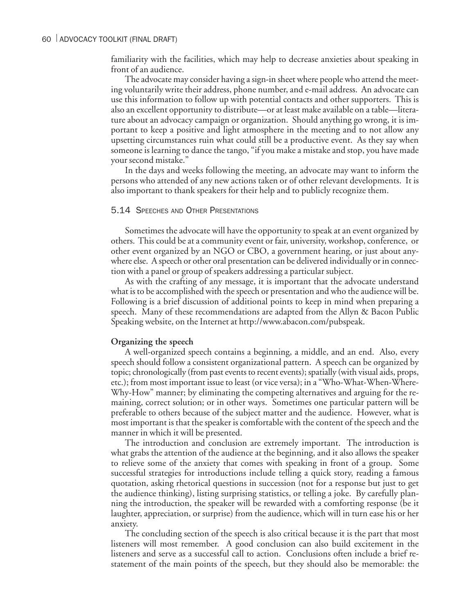familiarity with the facilities, which may help to decrease anxieties about speaking in front of an audience.

The advocate may consider having a sign-in sheet where people who attend the meeting voluntarily write their address, phone number, and e-mail address. An advocate can use this information to follow up with potential contacts and other supporters. This is also an excellent opportunity to distribute—or at least make available on a table—literature about an advocacy campaign or organization. Should anything go wrong, it is important to keep a positive and light atmosphere in the meeting and to not allow any upsetting circumstances ruin what could still be a productive event. As they say when someone is learning to dance the tango, "if you make a mistake and stop, you have made your second mistake."

In the days and weeks following the meeting, an advocate may want to inform the persons who attended of any new actions taken or of other relevant developments. It is also important to thank speakers for their help and to publicly recognize them.

## 5.14 SPEECHES AND OTHER PRESENTATIONS

Sometimes the advocate will have the opportunity to speak at an event organized by others. This could be at a community event or fair, university, workshop, conference, or other event organized by an NGO or CBO, a government hearing, or just about anywhere else. A speech or other oral presentation can be delivered individually or in connection with a panel or group of speakers addressing a particular subject.

As with the crafting of any message, it is important that the advocate understand what is to be accomplished with the speech or presentation and who the audience will be. Following is a brief discussion of additional points to keep in mind when preparing a speech. Many of these recommendations are adapted from the Allyn & Bacon Public Speaking website, on the Internet at http://www.abacon.com/pubspeak.

## **Organizing the speech**

A well-organized speech contains a beginning, a middle, and an end. Also, every speech should follow a consistent organizational pattern. A speech can be organized by topic; chronologically (from past events to recent events); spatially (with visual aids, props, etc.); from most important issue to least (or vice versa); in a "Who-What-When-Where-Why-How" manner; by eliminating the competing alternatives and arguing for the remaining, correct solution; or in other ways. Sometimes one particular pattern will be preferable to others because of the subject matter and the audience. However, what is most important is that the speaker is comfortable with the content of the speech and the manner in which it will be presented.

The introduction and conclusion are extremely important. The introduction is what grabs the attention of the audience at the beginning, and it also allows the speaker to relieve some of the anxiety that comes with speaking in front of a group. Some successful strategies for introductions include telling a quick story, reading a famous quotation, asking rhetorical questions in succession (not for a response but just to get the audience thinking), listing surprising statistics, or telling a joke. By carefully planning the introduction, the speaker will be rewarded with a comforting response (be it laughter, appreciation, or surprise) from the audience, which will in turn ease his or her anxiety.

The concluding section of the speech is also critical because it is the part that most listeners will most remember. A good conclusion can also build excitement in the listeners and serve as a successful call to action. Conclusions often include a brief restatement of the main points of the speech, but they should also be memorable: the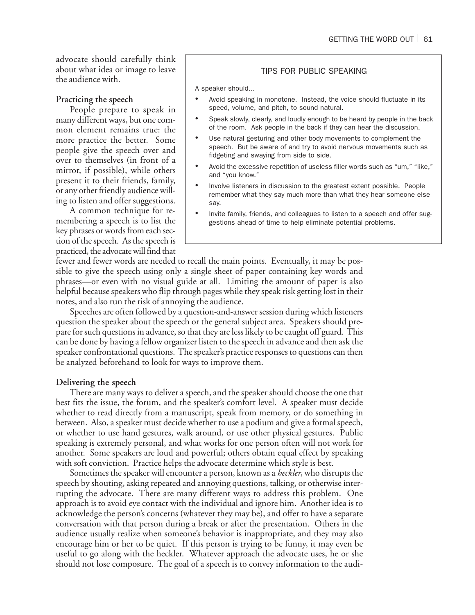advocate should carefully think about what idea or image to leave the audience with.

## **Practicing the speech**

People prepare to speak in many different ways, but one common element remains true: the more practice the better. Some people give the speech over and over to themselves (in front of a mirror, if possible), while others present it to their friends, family, or any other friendly audience willing to listen and offer suggestions.

A common technique for remembering a speech is to list the key phrases or words from each section of the speech. As the speech is practiced, the advocate will find that

# TIPS FOR PUBLIC SPEAKING

A speaker should...

- Avoid speaking in monotone. Instead, the voice should fluctuate in its speed, volume, and pitch, to sound natural.
- Speak slowly, clearly, and loudly enough to be heard by people in the back of the room. Ask people in the back if they can hear the discussion.
- Use natural gesturing and other body movements to complement the speech. But be aware of and try to avoid nervous movements such as fidgeting and swaying from side to side.
- Avoid the excessive repetition of useless filler words such as "um," "like," and "you know."
- Involve listeners in discussion to the greatest extent possible. People remember what they say much more than what they hear someone else say.
- Invite family, friends, and colleagues to listen to a speech and offer suggestions ahead of time to help eliminate potential problems.

fewer and fewer words are needed to recall the main points. Eventually, it may be possible to give the speech using only a single sheet of paper containing key words and phrases—or even with no visual guide at all. Limiting the amount of paper is also helpful because speakers who flip through pages while they speak risk getting lost in their notes, and also run the risk of annoying the audience.

Speeches are often followed by a question-and-answer session during which listeners question the speaker about the speech or the general subject area. Speakers should prepare for such questions in advance, so that they are less likely to be caught off guard. This can be done by having a fellow organizer listen to the speech in advance and then ask the speaker confrontational questions. The speaker's practice responses to questions can then be analyzed beforehand to look for ways to improve them.

## **Delivering the speech**

There are many ways to deliver a speech, and the speaker should choose the one that best fits the issue, the forum, and the speaker's comfort level. A speaker must decide whether to read directly from a manuscript, speak from memory, or do something in between. Also, a speaker must decide whether to use a podium and give a formal speech, or whether to use hand gestures, walk around, or use other physical gestures. Public speaking is extremely personal, and what works for one person often will not work for another. Some speakers are loud and powerful; others obtain equal effect by speaking with soft conviction. Practice helps the advocate determine which style is best.

Sometimes the speaker will encounter a person, known as a *heckler*, who disrupts the speech by shouting, asking repeated and annoying questions, talking, or otherwise interrupting the advocate. There are many different ways to address this problem. One approach is to avoid eye contact with the individual and ignore him. Another idea is to acknowledge the person's concerns (whatever they may be), and offer to have a separate conversation with that person during a break or after the presentation. Others in the audience usually realize when someone's behavior is inappropriate, and they may also encourage him or her to be quiet. If this person is trying to be funny, it may even be useful to go along with the heckler. Whatever approach the advocate uses, he or she should not lose composure. The goal of a speech is to convey information to the audi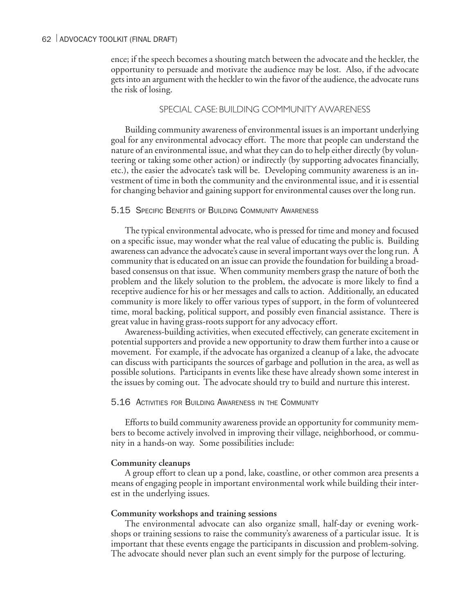ence; if the speech becomes a shouting match between the advocate and the heckler, the opportunity to persuade and motivate the audience may be lost. Also, if the advocate gets into an argument with the heckler to win the favor of the audience, the advocate runs the risk of losing.

## SPECIAL CASE: BUILDING COMMUNITY AWARENESS

Building community awareness of environmental issues is an important underlying goal for any environmental advocacy effort. The more that people can understand the nature of an environmental issue, and what they can do to help either directly (by volunteering or taking some other action) or indirectly (by supporting advocates financially, etc.), the easier the advocate's task will be. Developing community awareness is an investment of time in both the community and the environmental issue, and it is essential for changing behavior and gaining support for environmental causes over the long run.

## 5.15 SPECIFIC BENEFITS OF BUILDING COMMUNITY AWARENESS

The typical environmental advocate, who is pressed for time and money and focused on a specific issue, may wonder what the real value of educating the public is. Building awareness can advance the advocate's cause in several important ways over the long run. A community that is educated on an issue can provide the foundation for building a broadbased consensus on that issue. When community members grasp the nature of both the problem and the likely solution to the problem, the advocate is more likely to find a receptive audience for his or her messages and calls to action. Additionally, an educated community is more likely to offer various types of support, in the form of volunteered time, moral backing, political support, and possibly even financial assistance. There is great value in having grass-roots support for any advocacy effort.

Awareness-building activities, when executed effectively, can generate excitement in potential supporters and provide a new opportunity to draw them further into a cause or movement. For example, if the advocate has organized a cleanup of a lake, the advocate can discuss with participants the sources of garbage and pollution in the area, as well as possible solutions. Participants in events like these have already shown some interest in the issues by coming out. The advocate should try to build and nurture this interest.

# 5.16 ACTIVITIES FOR BUILDING AWARENESS IN THE COMMUNITY

Efforts to build community awareness provide an opportunity for community members to become actively involved in improving their village, neighborhood, or community in a hands-on way. Some possibilities include:

## **Community cleanups**

A group effort to clean up a pond, lake, coastline, or other common area presents a means of engaging people in important environmental work while building their interest in the underlying issues.

## **Community workshops and training sessions**

The environmental advocate can also organize small, half-day or evening workshops or training sessions to raise the community's awareness of a particular issue. It is important that these events engage the participants in discussion and problem-solving. The advocate should never plan such an event simply for the purpose of lecturing.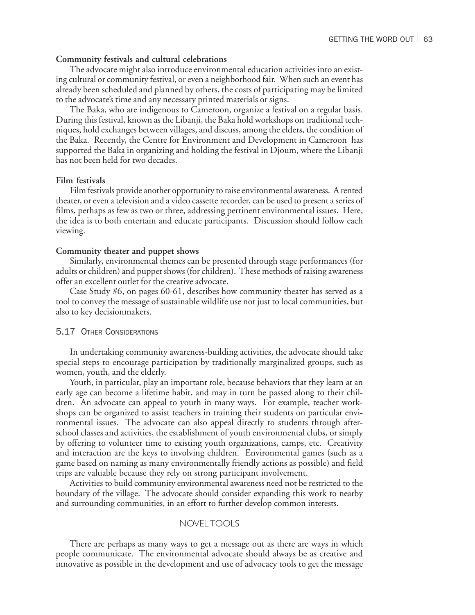## **Community festivals and cultural celebrations**

The advocate might also introduce environmental education activities into an existing cultural or community festival, or even a neighborhood fair. When such an event has already been scheduled and planned by others, the costs of participating may be limited to the advocate's time and any necessary printed materials or signs.

The Baka, who are indigenous to Cameroon, organize a festival on a regular basis. During this festival, known as the Libanji, the Baka hold workshops on traditional techniques, hold exchanges between villages, and discuss, among the elders, the condition of the Baka. Recently, the Centre for Environment and Development in Cameroon has supported the Baka in organizing and holding the festival in Djoum, where the Libanji has not been held for two decades.

## **Film festivals**

Film festivals provide another opportunity to raise environmental awareness. A rented theater, or even a television and a video cassette recorder, can be used to present a series of films, perhaps as few as two or three, addressing pertinent environmental issues. Here, the idea is to both entertain and educate participants. Discussion should follow each viewing.

## **Community theater and puppet shows**

Similarly, environmental themes can be presented through stage performances (for adults or children) and puppet shows (for children). These methods of raising awareness offer an excellent outlet for the creative advocate.

Case Study #6, on pages 60-61, describes how community theater has served as a tool to convey the message of sustainable wildlife use not just to local communities, but also to key decisionmakers.

## 5.17 OTHER CONSIDERATIONS

In undertaking community awareness-building activities, the advocate should take special steps to encourage participation by traditionally marginalized groups, such as women, youth, and the elderly.

Youth, in particular, play an important role, because behaviors that they learn at an early age can become a lifetime habit, and may in turn be passed along to their children. An advocate can appeal to youth in many ways. For example, teacher workshops can be organized to assist teachers in training their students on particular environmental issues. The advocate can also appeal directly to students through afterschool classes and activities, the establishment of youth environmental clubs, or simply by offering to volunteer time to existing youth organizations, camps, etc. Creativity and interaction are the keys to involving children. Environmental games (such as a game based on naming as many environmentally friendly actions as possible) and field trips are valuable because they rely on strong participant involvement.

Activities to build community environmental awareness need not be restricted to the boundary of the village. The advocate should consider expanding this work to nearby and surrounding communities, in an effort to further develop common interests.

# NOVEL TOOLS

There are perhaps as many ways to get a message out as there are ways in which people communicate. The environmental advocate should always be as creative and innovative as possible in the development and use of advocacy tools to get the message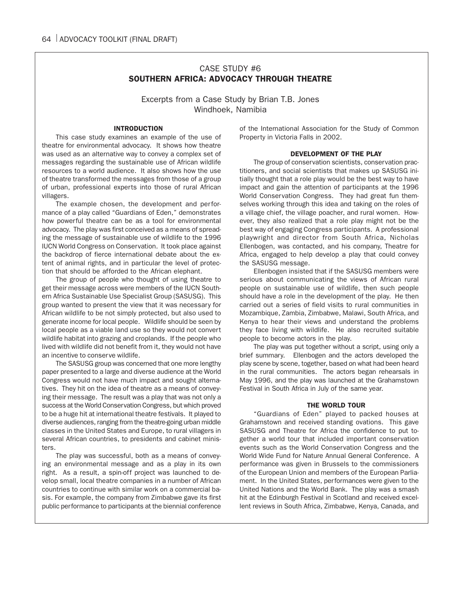# CASE STUDY #6 SOUTHERN AFRICA: ADVOCACY THROUGH THEATRE

Excerpts from a Case Study by Brian T.B. Jones Windhoek, Namibia

#### INTRODUCTION

This case study examines an example of the use of theatre for environmental advocacy. It shows how theatre was used as an alternative way to convey a complex set of messages regarding the sustainable use of African wildlife resources to a world audience. It also shows how the use of theatre transformed the messages from those of a group of urban, professional experts into those of rural African villagers.

The example chosen, the development and performance of a play called "Guardians of Eden," demonstrates how powerful theatre can be as a tool for environmental advocacy. The play was first conceived as a means of spreading the message of sustainable use of wildlife to the 1996 IUCN World Congress on Conservation. It took place against the backdrop of fierce international debate about the extent of animal rights, and in particular the level of protection that should be afforded to the African elephant.

The group of people who thought of using theatre to get their message across were members of the IUCN Southern Africa Sustainable Use Specialist Group (SASUSG). This group wanted to present the view that it was necessary for African wildlife to be not simply protected, but also used to generate income for local people. Wildlife should be seen by local people as a viable land use so they would not convert wildlife habitat into grazing and croplands. If the people who lived with wildlife did not benefit from it, they would not have an incentive to conserve wildlife.

The SASUSG group was concerned that one more lengthy paper presented to a large and diverse audience at the World Congress would not have much impact and sought alternatives. They hit on the idea of theatre as a means of conveying their message. The result was a play that was not only a success at the World Conservation Congress, but which proved to be a huge hit at international theatre festivals. It played to diverse audiences, ranging from the theatre-going urban middle classes in the United States and Europe, to rural villagers in several African countries, to presidents and cabinet ministers.

The play was successful, both as a means of conveying an environmental message and as a play in its own right. As a result, a spin-off project was launched to develop small, local theatre companies in a number of African countries to continue with similar work on a commercial basis. For example, the company from Zimbabwe gave its first public performance to participants at the biennial conference

of the International Association for the Study of Common Property in Victoria Falls in 2002.

#### DEVELOPMENT OF THE PLAY

The group of conservation scientists, conservation practitioners, and social scientists that makes up SASUSG initially thought that a role play would be the best way to have impact and gain the attention of participants at the 1996 World Conservation Congress. They had great fun themselves working through this idea and taking on the roles of a village chief, the village poacher, and rural women. However, they also realized that a role play might not be the best way of engaging Congress participants. A professional playwright and director from South Africa, Nicholas Ellenbogen, was contacted, and his company, Theatre for Africa, engaged to help develop a play that could convey the SASUSG message.

Ellenbogen insisted that if the SASUSG members were serious about communicating the views of African rural people on sustainable use of wildlife, then such people should have a role in the development of the play. He then carried out a series of field visits to rural communities in Mozambique, Zambia, Zimbabwe, Malawi, South Africa, and Kenya to hear their views and understand the problems they face living with wildlife. He also recruited suitable people to become actors in the play.

The play was put together without a script, using only a brief summary. Ellenbogen and the actors developed the play scene by scene, together, based on what had been heard in the rural communities. The actors began rehearsals in May 1996, and the play was launched at the Grahamstown Festival in South Africa in July of the same year.

#### THE WORLD TOUR

"Guardians of Eden" played to packed houses at Grahamstown and received standing ovations. This gave SASUSG and Theatre for Africa the confidence to put together a world tour that included important conservation events such as the World Conservation Congress and the World Wide Fund for Nature Annual General Conference. A performance was given in Brussels to the commissioners of the European Union and members of the European Parliament. In the United States, performances were given to the United Nations and the World Bank. The play was a smash hit at the Edinburgh Festival in Scotland and received excellent reviews in South Africa, Zimbabwe, Kenya, Canada, and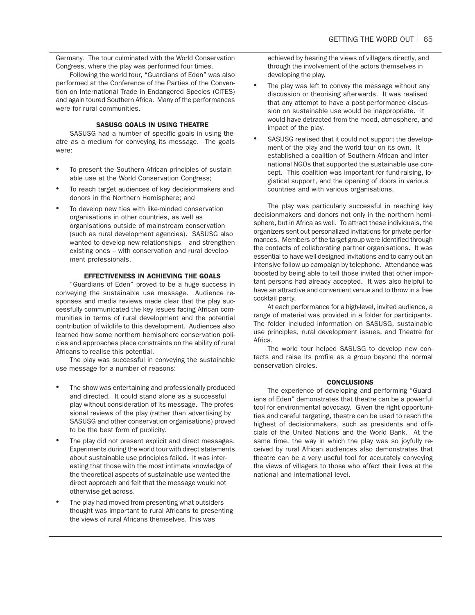Germany. The tour culminated with the World Conservation Congress, where the play was performed four times.

Following the world tour, "Guardians of Eden" was also performed at the Conference of the Parties of the Convention on International Trade in Endangered Species (CITES) and again toured Southern Africa. Many of the performances were for rural communities.

#### SASUSG GOALS IN USING THEATRE

SASUSG had a number of specific goals in using theatre as a medium for conveying its message. The goals were:

- To present the Southern African principles of sustainable use at the World Conservation Congress;
- To reach target audiences of key decisionmakers and donors in the Northern Hemisphere; and
- To develop new ties with like-minded conservation organisations in other countries, as well as organisations outside of mainstream conservation (such as rural development agencies). SASUSG also wanted to develop new relationships – and strengthen existing ones – with conservation and rural development professionals.

#### EFFECTIVENESS IN ACHIEVING THE GOALS

"Guardians of Eden" proved to be a huge success in conveying the sustainable use message. Audience responses and media reviews made clear that the play successfully communicated the key issues facing African communities in terms of rural development and the potential contribution of wildlife to this development. Audiences also learned how some northern hemisphere conservation policies and approaches place constraints on the ability of rural Africans to realise this potential.

The play was successful in conveying the sustainable use message for a number of reasons:

- The show was entertaining and professionally produced and directed. It could stand alone as a successful play without consideration of its message. The professional reviews of the play (rather than advertising by SASUSG and other conservation organisations) proved to be the best form of publicity.
- The play did not present explicit and direct messages. Experiments during the world tour with direct statements about sustainable use principles failed. It was interesting that those with the most intimate knowledge of the theoretical aspects of sustainable use wanted the direct approach and felt that the message would not otherwise get across.
- The play had moved from presenting what outsiders thought was important to rural Africans to presenting the views of rural Africans themselves. This was

achieved by hearing the views of villagers directly, and through the involvement of the actors themselves in developing the play.

- The play was left to convey the message without any discussion or theorising afterwards. It was realised that any attempt to have a post-performance discussion on sustainable use would be inappropriate. It would have detracted from the mood, atmosphere, and impact of the play.
- SASUSG realised that it could not support the development of the play and the world tour on its own. It established a coalition of Southern African and international NGOs that supported the sustainable use concept. This coalition was important for fund-raising, logistical support, and the opening of doors in various countries and with various organisations.

The play was particularly successful in reaching key decisionmakers and donors not only in the northern hemisphere, but in Africa as well. To attract these individuals, the organizers sent out personalized invitations for private performances. Members of the target group were identified through the contacts of collaborating partner organisations. It was essential to have well-designed invitations and to carry out an intensive follow-up campaign by telephone. Attendance was boosted by being able to tell those invited that other important persons had already accepted. It was also helpful to have an attractive and convenient venue and to throw in a free cocktail party.

At each performance for a high-level, invited audience, a range of material was provided in a folder for participants. The folder included information on SASUSG, sustainable use principles, rural development issues, and Theatre for Africa.

The world tour helped SASUSG to develop new contacts and raise its profile as a group beyond the normal conservation circles.

#### **CONCLUSIONS**

The experience of developing and performing "Guardians of Eden" demonstrates that theatre can be a powerful tool for environmental advocacy. Given the right opportunities and careful targeting, theatre can be used to reach the highest of decisionmakers, such as presidents and officials of the United Nations and the World Bank. At the same time, the way in which the play was so joyfully received by rural African audiences also demonstrates that theatre can be a very useful tool for accurately conveying the views of villagers to those who affect their lives at the national and international level.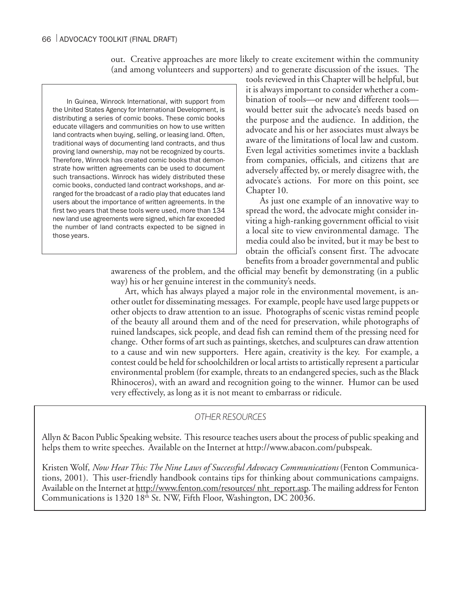out. Creative approaches are more likely to create excitement within the community (and among volunteers and supporters) and to generate discussion of the issues. The

In Guinea, Winrock International, with support from the United States Agency for International Development, is distributing a series of comic books. These comic books educate villagers and communities on how to use written land contracts when buying, selling, or leasing land. Often, traditional ways of documenting land contracts, and thus proving land ownership, may not be recognized by courts. Therefore, Winrock has created comic books that demonstrate how written agreements can be used to document such transactions. Winrock has widely distributed these comic books, conducted land contract workshops, and arranged for the broadcast of a radio play that educates land users about the importance of written agreements. In the first two years that these tools were used, more than 134 new land use agreements were signed, which far exceeded the number of land contracts expected to be signed in those years.

tools reviewed in this Chapter will be helpful, but it is always important to consider whether a combination of tools—or new and different tools would better suit the advocate's needs based on the purpose and the audience. In addition, the advocate and his or her associates must always be aware of the limitations of local law and custom. Even legal activities sometimes invite a backlash from companies, officials, and citizens that are adversely affected by, or merely disagree with, the advocate's actions. For more on this point, see Chapter 10.

As just one example of an innovative way to spread the word, the advocate might consider inviting a high-ranking government official to visit a local site to view environmental damage. The media could also be invited, but it may be best to obtain the official's consent first. The advocate benefits from a broader governmental and public

awareness of the problem, and the official may benefit by demonstrating (in a public way) his or her genuine interest in the community's needs.

Art, which has always played a major role in the environmental movement, is another outlet for disseminating messages. For example, people have used large puppets or other objects to draw attention to an issue. Photographs of scenic vistas remind people of the beauty all around them and of the need for preservation, while photographs of ruined landscapes, sick people, and dead fish can remind them of the pressing need for change. Other forms of art such as paintings, sketches, and sculptures can draw attention to a cause and win new supporters. Here again, creativity is the key. For example, a contest could be held for schoolchildren or local artists to artistically represent a particular environmental problem (for example, threats to an endangered species, such as the Black Rhinoceros), with an award and recognition going to the winner. Humor can be used very effectively, as long as it is not meant to embarrass or ridicule.

# *OTHER RESOURCES*

Allyn & Bacon Public Speaking website. This resource teaches users about the process of public speaking and helps them to write speeches. Available on the Internet at http://www.abacon.com/pubspeak.

Kristen Wolf, *Now Hear This: The Nine Laws of Successful Advocacy Communications* (Fenton Communications, 2001). This user-friendly handbook contains tips for thinking about communications campaigns. Available on the Internet at http://www.fenton.com/resources/ nht\_report.asp. The mailing address for Fenton Communications is 1320 18<sup>th</sup> St. NW, Fifth Floor, Washington, DC 20036.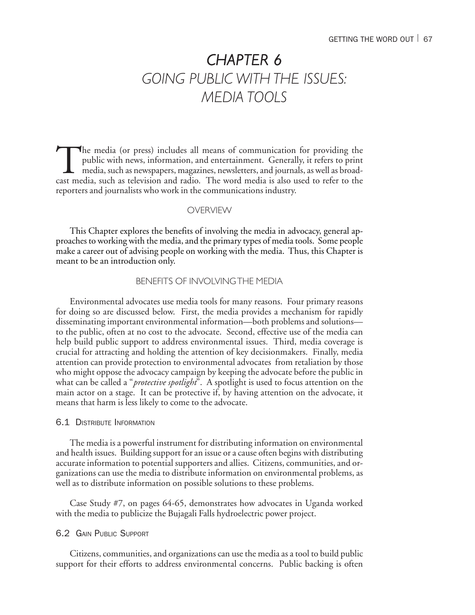# *CHAPTER 6 CHAPTER 6 GOING PUBLIC WITH THE ISSUES: MEDIA TOOLS*

The media (or press) includes all means of communication for providing the public with news, information, and entertainment. Generally, it refers to print media, such as newspapers, magazines, newsletters, and journals, as public with news, information, and entertainment. Generally, it refers to print media, such as newspapers, magazines, newsletters, and journals, as well as broadcast media, such as television and radio. The word media is also used to refer to the reporters and journalists who work in the communications industry.

# **OVERVIEW**

This Chapter explores the benefits of involving the media in advocacy, general approaches to working with the media, and the primary types of media tools. Some people make a career out of advising people on working with the media. Thus, this Chapter is meant to be an introduction only.

## BENEFITS OF INVOLVING THE MEDIA

Environmental advocates use media tools for many reasons. Four primary reasons for doing so are discussed below. First, the media provides a mechanism for rapidly disseminating important environmental information—both problems and solutions to the public, often at no cost to the advocate. Second, effective use of the media can help build public support to address environmental issues. Third, media coverage is crucial for attracting and holding the attention of key decisionmakers. Finally, media attention can provide protection to environmental advocates from retaliation by those who might oppose the advocacy campaign by keeping the advocate before the public in what can be called a "*protective spotlight*". A spotlight is used to focus attention on the main actor on a stage. It can be protective if, by having attention on the advocate, it means that harm is less likely to come to the advocate.

## 6.1 DISTRIBUTE INFORMATION

The media is a powerful instrument for distributing information on environmental and health issues. Building support for an issue or a cause often begins with distributing accurate information to potential supporters and allies. Citizens, communities, and organizations can use the media to distribute information on environmental problems, as well as to distribute information on possible solutions to these problems.

Case Study #7, on pages 64-65, demonstrates how advocates in Uganda worked with the media to publicize the Bujagali Falls hydroelectric power project.

# 6.2 GAIN PUBLIC SUPPORT

Citizens, communities, and organizations can use the media as a tool to build public support for their efforts to address environmental concerns. Public backing is often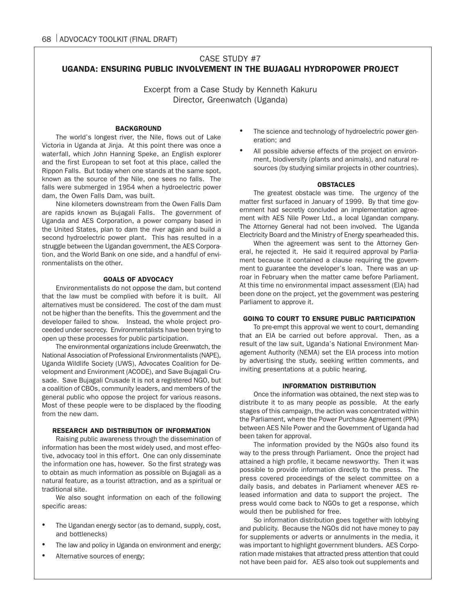# CASE STUDY #7 UGANDA: ENSURING PUBLIC INVOLVEMENT IN THE BUJAGALI HYDROPOWER PROJECT

Excerpt from a Case Study by Kenneth Kakuru Director, Greenwatch (Uganda)

## **BACKGROUND**

The world's longest river, the Nile, flows out of Lake Victoria in Uganda at Jinja. At this point there was once a waterfall, which John Hanning Speke, an English explorer and the first European to set foot at this place, called the Rippon Falls. But today when one stands at the same spot, known as the source of the Nile, one sees no falls. The falls were submerged in 1954 when a hydroelectric power dam, the Owen Falls Dam, was built.

Nine kilometers downstream from the Owen Falls Dam are rapids known as Bujagali Falls. The government of Uganda and AES Corporation, a power company based in the United States, plan to dam the river again and build a second hydroelectric power plant. This has resulted in a struggle between the Ugandan government, the AES Corporation, and the World Bank on one side, and a handful of environmentalists on the other.

#### GOALS OF ADVOCACY

Environmentalists do not oppose the dam, but contend that the law must be complied with before it is built. All alternatives must be considered. The cost of the dam must not be higher than the benefits. This the government and the developer failed to show. Instead, the whole project proceeded under secrecy. Environmentalists have been trying to open up these processes for public participation.

The environmental organizations include Greenwatch, the National Association of Professional Environmentalists (NAPE), Uganda Wildlife Society (UWS), Advocates Coalition for Development and Environment (ACODE), and Save Bujagali Crusade. Save Bujagali Crusade it is not a registered NGO, but a coalition of CBOs, community leaders, and members of the general public who oppose the project for various reasons. Most of these people were to be displaced by the flooding from the new dam.

#### RESEARCH AND DISTRIBUTION OF INFORMATION

Raising public awareness through the dissemination of information has been the most widely used, and most effective, advocacy tool in this effort. One can only disseminate the information one has, however. So the first strategy was to obtain as much information as possible on Bujagali as a natural feature, as a tourist attraction, and as a spiritual or traditional site.

We also sought information on each of the following specific areas:

- The Ugandan energy sector (as to demand, supply, cost, and bottlenecks)
- The law and policy in Uganda on environment and energy;
- Alternative sources of energy;
- The science and technology of hydroelectric power generation; and
- All possible adverse effects of the project on environment, biodiversity (plants and animals), and natural resources (by studying similar projects in other countries).

#### **OBSTACLES**

The greatest obstacle was time. The urgency of the matter first surfaced in January of 1999. By that time government had secretly concluded an implementation agreement with AES Nile Power Ltd., a local Ugandan company. The Attorney General had not been involved. The Uganda Electricity Board and the Ministry of Energy spearheaded this.

When the agreement was sent to the Attorney General, he rejected it. He said it required approval by Parliament because it contained a clause requiring the government to guarantee the developer's loan. There was an uproar in February when the matter came before Parliament. At this time no environmental impact assessment (EIA) had been done on the project, yet the government was pestering Parliament to approve it.

#### GOING TO COURT TO ENSURE PUBLIC PARTICIPATION

To pre-empt this approval we went to court, demanding that an EIA be carried out before approval. Then, as a result of the law suit, Uganda's National Environment Management Authority (NEMA) set the EIA process into motion by advertising the study, seeking written comments, and inviting presentations at a public hearing.

#### INFORMATION DISTRIBUTION

Once the information was obtained, the next step was to distribute it to as many people as possible. At the early stages of this campaign, the action was concentrated within the Parliament, where the Power Purchase Agreement (PPA) between AES Nile Power and the Government of Uganda had been taken for approval.

The information provided by the NGOs also found its way to the press through Parliament. Once the project had attained a high profile, it became newsworthy. Then it was possible to provide information directly to the press. The press covered proceedings of the select committee on a daily basis, and debates in Parliament whenever AES released information and data to support the project. The press would come back to NGOs to get a response, which would then be published for free.

So information distribution goes together with lobbying and publicity. Because the NGOs did not have money to pay for supplements or adverts or annulments in the media, it was important to highlight government blunders. AES Corporation made mistakes that attracted press attention that could not have been paid for. AES also took out supplements and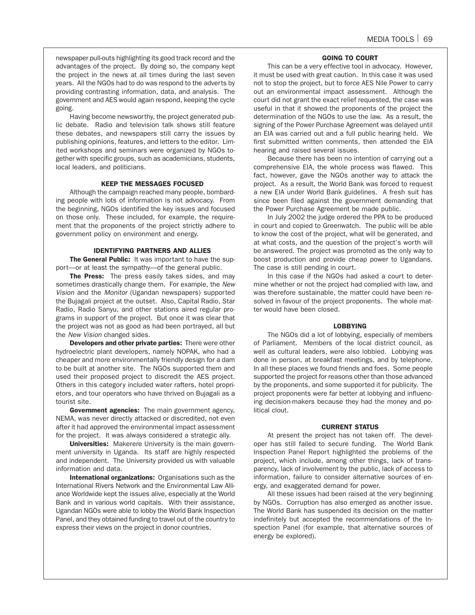newspaper pull-outs highlighting its good track record and the advantages of the project. By doing so, the company kept the project in the news at all times during the last seven years. All the NGOs had to do was respond to the adverts by providing contrasting information, data, and analysis. The government and AES would again respond, keeping the cycle going.

Having become newsworthy, the project generated public debate. Radio and television talk shows still feature these debates, and newspapers still carry the issues by publishing opinions, features, and letters to the editor. Limited workshops and seminars were organized by NGOs together with specific groups, such as academicians, students, local leaders, and politicians.

#### KEEP THE MESSAGES FOCUSED

Although the campaign reached many people, bombarding people with lots of information is not advocacy. From the beginning, NGOs identified the key issues and focused on those only. These included, for example, the requirement that the proponents of the project strictly adhere to government policy on environment and energy.

#### IDENTIFYING PARTNERS AND ALLIES

The General Public: It was important to have the support—or at least the sympathy—of the general public.

The Press: The press easily takes sides, and may sometimes drastically change them. For example, the New Vision and the Monitor (Ugandan newspapers) supported the Bujagali project at the outset. Also, Capital Radio, Star Radio, Radio Sanyu, and other stations aired regular programs in support of the project. But once it was clear that the project was not as good as had been portrayed, all but the New Vision changed sides.

Developers and other private parties: There were other hydroelectric plant developers, namely NOPAK, who had a cheaper and more environmentally friendly design for a dam to be built at another site. The NGOs supported them and used their proposed project to discredit the AES project. Others in this category included water rafters, hotel proprietors, and tour operators who have thrived on Bujagali as a tourist site.

Government agencies: The main government agency, NEMA, was never directly attacked or discredited, not even after it had approved the environmental impact assessment for the project. It was always considered a strategic ally.

**Universities:** Makerere University is the main government university in Uganda. Its staff are highly respected and independent. The University provided us with valuable information and data.

International organizations: Organisations such as the International Rivers Network and the Environmental Law Alliance Worldwide kept the issues alive, especially at the World Bank and in various world capitals. With their assistance, Ugandan NGOs were able to lobby the World Bank Inspection Panel, and they obtained funding to travel out of the country to express their views on the project in donor countries.

#### GOING TO COURT

This can be a very effective tool in advocacy. However, it must be used with great caution. In this case it was used not to stop the project, but to force AES Nile Power to carry out an environmental impact assessment. Although the court did not grant the exact relief requested, the case was useful in that it showed the proponents of the project the determination of the NGOs to use the law. As a result, the signing of the Power Purchase Agreement was delayed until an EIA was carried out and a full public hearing held. We first submitted written comments, then attended the EIA hearing and raised several issues.

Because there has been no intention of carrying out a comprehensive EIA, the whole process was flawed. This fact, however, gave the NGOs another way to attack the project. As a result, the World Bank was forced to request a new EIA under World Bank guidelines. A fresh suit has since been filed against the government demanding that the Power Purchase Agreement be made public.

In July 2002 the judge ordered the PPA to be produced in court and copied to Greenwatch. The public will be able to know the cost of the project, what will be generated, and at what costs, and the question of the project's worth will be answered. The project was promoted as the only way to boost production and provide cheap power to Ugandans. The case is still pending in court.

In this case if the NGOs had asked a court to determine whether or not the project had complied with law, and was therefore sustainable, the matter could have been resolved in favour of the project proponents. The whole matter would have been closed.

#### LOBBYING

The NGOs did a lot of lobbying, especially of members of Parliament. Members of the local district council, as well as cultural leaders, were also lobbied. Lobbying was done in person, at breakfast meetings, and by telephone. In all these places we found friends and foes. Some people supported the project for reasons other than those advanced by the proponents, and some supported it for publicity. The project proponents were far better at lobbying and influencing decision-makers because they had the money and political clout.

#### CURRENT STATUS

At present the project has not taken off. The developer has still failed to secure funding. The World Bank Inspection Panel Report highlighted the problems of the project, which include, among other things, lack of transparency, lack of involvement by the public, lack of access to information, failure to consider alternative sources of energy, and exaggerated demand for power.

All these issues had been raised at the very beginning by NGOs. Corruption has also emerged as another issue. The World Bank has suspended its decision on the matter indefinitely but accepted the recommendations of the Inspection Panel (for example, that alternative sources of energy be explored).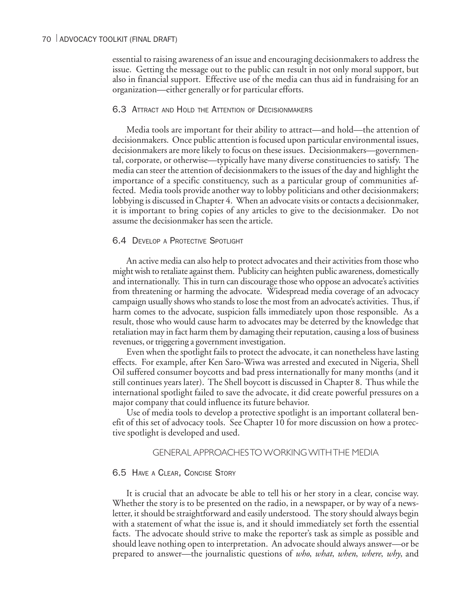essential to raising awareness of an issue and encouraging decisionmakers to address the issue. Getting the message out to the public can result in not only moral support, but also in financial support. Effective use of the media can thus aid in fundraising for an organization—either generally or for particular efforts.

## 6.3 ATTRACT AND HOLD THE ATTENTION OF DECISIONMAKERS

Media tools are important for their ability to attract—and hold—the attention of decisionmakers. Once public attention is focused upon particular environmental issues, decisionmakers are more likely to focus on these issues. Decisionmakers—governmental, corporate, or otherwise—typically have many diverse constituencies to satisfy. The media can steer the attention of decisionmakers to the issues of the day and highlight the importance of a specific constituency, such as a particular group of communities affected. Media tools provide another way to lobby politicians and other decisionmakers; lobbying is discussed in Chapter 4. When an advocate visits or contacts a decisionmaker, it is important to bring copies of any articles to give to the decisionmaker. Do not assume the decisionmaker has seen the article.

# 6.4 DEVELOP A PROTECTIVE SPOTLIGHT

An active media can also help to protect advocates and their activities from those who might wish to retaliate against them. Publicity can heighten public awareness, domestically and internationally. This in turn can discourage those who oppose an advocate's activities from threatening or harming the advocate. Widespread media coverage of an advocacy campaign usually shows who stands to lose the most from an advocate's activities. Thus, if harm comes to the advocate, suspicion falls immediately upon those responsible. As a result, those who would cause harm to advocates may be deterred by the knowledge that retaliation may in fact harm them by damaging their reputation, causing a loss of business revenues, or triggering a government investigation.

Even when the spotlight fails to protect the advocate, it can nonetheless have lasting effects. For example, after Ken Saro-Wiwa was arrested and executed in Nigeria, Shell Oil suffered consumer boycotts and bad press internationally for many months (and it still continues years later). The Shell boycott is discussed in Chapter 8. Thus while the international spotlight failed to save the advocate, it did create powerful pressures on a major company that could influence its future behavior.

Use of media tools to develop a protective spotlight is an important collateral benefit of this set of advocacy tools. See Chapter 10 for more discussion on how a protective spotlight is developed and used.

## GENERAL APPROACHES TO WORKING WITH THE MEDIA

## 6.5 HAVE A CLEAR, CONCISE STORY

It is crucial that an advocate be able to tell his or her story in a clear, concise way. Whether the story is to be presented on the radio, in a newspaper, or by way of a newsletter, it should be straightforward and easily understood. The story should always begin with a statement of what the issue is, and it should immediately set forth the essential facts. The advocate should strive to make the reporter's task as simple as possible and should leave nothing open to interpretation. An advocate should always answer—or be prepared to answer—the journalistic questions of *who*, *what*, *when*, *where*, *why*, and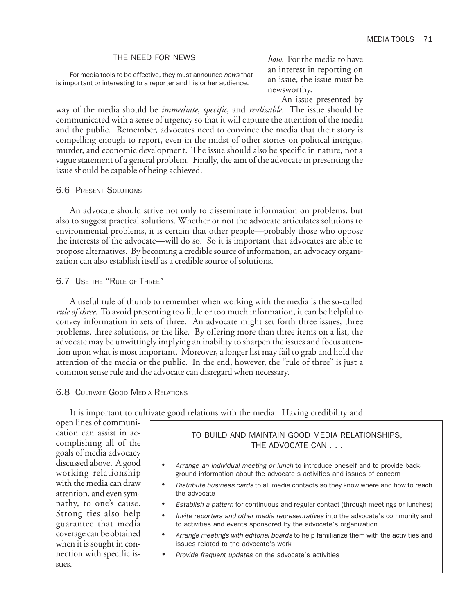# THE NEED FOR NEWS

For media tools to be effective, they must announce news that is important or interesting to a reporter and his or her audience.

*how*. For the media to have an interest in reporting on an issue, the issue must be newsworthy.

An issue presented by

way of the media should be *immediate*, *specific*, and *realizable*. The issue should be communicated with a sense of urgency so that it will capture the attention of the media and the public. Remember, advocates need to convince the media that their story is compelling enough to report, even in the midst of other stories on political intrigue, murder, and economic development. The issue should also be specific in nature, not a vague statement of a general problem. Finally, the aim of the advocate in presenting the issue should be capable of being achieved.

# 6.6 PRESENT SOLUTIONS

An advocate should strive not only to disseminate information on problems, but also to suggest practical solutions. Whether or not the advocate articulates solutions to environmental problems, it is certain that other people—probably those who oppose the interests of the advocate—will do so. So it is important that advocates are able to propose alternatives. By becoming a credible source of information, an advocacy organization can also establish itself as a credible source of solutions.

# 6.7 USE THE "RULE OF THREE"

A useful rule of thumb to remember when working with the media is the so-called *rule of three*. To avoid presenting too little or too much information, it can be helpful to convey information in sets of three. An advocate might set forth three issues, three problems, three solutions, or the like. By offering more than three items on a list, the advocate may be unwittingly implying an inability to sharpen the issues and focus attention upon what is most important. Moreover, a longer list may fail to grab and hold the attention of the media or the public. In the end, however, the "rule of three" is just a common sense rule and the advocate can disregard when necessary.

# 6.8 CULTIVATE GOOD MEDIA RELATIONS

It is important to cultivate good relations with the media. Having credibility and

open lines of communication can assist in accomplishing all of the goals of media advocacy discussed above. A good working relationship with the media can draw attention, and even sympathy, to one's cause. Strong ties also help guarantee that media coverage can be obtained when it is sought in connection with specific issues.

# TO BUILD AND MAINTAIN GOOD MEDIA RELATIONSHIPS, THE ADVOCATE CAN . . .

- Arrange an individual meeting or lunch to introduce oneself and to provide background information about the advocate's activities and issues of concern
- Distribute business cards to all media contacts so they know where and how to reach the advocate
- Establish a pattern for continuous and regular contact (through meetings or lunches)
- Invite reporters and other media representatives into the advocate's community and to activities and events sponsored by the advocate's organization
- Arrange meetings with editorial boards to help familiarize them with the activities and issues related to the advocate's work
- *•* Provide frequent updates on the advocate's activities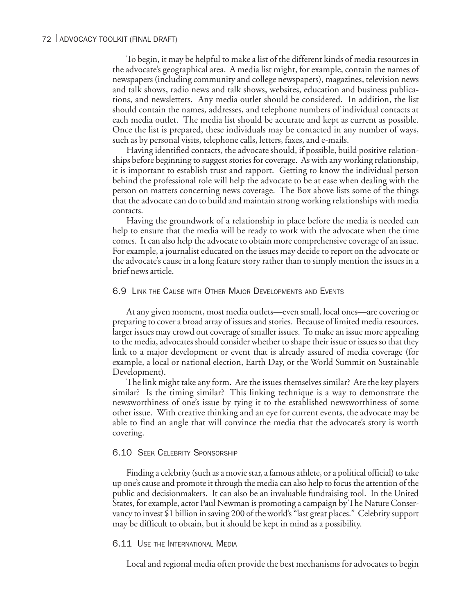To begin, it may be helpful to make a list of the different kinds of media resources in the advocate's geographical area. A media list might, for example, contain the names of newspapers (including community and college newspapers), magazines, television news and talk shows, radio news and talk shows, websites, education and business publications, and newsletters. Any media outlet should be considered. In addition, the list should contain the names, addresses, and telephone numbers of individual contacts at each media outlet. The media list should be accurate and kept as current as possible. Once the list is prepared, these individuals may be contacted in any number of ways, such as by personal visits, telephone calls, letters, faxes, and e-mails.

Having identified contacts, the advocate should, if possible, build positive relationships before beginning to suggest stories for coverage. As with any working relationship, it is important to establish trust and rapport. Getting to know the individual person behind the professional role will help the advocate to be at ease when dealing with the person on matters concerning news coverage. The Box above lists some of the things that the advocate can do to build and maintain strong working relationships with media contacts.

Having the groundwork of a relationship in place before the media is needed can help to ensure that the media will be ready to work with the advocate when the time comes. It can also help the advocate to obtain more comprehensive coverage of an issue. For example, a journalist educated on the issues may decide to report on the advocate or the advocate's cause in a long feature story rather than to simply mention the issues in a brief news article.

## 6.9 LINK THE CAUSE WITH OTHER MAJOR DEVELOPMENTS AND EVENTS

At any given moment, most media outlets—even small, local ones—are covering or preparing to cover a broad array of issues and stories. Because of limited media resources, larger issues may crowd out coverage of smaller issues. To make an issue more appealing to the media, advocates should consider whether to shape their issue or issues so that they link to a major development or event that is already assured of media coverage (for example, a local or national election, Earth Day, or the World Summit on Sustainable Development).

The link might take any form. Are the issues themselves similar? Are the key players similar? Is the timing similar? This linking technique is a way to demonstrate the newsworthiness of one's issue by tying it to the established newsworthiness of some other issue. With creative thinking and an eye for current events, the advocate may be able to find an angle that will convince the media that the advocate's story is worth covering.

## 6.10 SEEK CELEBRITY SPONSORSHIP

Finding a celebrity (such as a movie star, a famous athlete, or a political official) to take up one's cause and promote it through the media can also help to focus the attention of the public and decisionmakers. It can also be an invaluable fundraising tool. In the United States, for example, actor Paul Newman is promoting a campaign by The Nature Conservancy to invest \$1 billion in saving 200 of the world's "last great places." Celebrity support may be difficult to obtain, but it should be kept in mind as a possibility.

## 6.11 USE THE INTERNATIONAL MEDIA

Local and regional media often provide the best mechanisms for advocates to begin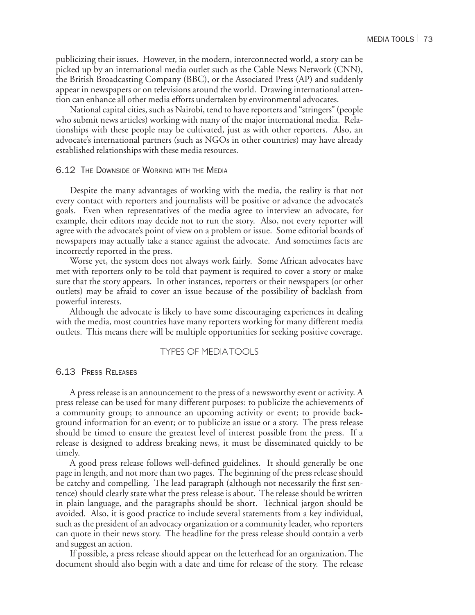publicizing their issues. However, in the modern, interconnected world, a story can be picked up by an international media outlet such as the Cable News Network (CNN), the British Broadcasting Company (BBC), or the Associated Press (AP) and suddenly appear in newspapers or on televisions around the world. Drawing international attention can enhance all other media efforts undertaken by environmental advocates.

National capital cities, such as Nairobi, tend to have reporters and "stringers" (people who submit news articles) working with many of the major international media. Relationships with these people may be cultivated, just as with other reporters. Also, an advocate's international partners (such as NGOs in other countries) may have already established relationships with these media resources.

#### 6.12 THE DOWNSIDE OF WORKING WITH THE MEDIA

Despite the many advantages of working with the media, the reality is that not every contact with reporters and journalists will be positive or advance the advocate's goals. Even when representatives of the media agree to interview an advocate, for example, their editors may decide not to run the story. Also, not every reporter will agree with the advocate's point of view on a problem or issue. Some editorial boards of newspapers may actually take a stance against the advocate. And sometimes facts are incorrectly reported in the press.

Worse yet, the system does not always work fairly. Some African advocates have met with reporters only to be told that payment is required to cover a story or make sure that the story appears. In other instances, reporters or their newspapers (or other outlets) may be afraid to cover an issue because of the possibility of backlash from powerful interests.

Although the advocate is likely to have some discouraging experiences in dealing with the media, most countries have many reporters working for many different media outlets. This means there will be multiple opportunities for seeking positive coverage.

# TYPES OF MEDIA TOOLS

## 6.13 PRESS RELEASES

A press release is an announcement to the press of a newsworthy event or activity. A press release can be used for many different purposes: to publicize the achievements of a community group; to announce an upcoming activity or event; to provide background information for an event; or to publicize an issue or a story. The press release should be timed to ensure the greatest level of interest possible from the press. If a release is designed to address breaking news, it must be disseminated quickly to be timely.

A good press release follows well-defined guidelines. It should generally be one page in length, and not more than two pages. The beginning of the press release should be catchy and compelling. The lead paragraph (although not necessarily the first sentence) should clearly state what the press release is about. The release should be written in plain language, and the paragraphs should be short. Technical jargon should be avoided. Also, it is good practice to include several statements from a key individual, such as the president of an advocacy organization or a community leader, who reporters can quote in their news story. The headline for the press release should contain a verb and suggest an action.

If possible, a press release should appear on the letterhead for an organization. The document should also begin with a date and time for release of the story. The release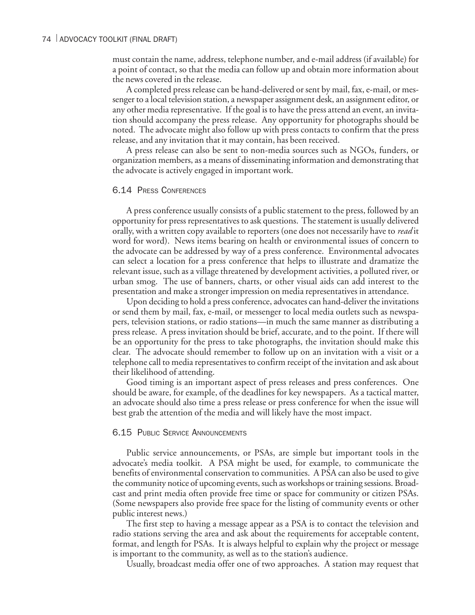must contain the name, address, telephone number, and e-mail address (if available) for a point of contact, so that the media can follow up and obtain more information about the news covered in the release.

A completed press release can be hand-delivered or sent by mail, fax, e-mail, or messenger to a local television station, a newspaper assignment desk, an assignment editor, or any other media representative. If the goal is to have the press attend an event, an invitation should accompany the press release. Any opportunity for photographs should be noted. The advocate might also follow up with press contacts to confirm that the press release, and any invitation that it may contain, has been received.

A press release can also be sent to non-media sources such as NGOs, funders, or organization members, as a means of disseminating information and demonstrating that the advocate is actively engaged in important work.

#### 6.14 PRESS CONFERENCES

A press conference usually consists of a public statement to the press, followed by an opportunity for press representatives to ask questions. The statement is usually delivered orally, with a written copy available to reporters (one does not necessarily have to *read* it word for word). News items bearing on health or environmental issues of concern to the advocate can be addressed by way of a press conference. Environmental advocates can select a location for a press conference that helps to illustrate and dramatize the relevant issue, such as a village threatened by development activities, a polluted river, or urban smog. The use of banners, charts, or other visual aids can add interest to the presentation and make a stronger impression on media representatives in attendance.

Upon deciding to hold a press conference, advocates can hand-deliver the invitations or send them by mail, fax, e-mail, or messenger to local media outlets such as newspapers, television stations, or radio stations—in much the same manner as distributing a press release. A press invitation should be brief, accurate, and to the point. If there will be an opportunity for the press to take photographs, the invitation should make this clear. The advocate should remember to follow up on an invitation with a visit or a telephone call to media representatives to confirm receipt of the invitation and ask about their likelihood of attending.

Good timing is an important aspect of press releases and press conferences. One should be aware, for example, of the deadlines for key newspapers. As a tactical matter, an advocate should also time a press release or press conference for when the issue will best grab the attention of the media and will likely have the most impact.

#### 6.15 PUBLIC SERVICE ANNOUNCEMENTS

Public service announcements, or PSAs, are simple but important tools in the advocate's media toolkit. A PSA might be used, for example, to communicate the benefits of environmental conservation to communities. A PSA can also be used to give the community notice of upcoming events, such as workshops or training sessions. Broadcast and print media often provide free time or space for community or citizen PSAs. (Some newspapers also provide free space for the listing of community events or other public interest news.)

The first step to having a message appear as a PSA is to contact the television and radio stations serving the area and ask about the requirements for acceptable content, format, and length for PSAs. It is always helpful to explain why the project or message is important to the community, as well as to the station's audience.

Usually, broadcast media offer one of two approaches. A station may request that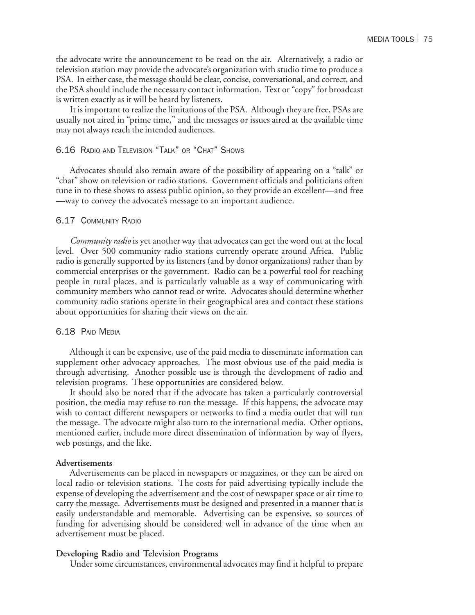the advocate write the announcement to be read on the air. Alternatively, a radio or television station may provide the advocate's organization with studio time to produce a PSA. In either case, the message should be clear, concise, conversational, and correct, and the PSA should include the necessary contact information. Text or "copy" for broadcast is written exactly as it will be heard by listeners.

It is important to realize the limitations of the PSA. Although they are free, PSAs are usually not aired in "prime time," and the messages or issues aired at the available time may not always reach the intended audiences.

## 6.16 RADIO AND TELEVISION "TALK" OR "CHAT" SHOWS

Advocates should also remain aware of the possibility of appearing on a "talk" or "chat" show on television or radio stations. Government officials and politicians often tune in to these shows to assess public opinion, so they provide an excellent—and free —way to convey the advocate's message to an important audience.

#### 6.17 COMMUNITY RADIO

*Community radio* is yet another way that advocates can get the word out at the local level. Over 500 community radio stations currently operate around Africa. Public radio is generally supported by its listeners (and by donor organizations) rather than by commercial enterprises or the government. Radio can be a powerful tool for reaching people in rural places, and is particularly valuable as a way of communicating with community members who cannot read or write. Advocates should determine whether community radio stations operate in their geographical area and contact these stations about opportunities for sharing their views on the air.

#### 6.18 PAID MEDIA

Although it can be expensive, use of the paid media to disseminate information can supplement other advocacy approaches. The most obvious use of the paid media is through advertising. Another possible use is through the development of radio and television programs. These opportunities are considered below.

It should also be noted that if the advocate has taken a particularly controversial position, the media may refuse to run the message. If this happens, the advocate may wish to contact different newspapers or networks to find a media outlet that will run the message. The advocate might also turn to the international media. Other options, mentioned earlier, include more direct dissemination of information by way of flyers, web postings, and the like.

#### **Advertisements**

Advertisements can be placed in newspapers or magazines, or they can be aired on local radio or television stations. The costs for paid advertising typically include the expense of developing the advertisement and the cost of newspaper space or air time to carry the message. Advertisements must be designed and presented in a manner that is easily understandable and memorable. Advertising can be expensive, so sources of funding for advertising should be considered well in advance of the time when an advertisement must be placed.

### **Developing Radio and Television Programs**

Under some circumstances, environmental advocates may find it helpful to prepare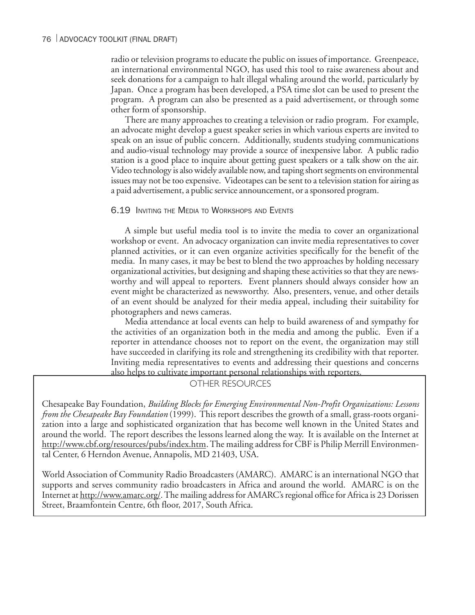radio or television programs to educate the public on issues of importance. Greenpeace, an international environmental NGO, has used this tool to raise awareness about and seek donations for a campaign to halt illegal whaling around the world, particularly by Japan. Once a program has been developed, a PSA time slot can be used to present the program. A program can also be presented as a paid advertisement, or through some other form of sponsorship.

There are many approaches to creating a television or radio program. For example, an advocate might develop a guest speaker series in which various experts are invited to speak on an issue of public concern. Additionally, students studying communications and audio-visual technology may provide a source of inexpensive labor. A public radio station is a good place to inquire about getting guest speakers or a talk show on the air. Video technology is also widely available now, and taping short segments on environmental issues may not be too expensive. Videotapes can be sent to a television station for airing as a paid advertisement, a public service announcement, or a sponsored program.

# 6.19 INVITING THE MEDIA TO WORKSHOPS AND EVENTS

A simple but useful media tool is to invite the media to cover an organizational workshop or event. An advocacy organization can invite media representatives to cover planned activities, or it can even organize activities specifically for the benefit of the media. In many cases, it may be best to blend the two approaches by holding necessary organizational activities, but designing and shaping these activities so that they are newsworthy and will appeal to reporters. Event planners should always consider how an event might be characterized as newsworthy. Also, presenters, venue, and other details of an event should be analyzed for their media appeal, including their suitability for photographers and news cameras.

Media attendance at local events can help to build awareness of and sympathy for the activities of an organization both in the media and among the public. Even if a reporter in attendance chooses not to report on the event, the organization may still have succeeded in clarifying its role and strengthening its credibility with that reporter. Inviting media representatives to events and addressing their questions and concerns also helps to cultivate important personal relationships with reporters.

# OTHER RESOURCES

Chesapeake Bay Foundation, *Building Blocks for Emerging Environmental Non-Profit Organizations: Lessons from the Chesapeake Bay Foundation* (1999). This report describes the growth of a small, grass-roots organization into a large and sophisticated organization that has become well known in the United States and around the world. The report describes the lessons learned along the way. It is available on the Internet at http://www.cbf.org/resources/pubs/index.htm. The mailing address for CBF is Philip Merrill Environmental Center, 6 Herndon Avenue, Annapolis, MD 21403, USA.

World Association of Community Radio Broadcasters (AMARC). AMARC is an international NGO that supports and serves community radio broadcasters in Africa and around the world. AMARC is on the Internet at http://www.amarc.org/. The mailing address for AMARC's regional office for Africa is 23 Dorissen Street, Braamfontein Centre, 6th floor, 2017, South Africa.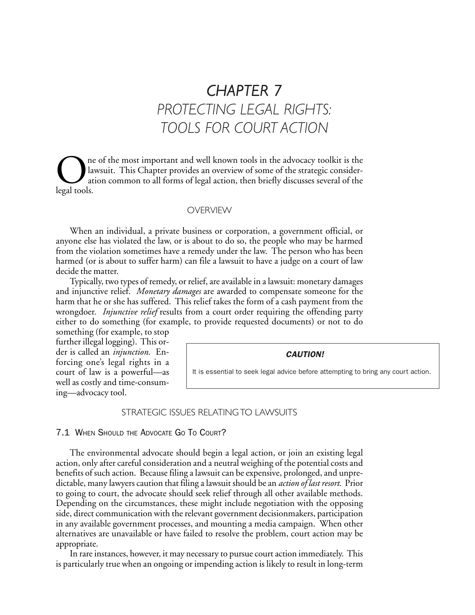# *CHAPTER 7 CHAPTER 7 PROTECTING LEGAL RIGHTS: TOOLS FOR COURT ACTION*

One of the most important and well known tools in the advocacy toolkit is the lawsuit. This Chapter provides an overview of some of the strategic consider-<br>legal tools. lawsuit. This Chapter provides an overview of some of the strategic consideration common to all forms of legal action, then briefly discusses several of the legal tools.

# **OVERVIEW**

When an individual, a private business or corporation, a government official, or anyone else has violated the law, or is about to do so, the people who may be harmed from the violation sometimes have a remedy under the law. The person who has been harmed (or is about to suffer harm) can file a lawsuit to have a judge on a court of law decide the matter.

Typically, two types of remedy, or relief, are available in a lawsuit: monetary damages and injunctive relief. *Monetary damages* are awarded to compensate someone for the harm that he or she has suffered. This relief takes the form of a cash payment from the wrongdoer. *Injunctive relief* results from a court order requiring the offending party either to do something (for example, to provide requested documents) or not to do

something (for example, to stop further illegal logging). This order is called an *injunction*. Enforcing one's legal rights in a court of law is a powerful—as well as costly and time-consuming—advocacy tool.

## CAUTION!

It is essential to seek legal advice before attempting to bring any court action.

## STRATEGIC ISSUES RELATING TO LAWSUITS

#### 7.1 WHEN SHOULD THE ADVOCATE GO TO COURT?

The environmental advocate should begin a legal action, or join an existing legal action, only after careful consideration and a neutral weighing of the potential costs and benefits of such action. Because filing a lawsuit can be expensive, prolonged, and unpredictable, many lawyers caution that filing a lawsuit should be an *action of last resort*. Prior to going to court, the advocate should seek relief through all other available methods. Depending on the circumstances, these might include negotiation with the opposing side, direct communication with the relevant government decisionmakers, participation in any available government processes, and mounting a media campaign. When other alternatives are unavailable or have failed to resolve the problem, court action may be appropriate.

In rare instances, however, it may necessary to pursue court action immediately. This is particularly true when an ongoing or impending action is likely to result in long-term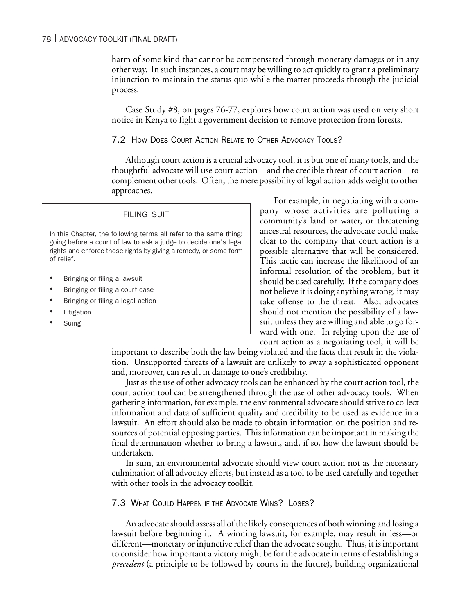harm of some kind that cannot be compensated through monetary damages or in any other way. In such instances, a court may be willing to act quickly to grant a preliminary injunction to maintain the status quo while the matter proceeds through the judicial process.

Case Study #8, on pages 76-77, explores how court action was used on very short notice in Kenya to fight a government decision to remove protection from forests.

## 7.2 HOW DOES COURT ACTION RELATE TO OTHER ADVOCACY TOOLS?

Although court action is a crucial advocacy tool, it is but one of many tools, and the thoughtful advocate will use court action—and the credible threat of court action—to complement other tools. Often, the mere possibility of legal action adds weight to other approaches.

## FILING SUIT

In this Chapter, the following terms all refer to the same thing: going before a court of law to ask a judge to decide one's legal rights and enforce those rights by giving a remedy, or some form of relief.

- Bringing or filing a lawsuit
- Bringing or filing a court case
- Bringing or filing a legal action
- **Litigation**
- **Suing**

For example, in negotiating with a company whose activities are polluting a community's land or water, or threatening ancestral resources, the advocate could make clear to the company that court action is a possible alternative that will be considered. This tactic can increase the likelihood of an informal resolution of the problem, but it should be used carefully. If the company does not believe it is doing anything wrong, it may take offense to the threat. Also, advocates should not mention the possibility of a lawsuit unless they are willing and able to go forward with one. In relying upon the use of court action as a negotiating tool, it will be

important to describe both the law being violated and the facts that result in the violation. Unsupported threats of a lawsuit are unlikely to sway a sophisticated opponent and, moreover, can result in damage to one's credibility.

Just as the use of other advocacy tools can be enhanced by the court action tool, the court action tool can be strengthened through the use of other advocacy tools. When gathering information, for example, the environmental advocate should strive to collect information and data of sufficient quality and credibility to be used as evidence in a lawsuit. An effort should also be made to obtain information on the position and resources of potential opposing parties. This information can be important in making the final determination whether to bring a lawsuit, and, if so, how the lawsuit should be undertaken.

In sum, an environmental advocate should view court action not as the necessary culmination of all advocacy efforts, but instead as a tool to be used carefully and together with other tools in the advocacy toolkit.

## 7.3 WHAT COULD HAPPEN IF THE ADVOCATE WINS? LOSES?

An advocate should assess all of the likely consequences of both winning and losing a lawsuit before beginning it. A winning lawsuit, for example, may result in less—or different—monetary or injunctive relief than the advocate sought. Thus, it is important to consider how important a victory might be for the advocate in terms of establishing a *precedent* (a principle to be followed by courts in the future), building organizational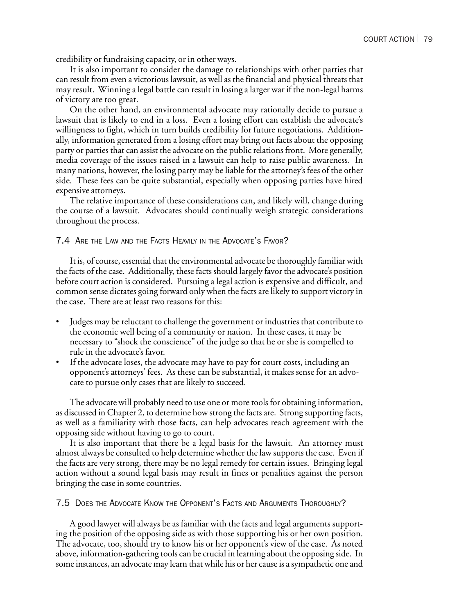credibility or fundraising capacity, or in other ways.

It is also important to consider the damage to relationships with other parties that can result from even a victorious lawsuit, as well as the financial and physical threats that may result. Winning a legal battle can result in losing a larger war if the non-legal harms of victory are too great.

On the other hand, an environmental advocate may rationally decide to pursue a lawsuit that is likely to end in a loss. Even a losing effort can establish the advocate's willingness to fight, which in turn builds credibility for future negotiations. Additionally, information generated from a losing effort may bring out facts about the opposing party or parties that can assist the advocate on the public relations front. More generally, media coverage of the issues raised in a lawsuit can help to raise public awareness. In many nations, however, the losing party may be liable for the attorney's fees of the other side. These fees can be quite substantial, especially when opposing parties have hired expensive attorneys.

The relative importance of these considerations can, and likely will, change during the course of a lawsuit. Advocates should continually weigh strategic considerations throughout the process.

7.4 ARE THE LAW AND THE FACTS HEAVILY IN THE ADVOCATE'S FAVOR?

It is, of course, essential that the environmental advocate be thoroughly familiar with the facts of the case. Additionally, these facts should largely favor the advocate's position before court action is considered. Pursuing a legal action is expensive and difficult, and common sense dictates going forward only when the facts are likely to support victory in the case. There are at least two reasons for this:

- Judges may be reluctant to challenge the government or industries that contribute to the economic well being of a community or nation. In these cases, it may be necessary to "shock the conscience" of the judge so that he or she is compelled to rule in the advocate's favor.
- If the advocate loses, the advocate may have to pay for court costs, including an opponent's attorneys' fees. As these can be substantial, it makes sense for an advocate to pursue only cases that are likely to succeed.

The advocate will probably need to use one or more tools for obtaining information, as discussed in Chapter 2, to determine how strong the facts are. Strong supporting facts, as well as a familiarity with those facts, can help advocates reach agreement with the opposing side without having to go to court.

It is also important that there be a legal basis for the lawsuit. An attorney must almost always be consulted to help determine whether the law supports the case. Even if the facts are very strong, there may be no legal remedy for certain issues. Bringing legal action without a sound legal basis may result in fines or penalities against the person bringing the case in some countries.

7.5 DOES THE ADVOCATE KNOW THE OPPONENT'S FACTS AND ARGUMENTS THOROUGHLY?

A good lawyer will always be as familiar with the facts and legal arguments supporting the position of the opposing side as with those supporting his or her own position. The advocate, too, should try to know his or her opponent's view of the case. As noted above, information-gathering tools can be crucial in learning about the opposing side. In some instances, an advocate may learn that while his or her cause is a sympathetic one and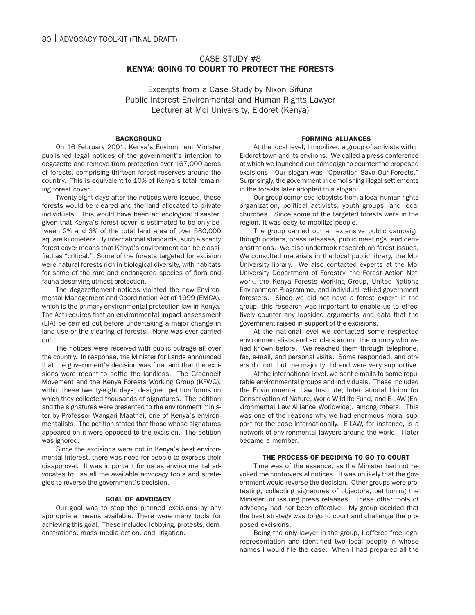## CASE STUDY #8 KENYA: GOING TO COURT TO PROTECT THE FORESTS

Excerpts from a Case Study by Nixon Sifuna Public Interest Environmental and Human Rights Lawyer Lecturer at Moi University, Eldoret (Kenya)

#### **BACKGROUND**

On 16 February 2001, Kenya's Environment Minister published legal notices of the government's intention to degazette and remove from protection over 167,000 acres of forests, comprising thirteen forest reserves around the country. This is equivalent to 10% of Kenya's total remaining forest cover.

Twenty-eight days after the notices were issued, these forests would be cleared and the land allocated to private individuals. This would have been an ecological disaster, given that Kenya's forest cover is estimated to be only between 2% and 3% of the total land area of over 580,000 square kilometers. By international standards, such a scanty forest cover means that Kenya's environment can be classified as "critical." Some of the forests targeted for excision were natural forests rich in biological diversity, with habitats for some of the rare and endangered species of flora and fauna deserving utmost protection.

The degazettement notices violated the new Environmental Management and Coordination Act of 1999 (EMCA), which is the primary environmental protection law in Kenya. The Act requires that an environmental impact assessment (EIA) be carried out before undertaking a major change in land use or the clearing of forests. None was ever carried out.

The notices were received with public outrage all over the country. In response, the Minister for Lands announced that the government's decision was final and that the excisions were meant to settle the landless. The Greenbelt Movement and the Kenya Forests Working Group (KFWG), within these twenty-eight days, designed petition forms on which they collected thousands of signatures. The petition and the signatures were presented to the environment minister by Professor Wangari Maathai, one of Kenya's environmentalists. The petition stated that those whose signatures appeared on it were opposed to the excision. The petition was ignored.

Since the excisions were not in Kenya's best environmental interest, there was need for people to express their disapproval. It was important for us as environmental advocates to use all the available advocacy tools and strategies to reverse the government's decision.

#### GOAL OF ADVOCACY

Our goal was to stop the planned excisions by any appropriate means available. There were many tools for achieving this goal. These included lobbying, protests, demonstrations, mass media action, and litigation.

#### FORMING ALLIANCES

At the local level, I mobilized a group of activists within Eldoret town and its environs. We called a press conference at which we launched our campaign to counter the proposed excisions. Our slogan was "Operation Save Our Forests." Surprisingly, the government in demolishing illegal settlements in the forests later adopted this slogan.

Our group comprised lobbyists from a local human rights organization, political activists, youth groups, and local churches. Since some of the targeted forests were in the region, it was easy to mobilize people.

The group carried out an extensive public campaign though posters, press releases, public meetings, and demonstrations. We also undertook research on forest issues. We consulted materials in the local public library, the Moi University library. We also contacted experts at the Moi University Department of Forestry, the Forest Action Network, the Kenya Forests Working Group, United Nations Environment Programme, and individual retired government foresters. Since we did not have a forest expert in the group, this research was important to enable us to effectively counter any lopsided arguments and data that the government raised in support of the excisions.

At the national level we contacted some respected environmentalists and scholars around the country who we had known before. We reached them through telephone, fax, e-mail, and personal visits. Some responded, and others did not, but the majority did and were very supportive.

At the international level, we sent e-mails to some reputable environmental groups and individuals. These included the Environmental Law Institute, International Union for Conservation of Nature, World Wildlife Fund, and E-LAW (Environmental Law Alliance Worldwide), among others. This was one of the reasons why we had enormous moral support for the case internationally. E-LAW, for instance, is a network of environmental lawyers around the world. I later became a member.

#### THE PROCESS OF DECIDING TO GO TO COURT

Time was of the essence, as the Minister had not revoked the controversial notices. It was unlikely that the government would reverse the decision. Other groups were protesting, collecting signatures of objectors, petitioning the Minister, or issuing press releases. These other tools of advocacy had not been effective. My group decided that the best strategy was to go to court and challenge the proposed excisions.

Being the only lawyer in the group, I offered free legal representation and identified two local people in whose names I would file the case. When I had prepared all the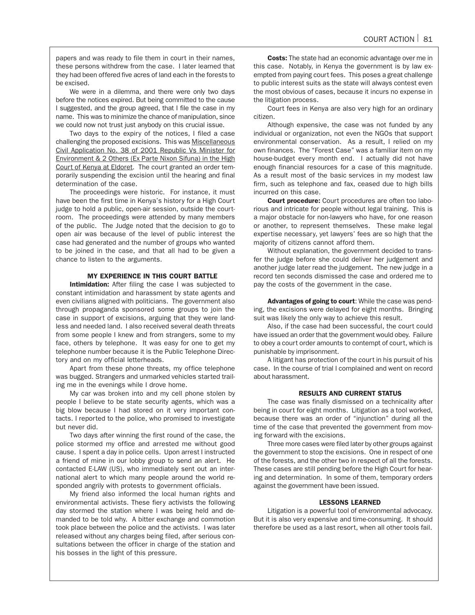papers and was ready to file them in court in their names, these persons withdrew from the case. I later learned that they had been offered five acres of land each in the forests to be excised.

We were in a dilemma, and there were only two days before the notices expired. But being committed to the cause I suggested, and the group agreed, that I file the case in my name. This was to minimize the chance of manipulation, since we could now not trust just anybody on this crucial issue.

Two days to the expiry of the notices, I filed a case challenging the proposed excisions. This was Miscellaneous Civil Application No. 38 of 2001 Republic Vs Minister for Environment & 2 Others (Ex Parte Nixon Sifuna) in the High Court of Kenya at Eldoret. The court granted an order temporarily suspending the excision until the hearing and final determination of the case.

The proceedings were historic. For instance, it must have been the first time in Kenya's history for a High Court judge to hold a public, open-air session, outside the courtroom. The proceedings were attended by many members of the public. The Judge noted that the decision to go to open air was because of the level of public interest the case had generated and the number of groups who wanted to be joined in the case, and that all had to be given a chance to listen to the arguments.

#### MY EXPERIENCE IN THIS COURT BATTLE

Intimidation: After filing the case I was subjected to constant intimidation and harassment by state agents and even civilians aligned with politicians. The government also through propaganda sponsored some groups to join the case in support of excisions, arguing that they were landless and needed land. I also received several death threats from some people I knew and from strangers, some to my face, others by telephone. It was easy for one to get my telephone number because it is the Public Telephone Directory and on my official letterheads.

Apart from these phone threats, my office telephone was bugged. Strangers and unmarked vehicles started trailing me in the evenings while I drove home.

My car was broken into and my cell phone stolen by people I believe to be state security agents, which was a big blow because I had stored on it very important contacts. I reported to the police, who promised to investigate but never did.

Two days after winning the first round of the case, the police stormed my office and arrested me without good cause. I spent a day in police cells. Upon arrest I instructed a friend of mine in our lobby group to send an alert. He contacted E-LAW (US), who immediately sent out an international alert to which many people around the world responded angrily with protests to government officials.

My friend also informed the local human rights and environmental activists. These fiery activists the following day stormed the station where I was being held and demanded to be told why. A bitter exchange and commotion took place between the police and the activists. I was later released without any charges being filed, after serious consultations between the officer in charge of the station and his bosses in the light of this pressure.

**Costs:** The state had an economic advantage over me in this case. Notably, in Kenya the government is by law exempted from paying court fees. This poses a great challenge to public interest suits as the state will always contest even the most obvious of cases, because it incurs no expense in the litigation process.

Court fees in Kenya are also very high for an ordinary citizen.

Although expensive, the case was not funded by any individual or organization, not even the NGOs that support environmental conservation. As a result, I relied on my own finances. The "Forest Case" was a familiar item on my house-budget every month end. I actually did not have enough financial resources for a case of this magnitude. As a result most of the basic services in my modest law firm, such as telephone and fax, ceased due to high bills incurred on this case.

Court procedure: Court procedures are often too laborious and intricate for people without legal training. This is a major obstacle for non-lawyers who have, for one reason or another, to represent themselves. These make legal expertise necessary, yet lawyers' fees are so high that the majority of citizens cannot afford them.

Without explanation, the government decided to transfer the judge before she could deliver her judgement and another judge later read the judgement. The new judge in a record ten seconds dismissed the case and ordered me to pay the costs of the government in the case.

Advantages of going to court: While the case was pending, the excisions were delayed for eight months. Bringing suit was likely the only way to achieve this result.

Also, if the case had been successful, the court could have issued an order that the government would obey. Failure to obey a court order amounts to contempt of court, which is punishable by imprisonment.

A litigant has protection of the court in his pursuit of his case. In the course of trial I complained and went on record about harassment.

#### RESULTS AND CURRENT STATUS

The case was finally dismissed on a technicality after being in court for eight months. Litigation as a tool worked, because there was an order of "injunction" during all the time of the case that prevented the government from moving forward with the excisions.

Three more cases were filed later by other groups against the government to stop the excisions. One in respect of one of the forests, and the other two in respect of all the forests. These cases are still pending before the High Court for hearing and determination. In some of them, temporary orders against the government have been issued.

#### LESSONS LEARNED

Litigation is a powerful tool of environmental advocacy. But it is also very expensive and time-consuming. It should therefore be used as a last resort, when all other tools fail.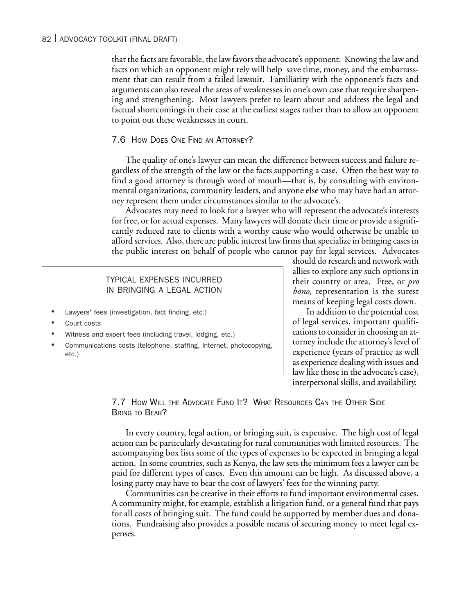that the facts are favorable, the law favors the advocate's opponent. Knowing the law and facts on which an opponent might rely will help save time, money, and the embarrassment that can result from a failed lawsuit. Familiarity with the opponent's facts and arguments can also reveal the areas of weaknesses in one's own case that require sharpening and strengthening. Most lawyers prefer to learn about and address the legal and factual shortcomings in their case at the earliest stages rather than to allow an opponent to point out these weaknesses in court.

# 7.6 HOW DOES ONE FIND AN ATTORNEY?

The quality of one's lawyer can mean the difference between success and failure regardless of the strength of the law or the facts supporting a case. Often the best way to find a good attorney is through word of mouth—that is, by consulting with environmental organizations, community leaders, and anyone else who may have had an attorney represent them under circumstances similar to the advocate's.

Advocates may need to look for a lawyer who will represent the advocate's interests for free, or for actual expenses. Many lawyers will donate their time or provide a significantly reduced rate to clients with a worthy cause who would otherwise be unable to afford services. Also, there are public interest law firms that specialize in bringing cases in the public interest on behalf of people who cannot pay for legal services. Advocates

# TYPICAL EXPENSES INCURRED IN BRINGING A LEGAL ACTION

- Lawyers' fees (investigation, fact finding, etc.)
- Court costs
- Witness and expert fees (including travel, lodging, etc.)
- Communications costs (telephone, staffing, Internet, photocopying, etc.)

should do research and network with allies to explore any such options in their country or area. Free, or *pro bono*, representation is the surest means of keeping legal costs down.

In addition to the potential cost of legal services, important qualifications to consider in choosing an attorney include the attorney's level of experience (years of practice as well as experience dealing with issues and law like those in the advocate's case), interpersonal skills, and availability.

7.7 HOW WILL THE ADVOCATE FUND IT? WHAT RESOURCES CAN THE OTHER SIDE BRING TO BEAR?

In every country, legal action, or bringing suit, is expensive. The high cost of legal action can be particularly devastating for rural communities with limited resources. The accompanying box lists some of the types of expenses to be expected in bringing a legal action. In some countries, such as Kenya, the law sets the minimum fees a lawyer can be paid for different types of cases. Even this amount can be high. As discussed above, a losing party may have to bear the cost of lawyers' fees for the winning party.

Communities can be creative in their efforts to fund important environmental cases. A community might, for example, establish a litigation fund, or a general fund that pays for all costs of bringing suit. The fund could be supported by member dues and donations. Fundraising also provides a possible means of securing money to meet legal expenses.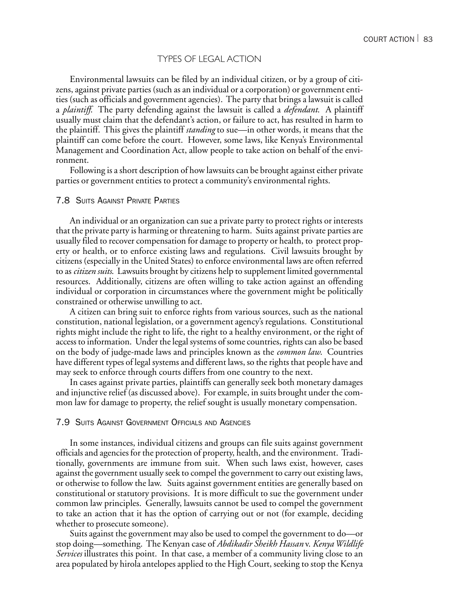## TYPES OF LEGAL ACTION

Environmental lawsuits can be filed by an individual citizen, or by a group of citizens, against private parties (such as an individual or a corporation) or government entities (such as officials and government agencies). The party that brings a lawsuit is called a *plaintiff*. The party defending against the lawsuit is called a *defendant*. A plaintiff usually must claim that the defendant's action, or failure to act, has resulted in harm to the plaintiff. This gives the plaintiff *standing* to sue—in other words, it means that the plaintiff can come before the court. However, some laws, like Kenya's Environmental Management and Coordination Act, allow people to take action on behalf of the environment.

Following is a short description of how lawsuits can be brought against either private parties or government entities to protect a community's environmental rights.

## 7.8 SUITS AGAINST PRIVATE PARTIES

An individual or an organization can sue a private party to protect rights or interests that the private party is harming or threatening to harm. Suits against private parties are usually filed to recover compensation for damage to property or health, to protect property or health, or to enforce existing laws and regulations. Civil lawsuits brought by citizens (especially in the United States) to enforce environmental laws are often referred to as *citizen suits*. Lawsuits brought by citizens help to supplement limited governmental resources. Additionally, citizens are often willing to take action against an offending individual or corporation in circumstances where the government might be politically constrained or otherwise unwilling to act.

A citizen can bring suit to enforce rights from various sources, such as the national constitution, national legislation, or a government agency's regulations. Constitutional rights might include the right to life, the right to a healthy environment, or the right of access to information. Under the legal systems of some countries, rights can also be based on the body of judge-made laws and principles known as the *common law*. Countries have different types of legal systems and different laws, so the rights that people have and may seek to enforce through courts differs from one country to the next.

In cases against private parties, plaintiffs can generally seek both monetary damages and injunctive relief (as discussed above). For example, in suits brought under the common law for damage to property, the relief sought is usually monetary compensation.

#### 7.9 SUITS AGAINST GOVERNMENT OFFICIALS AND AGENCIES

In some instances, individual citizens and groups can file suits against government officials and agencies for the protection of property, health, and the environment. Traditionally, governments are immune from suit. When such laws exist, however, cases against the government usually seek to compel the government to carry out existing laws, or otherwise to follow the law. Suits against government entities are generally based on constitutional or statutory provisions. It is more difficult to sue the government under common law principles. Generally, lawsuits cannot be used to compel the government to take an action that it has the option of carrying out or not (for example, deciding whether to prosecute someone).

Suits against the government may also be used to compel the government to do—or stop doing—something. The Kenyan case of *Abdikadir Sheikh Hassan* v. *Kenya Wildlife Services* illustrates this point. In that case, a member of a community living close to an area populated by hirola antelopes applied to the High Court, seeking to stop the Kenya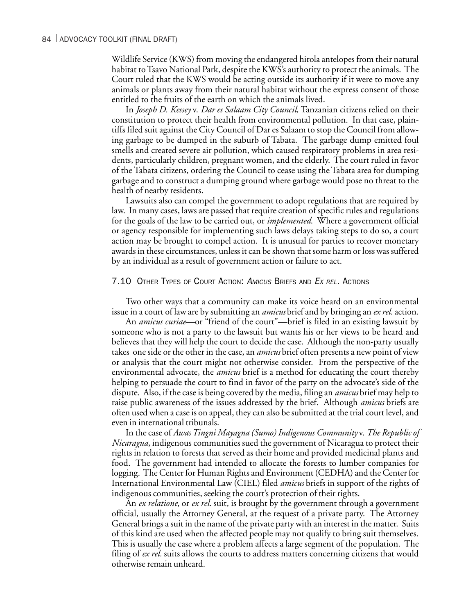Wildlife Service (KWS) from moving the endangered hirola antelopes from their natural habitat to Tsavo National Park, despite the KWS's authority to protect the animals. The Court ruled that the KWS would be acting outside its authority if it were to move any animals or plants away from their natural habitat without the express consent of those entitled to the fruits of the earth on which the animals lived.

In *Joseph D. Kessey* v. *Dar es Salaam City Council,* Tanzanian citizens relied on their constitution to protect their health from environmental pollution. In that case, plaintiffs filed suit against the City Council of Dar es Salaam to stop the Council from allowing garbage to be dumped in the suburb of Tabata. The garbage dump emitted foul smells and created severe air pollution, which caused respiratory problems in area residents, particularly children, pregnant women, and the elderly. The court ruled in favor of the Tabata citizens, ordering the Council to cease using the Tabata area for dumping garbage and to construct a dumping ground where garbage would pose no threat to the health of nearby residents.

Lawsuits also can compel the government to adopt regulations that are required by law. In many cases, laws are passed that require creation of specific rules and regulations for the goals of the law to be carried out, or *implemented*. Where a government official or agency responsible for implementing such laws delays taking steps to do so, a court action may be brought to compel action. It is unusual for parties to recover monetary awards in these circumstances, unless it can be shown that some harm or loss was suffered by an individual as a result of government action or failure to act.

## 7.10 OTHER TYPES OF COURT ACTION: AMICUS BRIEFS AND EX REL. ACTIONS

Two other ways that a community can make its voice heard on an environmental issue in a court of law are by submitting an *amicus* brief and by bringing an *ex rel.* action.

An *amicus curiae*—or "friend of the court"—brief is filed in an existing lawsuit by someone who is not a party to the lawsuit but wants his or her views to be heard and believes that they will help the court to decide the case. Although the non-party usually takes one side or the other in the case, an *amicus* brief often presents a new point of view or analysis that the court might not otherwise consider. From the perspective of the environmental advocate, the *amicus* brief is a method for educating the court thereby helping to persuade the court to find in favor of the party on the advocate's side of the dispute. Also, if the case is being covered by the media, filing an *amicus* brief may help to raise public awareness of the issues addressed by the brief. Although *amicus* briefs are often used when a case is on appeal, they can also be submitted at the trial court level, and even in international tribunals.

In the case of *Awas Tingni Mayagna (Sumo) Indigenous Community* v. *The Republic of Nicaragua*, indigenous communities sued the government of Nicaragua to protect their rights in relation to forests that served as their home and provided medicinal plants and food. The government had intended to allocate the forests to lumber companies for logging. The Center for Human Rights and Environment (CEDHA) and the Center for International Environmental Law (CIEL) filed *amicus* briefs in support of the rights of indigenous communities, seeking the court's protection of their rights.

An *ex relatione*, or *ex rel.* suit, is brought by the government through a government official, usually the Attorney General, at the request of a private party. The Attorney General brings a suit in the name of the private party with an interest in the matter. Suits of this kind are used when the affected people may not qualify to bring suit themselves. This is usually the case where a problem affects a large segment of the population. The filing of *ex rel.* suits allows the courts to address matters concerning citizens that would otherwise remain unheard.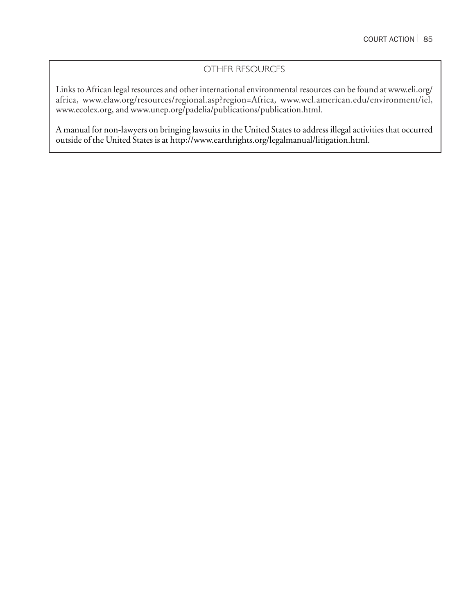# OTHER RESOURCES

Links to African legal resources and other international environmental resources can be found at www.eli.org/ africa, www.elaw.org/resources/regional.asp?region=Africa, www.wcl.american.edu/environment/iel, www.ecolex.org, and www.unep.org/padelia/publications/publication.html.

A manual for non-lawyers on bringing lawsuits in the United States to address illegal activities that occurred outside of the United States is at http://www.earthrights.org/legalmanual/litigation.html.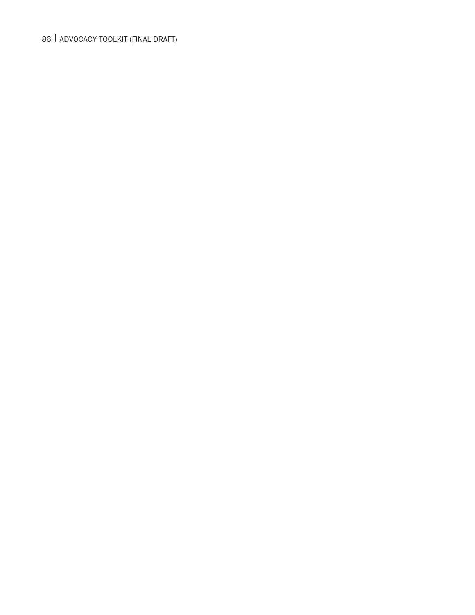# 86 ADVOCACY TOOLKIT (FINAL DRAFT)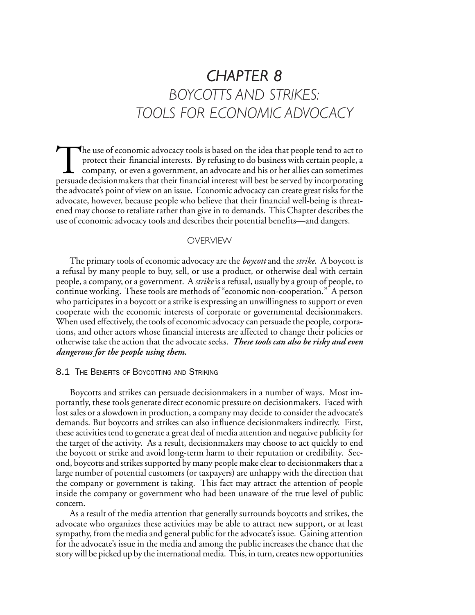# *CHAPTER 8 CHAPTER 8 BOYCOTTS AND STRIKES: TOOLS FOR ECONOMIC ADVOCACY*

The use of economic advocacy tools is based on the idea that people tend to act to protect their financial interests. By refusing to do business with certain people, a company, or even a government, an advocate and his or protect their financial interests. By refusing to do business with certain people, a company, or even a government, an advocate and his or her allies can sometimes persuade decisionmakers that their financial interest will best be served by incorporating the advocate's point of view on an issue. Economic advocacy can create great risks for the advocate, however, because people who believe that their financial well-being is threatened may choose to retaliate rather than give in to demands. This Chapter describes the use of economic advocacy tools and describes their potential benefits—and dangers.

## **OVERVIEW**

The primary tools of economic advocacy are the *boycott* and the *strike*. A boycott is a refusal by many people to buy, sell, or use a product, or otherwise deal with certain people, a company, or a government. A *strike* is a refusal, usually by a group of people, to continue working. These tools are methods of "economic non-cooperation." A person who participates in a boycott or a strike is expressing an unwillingness to support or even cooperate with the economic interests of corporate or governmental decisionmakers. When used effectively, the tools of economic advocacy can persuade the people, corporations, and other actors whose financial interests are affected to change their policies or otherwise take the action that the advocate seeks. *These tools can also be risky and even dangerous for the people using them.*

## 8.1 THE BENEFITS OF BOYCOTTING AND STRIKING

Boycotts and strikes can persuade decisionmakers in a number of ways. Most importantly, these tools generate direct economic pressure on decisionmakers. Faced with lost sales or a slowdown in production, a company may decide to consider the advocate's demands. But boycotts and strikes can also influence decisionmakers indirectly. First, these activities tend to generate a great deal of media attention and negative publicity for the target of the activity. As a result, decisionmakers may choose to act quickly to end the boycott or strike and avoid long-term harm to their reputation or credibility. Second, boycotts and strikes supported by many people make clear to decisionmakers that a large number of potential customers (or taxpayers) are unhappy with the direction that the company or government is taking. This fact may attract the attention of people inside the company or government who had been unaware of the true level of public concern.

As a result of the media attention that generally surrounds boycotts and strikes, the advocate who organizes these activities may be able to attract new support, or at least sympathy, from the media and general public for the advocate's issue. Gaining attention for the advocate's issue in the media and among the public increases the chance that the story will be picked up by the international media. This, in turn, creates new opportunities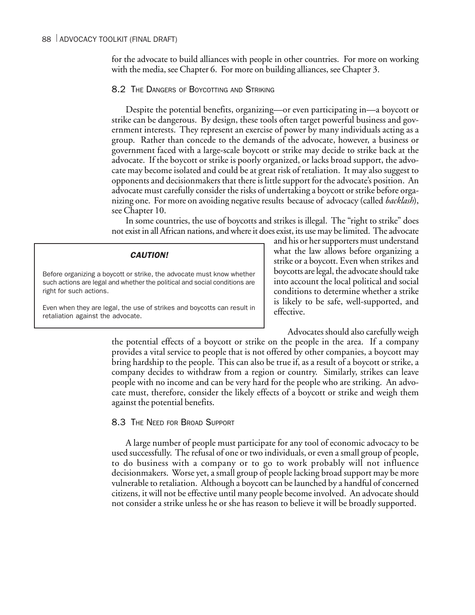for the advocate to build alliances with people in other countries. For more on working with the media, see Chapter 6. For more on building alliances, see Chapter 3.

8.2 THE DANGERS OF BOYCOTTING AND STRIKING

Despite the potential benefits, organizing—or even participating in—a boycott or strike can be dangerous. By design, these tools often target powerful business and government interests. They represent an exercise of power by many individuals acting as a group. Rather than concede to the demands of the advocate, however, a business or government faced with a large-scale boycott or strike may decide to strike back at the advocate. If the boycott or strike is poorly organized, or lacks broad support, the advocate may become isolated and could be at great risk of retaliation. It may also suggest to opponents and decisionmakers that there is little support for the advocate's position. An advocate must carefully consider the risks of undertaking a boycott or strike before organizing one. For more on avoiding negative results because of advocacy (called *backlash*), see Chapter 10.

In some countries, the use of boycotts and strikes is illegal. The "right to strike" does not exist in all African nations, and where it does exist, its use may be limited. The advocate

#### CAUTION!

Before organizing a boycott or strike, the advocate must know whether such actions are legal and whether the political and social conditions are right for such actions.

Even when they are legal, the use of strikes and boycotts can result in retaliation against the advocate.

and his or her supporters must understand what the law allows before organizing a strike or a boycott. Even when strikes and boycotts are legal, the advocate should take into account the local political and social conditions to determine whether a strike is likely to be safe, well-supported, and effective.

Advocates should also carefully weigh the potential effects of a boycott or strike on the people in the area. If a company provides a vital service to people that is not offered by other companies, a boycott may bring hardship to the people. This can also be true if, as a result of a boycott or strike, a company decides to withdraw from a region or country. Similarly, strikes can leave people with no income and can be very hard for the people who are striking. An advocate must, therefore, consider the likely effects of a boycott or strike and weigh them against the potential benefits.

## 8.3 THE NEED FOR BROAD SUPPORT

A large number of people must participate for any tool of economic advocacy to be used successfully. The refusal of one or two individuals, or even a small group of people, to do business with a company or to go to work probably will not influence decisionmakers. Worse yet, a small group of people lacking broad support may be more vulnerable to retaliation. Although a boycott can be launched by a handful of concerned citizens, it will not be effective until many people become involved. An advocate should not consider a strike unless he or she has reason to believe it will be broadly supported.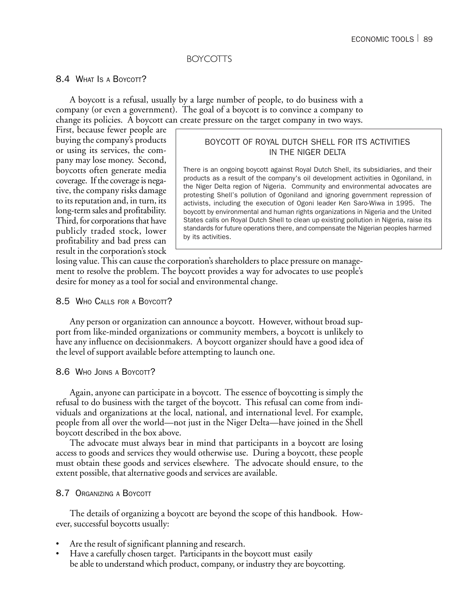# BOYCOTTS

## 8.4 WHAT IS A BOYCOTT?

A boycott is a refusal, usually by a large number of people, to do business with a company (or even a government). The goal of a boycott is to convince a company to change its policies. A boycott can create pressure on the target company in two ways.

First, because fewer people are buying the company's products or using its services, the company may lose money. Second, boycotts often generate media coverage. If the coverage is negative, the company risks damage to its reputation and, in turn, its long-term sales and profitability. Third, for corporations that have publicly traded stock, lower profitability and bad press can result in the corporation's stock

## BOYCOTT OF ROYAL DUTCH SHELL FOR ITS ACTIVITIES IN THE NIGER DELTA

There is an ongoing boycott against Royal Dutch Shell, its subsidiaries, and their products as a result of the company's oil development activities in Ogoniland, in the Niger Delta region of Nigeria. Community and environmental advocates are protesting Shell's pollution of Ogoniland and ignoring government repression of activists, including the execution of Ogoni leader Ken Saro-Wiwa in 1995. The boycott by environmental and human rights organizations in Nigeria and the United States calls on Royal Dutch Shell to clean up existing pollution in Nigeria, raise its standards for future operations there, and compensate the Nigerian peoples harmed by its activities.

losing value. This can cause the corporation's shareholders to place pressure on management to resolve the problem. The boycott provides a way for advocates to use people's desire for money as a tool for social and environmental change.

#### 8.5 WHO CALLS FOR A BOYCOTT?

Any person or organization can announce a boycott. However, without broad support from like-minded organizations or community members, a boycott is unlikely to have any influence on decisionmakers. A boycott organizer should have a good idea of the level of support available before attempting to launch one.

#### 8.6 Who JOINS A BOYCOTT?

Again, anyone can participate in a boycott. The essence of boycotting is simply the refusal to do business with the target of the boycott. This refusal can come from individuals and organizations at the local, national, and international level. For example, people from all over the world—not just in the Niger Delta—have joined in the Shell boycott described in the box above.

The advocate must always bear in mind that participants in a boycott are losing access to goods and services they would otherwise use. During a boycott, these people must obtain these goods and services elsewhere. The advocate should ensure, to the extent possible, that alternative goods and services are available.

#### 8.7 ORGANIZING A BOYCOTT

The details of organizing a boycott are beyond the scope of this handbook. However, successful boycotts usually:

- Are the result of significant planning and research.
- Have a carefully chosen target. Participants in the boycott must easily be able to understand which product, company, or industry they are boycotting.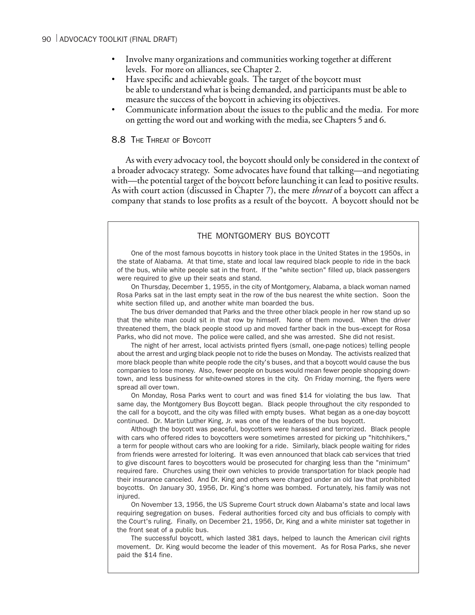- Involve many organizations and communities working together at different levels. For more on alliances, see Chapter 2.
- Have specific and achievable goals. The target of the boycott must be able to understand what is being demanded, and participants must be able to measure the success of the boycott in achieving its objectives.
- Communicate information about the issues to the public and the media. For more on getting the word out and working with the media, see Chapters 5 and 6.

### 8.8 THE THREAT OF BOYCOTT

As with every advocacy tool, the boycott should only be considered in the context of a broader advocacy strategy. Some advocates have found that talking—and negotiating with—the potential target of the boycott before launching it can lead to positive results. As with court action (discussed in Chapter 7), the mere *threat* of a boycott can affect a company that stands to lose profits as a result of the boycott. A boycott should not be

#### THE MONTGOMERY BUS BOYCOTT

One of the most famous boycotts in history took place in the United States in the 1950s, in the state of Alabama. At that time, state and local law required black people to ride in the back of the bus, while white people sat in the front. If the "white section" filled up, black passengers were required to give up their seats and stand.

On Thursday, December 1, 1955, in the city of Montgomery, Alabama, a black woman named Rosa Parks sat in the last empty seat in the row of the bus nearest the white section. Soon the white section filled up, and another white man boarded the bus.

The bus driver demanded that Parks and the three other black people in her row stand up so that the white man could sit in that row by himself. None of them moved. When the driver threatened them, the black people stood up and moved farther back in the bus--except for Rosa Parks, who did not move. The police were called, and she was arrested. She did not resist.

The night of her arrest, local activists printed flyers (small, one-page notices) telling people about the arrest and urging black people not to ride the buses on Monday. The activists realized that more black people than white people rode the city's buses, and that a boycott would cause the bus companies to lose money. Also, fewer people on buses would mean fewer people shopping downtown, and less business for white-owned stores in the city. On Friday morning, the flyers were spread all over town.

On Monday, Rosa Parks went to court and was fined \$14 for violating the bus law. That same day, the Montgomery Bus Boycott began. Black people throughout the city responded to the call for a boycott, and the city was filled with empty buses. What began as a one-day boycott continued. Dr. Martin Luther King, Jr. was one of the leaders of the bus boycott.

Although the boycott was peaceful, boycotters were harassed and terrorized. Black people with cars who offered rides to boycotters were sometimes arrested for picking up "hitchhikers," a term for people without cars who are looking for a ride. Similarly, black people waiting for rides from friends were arrested for loitering. It was even announced that black cab services that tried to give discount fares to boycotters would be prosecuted for charging less than the "minimum" required fare. Churches using their own vehicles to provide transportation for black people had their insurance canceled. And Dr. King and others were charged under an old law that prohibited boycotts. On January 30, 1956, Dr. King's home was bombed. Fortunately, his family was not injured.

On November 13, 1956, the US Supreme Court struck down Alabama's state and local laws requiring segregation on buses. Federal authorities forced city and bus officials to comply with the Court's ruling. Finally, on December 21, 1956, Dr, King and a white minister sat together in the front seat of a public bus.

The successful boycott, which lasted 381 days, helped to launch the American civil rights movement. Dr. King would become the leader of this movement. As for Rosa Parks, she never paid the \$14 fine.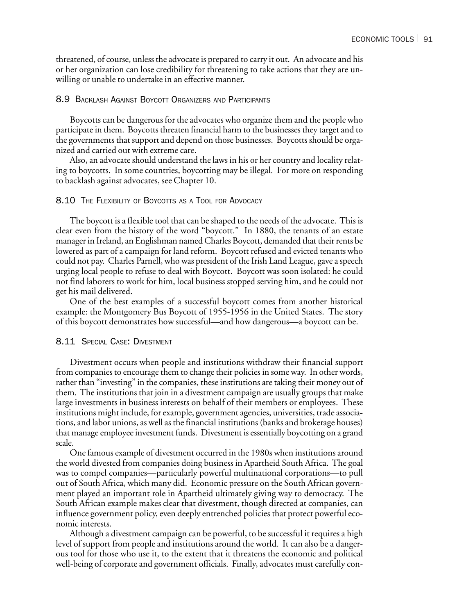threatened, of course, unless the advocate is prepared to carry it out. An advocate and his or her organization can lose credibility for threatening to take actions that they are unwilling or unable to undertake in an effective manner.

#### 8.9 BACKLASH AGAINST BOYCOTT ORGANIZERS AND PARTICIPANTS

Boycotts can be dangerous for the advocates who organize them and the people who participate in them. Boycotts threaten financial harm to the businesses they target and to the governments that support and depend on those businesses. Boycotts should be organized and carried out with extreme care.

Also, an advocate should understand the laws in his or her country and locality relating to boycotts. In some countries, boycotting may be illegal. For more on responding to backlash against advocates, see Chapter 10.

#### 8.10 THE FLEXIBILITY OF BOYCOTTS AS A TOOL FOR ADVOCACY

The boycott is a flexible tool that can be shaped to the needs of the advocate. This is clear even from the history of the word "boycott." In 1880, the tenants of an estate manager in Ireland, an Englishman named Charles Boycott, demanded that their rents be lowered as part of a campaign for land reform. Boycott refused and evicted tenants who could not pay. Charles Parnell, who was president of the Irish Land League, gave a speech urging local people to refuse to deal with Boycott. Boycott was soon isolated: he could not find laborers to work for him, local business stopped serving him, and he could not get his mail delivered.

One of the best examples of a successful boycott comes from another historical example: the Montgomery Bus Boycott of 1955-1956 in the United States. The story of this boycott demonstrates how successful—and how dangerous—a boycott can be.

#### 8.11 SPECIAL CASE: DIVESTMENT

Divestment occurs when people and institutions withdraw their financial support from companies to encourage them to change their policies in some way. In other words, rather than "investing" in the companies, these institutions are taking their money out of them. The institutions that join in a divestment campaign are usually groups that make large investments in business interests on behalf of their members or employees. These institutions might include, for example, government agencies, universities, trade associations, and labor unions, as well as the financial institutions (banks and brokerage houses) that manage employee investment funds. Divestment is essentially boycotting on a grand scale.

One famous example of divestment occurred in the 1980s when institutions around the world divested from companies doing business in Apartheid South Africa. The goal was to compel companies—particularly powerful multinational corporations—to pull out of South Africa, which many did. Economic pressure on the South African government played an important role in Apartheid ultimately giving way to democracy. The South African example makes clear that divestment, though directed at companies, can influence government policy, even deeply entrenched policies that protect powerful economic interests.

Although a divestment campaign can be powerful, to be successful it requires a high level of support from people and institutions around the world. It can also be a dangerous tool for those who use it, to the extent that it threatens the economic and political well-being of corporate and government officials. Finally, advocates must carefully con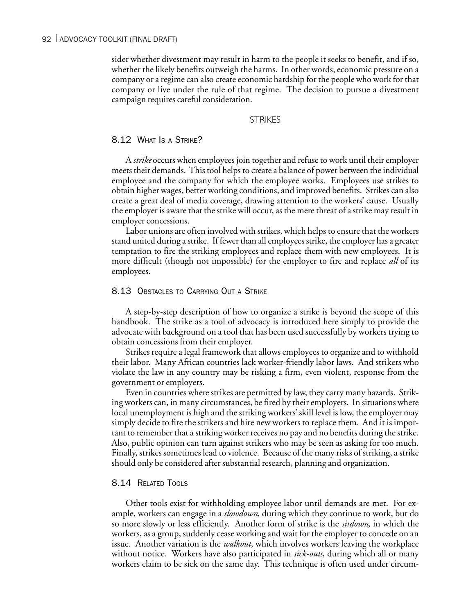sider whether divestment may result in harm to the people it seeks to benefit, and if so, whether the likely benefits outweigh the harms. In other words, economic pressure on a company or a regime can also create economic hardship for the people who work for that company or live under the rule of that regime. The decision to pursue a divestment campaign requires careful consideration.

#### **STRIKES**

#### 8.12 WHAT IS A STRIKE?

A *strike* occurs when employees join together and refuse to work until their employer meets their demands. This tool helps to create a balance of power between the individual employee and the company for which the employee works. Employees use strikes to obtain higher wages, better working conditions, and improved benefits. Strikes can also create a great deal of media coverage, drawing attention to the workers' cause. Usually the employer is aware that the strike will occur, as the mere threat of a strike may result in employer concessions.

Labor unions are often involved with strikes, which helps to ensure that the workers stand united during a strike. If fewer than all employees strike, the employer has a greater temptation to fire the striking employees and replace them with new employees. It is more difficult (though not impossible) for the employer to fire and replace *all* of its employees.

#### 8.13 OBSTACLES TO CARRYING OUT A STRIKE

A step-by-step description of how to organize a strike is beyond the scope of this handbook. The strike as a tool of advocacy is introduced here simply to provide the advocate with background on a tool that has been used successfully by workers trying to obtain concessions from their employer.

Strikes require a legal framework that allows employees to organize and to withhold their labor. Many African countries lack worker-friendly labor laws. And strikers who violate the law in any country may be risking a firm, even violent, response from the government or employers.

Even in countries where strikes are permitted by law, they carry many hazards. Striking workers can, in many circumstances, be fired by their employers. In situations where local unemployment is high and the striking workers' skill level is low, the employer may simply decide to fire the strikers and hire new workers to replace them. And it is important to remember that a striking worker receives no pay and no benefits during the strike. Also, public opinion can turn against strikers who may be seen as asking for too much. Finally, strikes sometimes lead to violence. Because of the many risks of striking, a strike should only be considered after substantial research, planning and organization.

### 8.14 RELATED TOOLS

Other tools exist for withholding employee labor until demands are met. For example, workers can engage in a *slowdown*, during which they continue to work, but do so more slowly or less efficiently. Another form of strike is the *sitdown*, in which the workers, as a group, suddenly cease working and wait for the employer to concede on an issue. Another variation is the *walkout*, which involves workers leaving the workplace without notice. Workers have also participated in *sick-outs*, during which all or many workers claim to be sick on the same day. This technique is often used under circum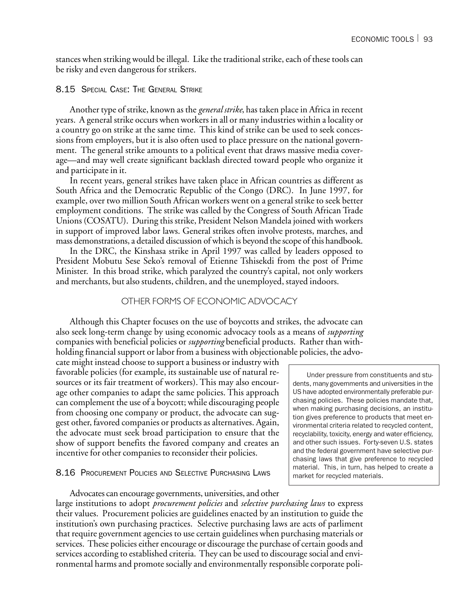stances when striking would be illegal. Like the traditional strike, each of these tools can be risky and even dangerous for strikers.

#### 8.15 SPECIAL CASE: THE GENERAL STRIKE

Another type of strike, known as the *general strike*, has taken place in Africa in recent years. A general strike occurs when workers in all or many industries within a locality or a country go on strike at the same time. This kind of strike can be used to seek concessions from employers, but it is also often used to place pressure on the national government. The general strike amounts to a political event that draws massive media coverage—and may well create significant backlash directed toward people who organize it and participate in it.

In recent years, general strikes have taken place in African countries as different as South Africa and the Democratic Republic of the Congo (DRC). In June 1997, for example, over two million South African workers went on a general strike to seek better employment conditions. The strike was called by the Congress of South African Trade Unions (COSATU). During this strike, President Nelson Mandela joined with workers in support of improved labor laws. General strikes often involve protests, marches, and mass demonstrations, a detailed discussion of which is beyond the scope of this handbook.

In the DRC, the Kinshasa strike in April 1997 was called by leaders opposed to President Mobutu Sese Seko's removal of Etienne Tshisekdi from the post of Prime Minister. In this broad strike, which paralyzed the country's capital, not only workers and merchants, but also students, children, and the unemployed, stayed indoors.

#### OTHER FORMS OF ECONOMIC ADVOCACY

Although this Chapter focuses on the use of boycotts and strikes, the advocate can also seek long-term change by using economic advocacy tools as a means of *supporting* companies with beneficial policies or *supporting* beneficial products. Rather than withholding financial support or labor from a business with objectionable policies, the advo-

cate might instead choose to support a business or industry with favorable policies (for example, its sustainable use of natural resources or its fair treatment of workers). This may also encourage other companies to adapt the same policies. This approach can complement the use of a boycott; while discouraging people from choosing one company or product, the advocate can suggest other, favored companies or products as alternatives. Again, the advocate must seek broad participation to ensure that the show of support benefits the favored company and creates an incentive for other companies to reconsider their policies.

#### 8.16 PROCUREMENT POLICIES AND SELECTIVE PURCHASING LAWS

Advocates can encourage governments, universities, and other

large institutions to adopt *procurement policies* and *selective purchasing laws* to express their values. Procurement policies are guidelines enacted by an institution to guide the institution's own purchasing practices. Selective purchasing laws are acts of parliment that require government agencies to use certain guidelines when purchasing materials or services. These policies either encourage or discourage the purchase of certain goods and services according to established criteria. They can be used to discourage social and environmental harms and promote socially and environmentally responsible corporate poli-

Under pressure from constituents and students, many governments and universities in the US have adopted environmentally preferable purchasing policies. These policies mandate that, when making purchasing decisions, an institution gives preference to products that meet environmental criteria related to recycled content, recyclability, toxicity, energy and water efficiency, and other such issues. Forty-seven U.S. states and the federal government have selective purchasing laws that give preference to recycled material. This, in turn, has helped to create a market for recycled materials.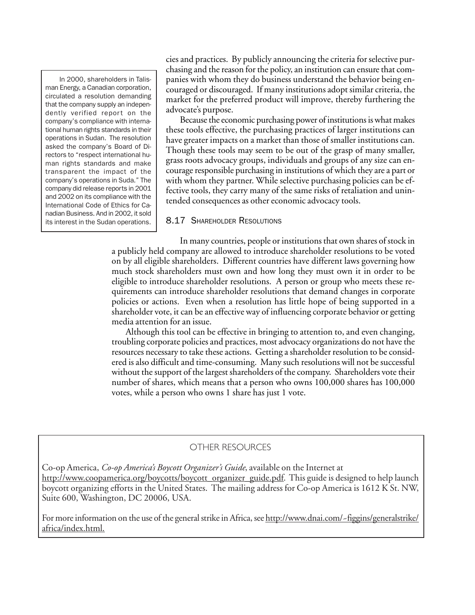In 2000, shareholders in Talisman Energy, a Canadian corporation, circulated a resolution demanding that the company supply an independently verified report on the company's compliance with international human rights standards in their operations in Sudan. The resolution asked the company's Board of Directors to "respect international human rights standards and make transparent the impact of the company's operations in Suda." The company did release reports in 2001 and 2002 on its compliance with the International Code of Ethics for Canadian Business. And in 2002, it sold its interest in the Sudan operations.

cies and practices. By publicly announcing the criteria for selective purchasing and the reason for the policy, an institution can ensure that companies with whom they do business understand the behavior being encouraged or discouraged. If many institutions adopt similar criteria, the market for the preferred product will improve, thereby furthering the advocate's purpose.

Because the economic purchasing power of institutions is what makes these tools effective, the purchasing practices of larger institutions can have greater impacts on a market than those of smaller institutions can. Though these tools may seem to be out of the grasp of many smaller, grass roots advocacy groups, individuals and groups of any size can encourage responsible purchasing in institutions of which they are a part or with whom they partner. While selective purchasing policies can be effective tools, they carry many of the same risks of retaliation and unintended consequences as other economic advocacy tools.

## 8.17 SHAREHOLDER RESOLUTIONS

In many countries, people or institutions that own shares of stock in a publicly held company are allowed to introduce shareholder resolutions to be voted on by all eligible shareholders. Different countries have different laws governing how much stock shareholders must own and how long they must own it in order to be eligible to introduce shareholder resolutions. A person or group who meets these requirements can introduce shareholder resolutions that demand changes in corporate policies or actions. Even when a resolution has little hope of being supported in a shareholder vote, it can be an effective way of influencing corporate behavior or getting media attention for an issue.

Although this tool can be effective in bringing to attention to, and even changing, troubling corporate policies and practices, most advocacy organizations do not have the resources necessary to take these actions. Getting a shareholder resolution to be considered is also difficult and time-consuming. Many such resolutions will not be successful without the support of the largest shareholders of the company. Shareholders vote their number of shares, which means that a person who owns 100,000 shares has 100,000 votes, while a person who owns 1 share has just 1 vote.

# OTHER RESOURCES

Co-op America, *Co-op America's Boycott Organizer's Guide*, available on the Internet at

http://www.coopamerica.org/boycotts/boycott\_organizer\_guide.pdf. This guide is designed to help launch boycott organizing efforts in the United States. The mailing address for Co-op America is 1612 K St. NW, Suite 600, Washington, DC 20006, USA.

For more information on the use of the general strike in Africa, see http://www.dnai.com/~figgins/generalstrike/ africa/index.html.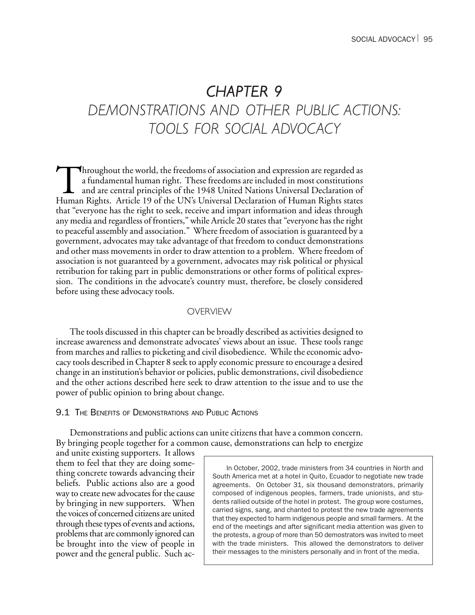# *CHAPTER 9 CHAPTER 9 DEMONSTRATIONS AND OTHER PUBLIC ACTIONS: TOOLS FOR SOCIAL ADVOCACY*

 $\P$ hroughout the world, the freedoms of association and expression are regarded as a fundamental human right. These freedoms are included in most constitutions and are central principles of the 1948 United Nations Universal Declaration of Human Rights. Article 19 of the UN's Universal Declaration of Human Rights states that "everyone has the right to seek, receive and impart information and ideas through any media and regardless of frontiers," while Article 20 states that "everyone has the right to peaceful assembly and association." Where freedom of association is guaranteed by a government, advocates may take advantage of that freedom to conduct demonstrations and other mass movements in order to draw attention to a problem. Where freedom of association is not guaranteed by a government, advocates may risk political or physical retribution for taking part in public demonstrations or other forms of political expression. The conditions in the advocate's country must, therefore, be closely considered before using these advocacy tools.

## **OVERVIEW**

The tools discussed in this chapter can be broadly described as activities designed to increase awareness and demonstrate advocates' views about an issue. These tools range from marches and rallies to picketing and civil disobedience. While the economic advocacy tools described in Chapter 8 seek to apply economic pressure to encourage a desired change in an institution's behavior or policies, public demonstrations, civil disobedience and the other actions described here seek to draw attention to the issue and to use the power of public opinion to bring about change.

#### 9.1 THE BENEFITS OF DEMONSTRATIONS AND PUBLIC ACTIONS

Demonstrations and public actions can unite citizens that have a common concern. By bringing people together for a common cause, demonstrations can help to energize

and unite existing supporters. It allows them to feel that they are doing something concrete towards advancing their beliefs. Public actions also are a good way to create new advocates for the cause by bringing in new supporters. When the voices of concerned citizens are united through these types of events and actions, problems that are commonly ignored can be brought into the view of people in power and the general public. Such ac-

In October, 2002, trade ministers from 34 countries in North and South America met at a hotel in Quito, Ecuador to negotiate new trade agreements. On October 31, six thousand demonstrators, primarily composed of indigenous peoples, farmers, trade unionists, and students rallied outside of the hotel in protest. The group wore costumes, carried signs, sang, and chanted to protest the new trade agreements that they expected to harm indigenous people and small farmers. At the end of the meetings and after significant media attention was given to the protests, a group of more than 50 demostrators was invited to meet with the trade ministers. This allowed the demonstrators to deliver their messages to the ministers personally and in front of the media.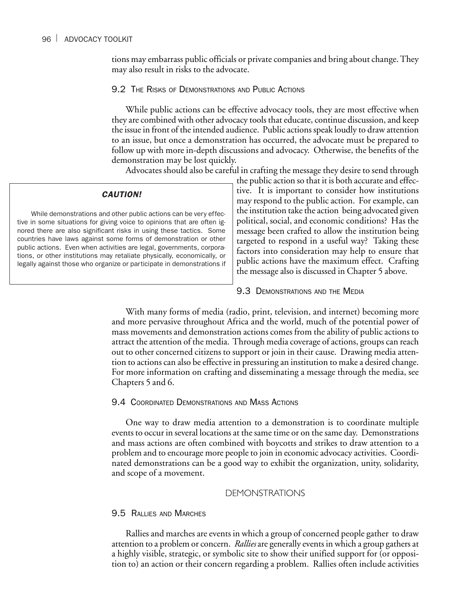tions may embarrass public officials or private companies and bring about change. They may also result in risks to the advocate.

#### 9.2 THE RISKS OF DEMONSTRATIONS AND PUBLIC ACTIONS

While public actions can be effective advocacy tools, they are most effective when they are combined with other advocacy tools that educate, continue discussion, and keep the issue in front of the intended audience. Public actions speak loudly to draw attention to an issue, but once a demonstration has occurred, the advocate must be prepared to follow up with more in-depth discussions and advocacy. Otherwise, the benefits of the demonstration may be lost quickly.

Advocates should also be careful in crafting the message they desire to send through

### CAUTION!

While demonstrations and other public actions can be very effective in some situations for giving voice to opinions that are often ignored there are also significant risks in using these tactics. Some countries have laws against some forms of demonstration or other public actions. Even when activities are legal, governments, corporations, or other institutions may retaliate physically, economically, or legally against those who organize or participate in demonstrations if the public action so that it is both accurate and effective. It is important to consider how institutions may respond to the public action. For example, can the institution take the action being advocated given political, social, and economic conditions? Has the message been crafted to allow the institution being targeted to respond in a useful way? Taking these factors into consideration may help to ensure that public actions have the maximum effect. Crafting the message also is discussed in Chapter 5 above.

9.3 DEMONSTRATIONS AND THE MEDIA

With many forms of media (radio, print, television, and internet) becoming more and more pervasive throughout Africa and the world, much of the potential power of mass movements and demonstration actions comes from the ability of public actions to attract the attention of the media. Through media coverage of actions, groups can reach out to other concerned citizens to support or join in their cause. Drawing media attention to actions can also be effective in pressuring an institution to make a desired change. For more information on crafting and disseminating a message through the media, see Chapters 5 and 6.

#### 9.4 COORDINATED DEMONSTRATIONS AND MASS ACTIONS

One way to draw media attention to a demonstration is to coordinate multiple events to occur in several locations at the same time or on the same day. Demonstrations and mass actions are often combined with boycotts and strikes to draw attention to a problem and to encourage more people to join in economic advocacy activities. Coordinated demonstrations can be a good way to exhibit the organization, unity, solidarity, and scope of a movement.

#### DEMONSTRATIONS

### 9.5 RALLIES AND MARCHES

Rallies and marches are events in which a group of concerned people gather to draw attention to a problem or concern. *Rallies* are generally events in which a group gathers at a highly visible, strategic, or symbolic site to show their unified support for (or opposition to) an action or their concern regarding a problem. Rallies often include activities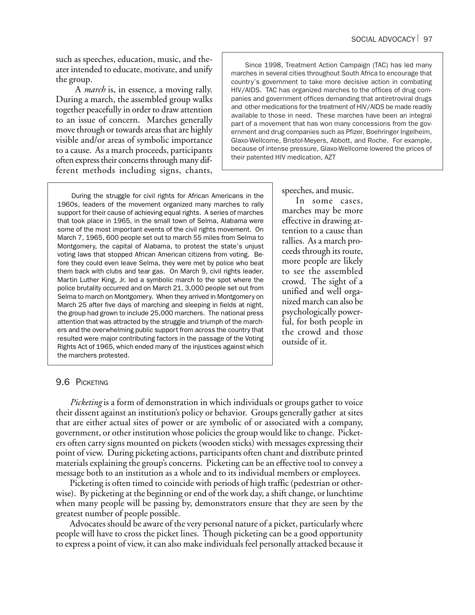such as speeches, education, music, and theater intended to educate, motivate, and unify the group.

 A *march* is, in essence, a moving rally. During a march, the assembled group walks together peacefully in order to draw attention to an issue of concern. Marches generally move through or towards areas that are highly visible and/or areas of symbolic importance to a cause. As a march proceeds, participants often express their concerns through many different methods including signs, chants,

Since 1998, Treatment Action Campaign (TAC) has led many marches in several cities throughout South Africa to encourage that country's government to take more decisive action in combating HIV/AIDS. TAC has organized marches to the offices of drug companies and government offices demanding that antiretroviral drugs and other medications for the treatment of HIV/AIDS be made readily available to those in need. These marches have been an integral part of a movement that has won many concessions from the government and drug companies such as Pfizer, Boehringer Ingelheim, Glaxo-Wellcome, Bristol-Meyers, Abbott, and Roche. For example, because of intense pressure, Glaxo-Wellcome lowered the prices of their patented HIV medication, AZT

During the struggle for civil rights for African Americans in the 1960s, leaders of the movement organized many marches to rally support for their cause of achieving equal rights. A series of marches that took place in 1965, in the small town of Selma, Alabama were some of the most important events of the civil rights movement. On March 7, 1965, 600 people set out to march 55 miles from Selma to Montgomery, the capital of Alabama, to protest the state's unjust voting laws that stopped African American citizens from voting. Before they could even leave Selma, they were met by police who beat them back with clubs and tear gas. On March 9, civil rights leader, Martin Luther King, Jr. led a symbolic march to the spot where the police brutality occurred and on March 21, 3,000 people set out from Selma to march on Montgomery. When they arrived in Montgomery on March 25 after five days of marching and sleeping in fields at night, the group had grown to include 25,000 marchers. The national press attention that was attracted by the struggle and triumph of the marchers and the overwhelming public support from across the country that resulted were major contributing factors in the passage of the Voting Rights Act of 1965, which ended many of the injustices against which the marchers protested.

speeches, and music.

In some cases, marches may be more effective in drawing attention to a cause than rallies. As a march proceeds through its route, more people are likely to see the assembled crowd. The sight of a unified and well organized march can also be psychologically powerful, for both people in the crowd and those outside of it.

## 9.6 PICKETING

*Picketing* is a form of demonstration in which individuals or groups gather to voice their dissent against an institution's policy or behavior. Groups generally gather at sites that are either actual sites of power or are symbolic of or associated with a company, government, or other institution whose policies the group would like to change. Picketers often carry signs mounted on pickets (wooden sticks) with messages expressing their point of view. During picketing actions, participants often chant and distribute printed materials explaining the group's concerns. Picketing can be an effective tool to convey a message both to an institution as a whole and to its individual members or employees.

Picketing is often timed to coincide with periods of high traffic (pedestrian or otherwise). By picketing at the beginning or end of the work day, a shift change, or lunchtime when many people will be passing by, demonstrators ensure that they are seen by the greatest number of people possible.

Advocates should be aware of the very personal nature of a picket, particularly where people will have to cross the picket lines. Though picketing can be a good opportunity to express a point of view, it can also make individuals feel personally attacked because it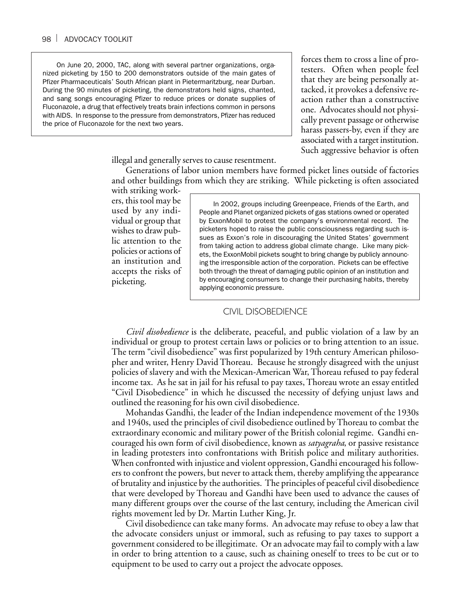On June 20, 2000, TAC, along with several partner organizations, organized picketing by 150 to 200 demonstrators outside of the main gates of Pfizer Pharmaceuticals' South African plant in Pietermaritzburg, near Durban. During the 90 minutes of picketing, the demonstrators held signs, chanted, and sang songs encouraging Pfizer to reduce prices or donate supplies of Fluconazole, a drug that effectively treats brain infections common in persons with AIDS. In response to the pressure from demonstrators, Pfizer has reduced the price of Fluconazole for the next two years.

forces them to cross a line of protesters. Often when people feel that they are being personally attacked, it provokes a defensive reaction rather than a constructive one. Advocates should not physically prevent passage or otherwise harass passers-by, even if they are associated with a target institution. Such aggressive behavior is often

illegal and generally serves to cause resentment.

Generations of labor union members have formed picket lines outside of factories and other buildings from which they are striking. While picketing is often associated

with striking workers, this tool may be used by any individual or group that wishes to draw public attention to the policies or actions of an institution and accepts the risks of picketing.

In 2002, groups including Greenpeace, Friends of the Earth, and People and Planet organized pickets of gas stations owned or operated by ExxonMobil to protest the company's environmental record. The picketers hoped to raise the public consciousness regarding such issues as Exxon's role in discouraging the United States' government from taking action to address global climate change. Like many pickets, the ExxonMobil pickets sought to bring change by publicly announcing the irresponsible action of the corporation. Pickets can be effective both through the threat of damaging public opinion of an institution and by encouraging consumers to change their purchasing habits, thereby applying economic pressure.

## CIVIL DISOBEDIENCE

*Civil disobedience* is the deliberate, peaceful, and public violation of a law by an individual or group to protest certain laws or policies or to bring attention to an issue. The term "civil disobedience" was first popularized by 19th century American philosopher and writer, Henry David Thoreau. Because he strongly disagreed with the unjust policies of slavery and with the Mexican-American War, Thoreau refused to pay federal income tax. As he sat in jail for his refusal to pay taxes, Thoreau wrote an essay entitled "Civil Disobedience" in which he discussed the necessity of defying unjust laws and outlined the reasoning for his own civil disobedience.

Mohandas Gandhi, the leader of the Indian independence movement of the 1930s and 1940s, used the principles of civil disobedience outlined by Thoreau to combat the extraordinary economic and military power of the British colonial regime. Gandhi encouraged his own form of civil disobedience, known as *satyagraha*, or passive resistance in leading protesters into confrontations with British police and military authorities. When confronted with injustice and violent oppression, Gandhi encouraged his followers to confront the powers, but never to attack them, thereby amplifying the appearance of brutality and injustice by the authorities. The principles of peaceful civil disobedience that were developed by Thoreau and Gandhi have been used to advance the causes of many different groups over the course of the last century, including the American civil rights movement led by Dr. Martin Luther King, Jr.

Civil disobedience can take many forms. An advocate may refuse to obey a law that the advocate considers unjust or immoral, such as refusing to pay taxes to support a government considered to be illegitimate. Or an advocate may fail to comply with a law in order to bring attention to a cause, such as chaining oneself to trees to be cut or to equipment to be used to carry out a project the advocate opposes.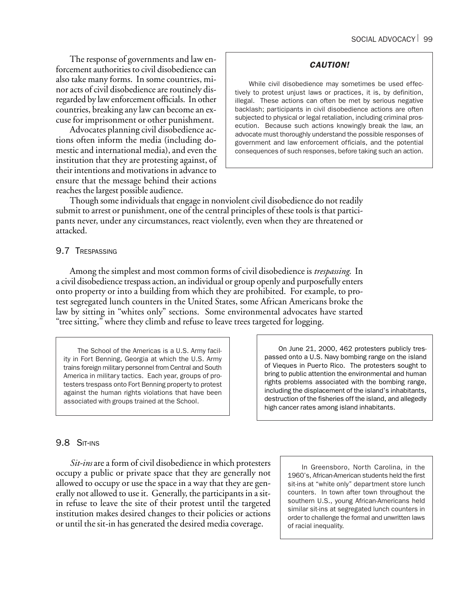The response of governments and law enforcement authorities to civil disobedience can also take many forms. In some countries, minor acts of civil disobedience are routinely disregarded by law enforcement officials. In other countries, breaking any law can become an excuse for imprisonment or other punishment.

Advocates planning civil disobedience actions often inform the media (including domestic and international media), and even the institution that they are protesting against, of their intentions and motivations in advance to ensure that the message behind their actions reaches the largest possible audience.

## CAUTION!

While civil disobedience may sometimes be used effectively to protest unjust laws or practices, it is, by definition, illegal. These actions can often be met by serious negative backlash; participants in civil disobedience actions are often subjected to physical or legal retaliation, including criminal prosecution. Because such actions knowingly break the law, an advocate must thoroughly understand the possible responses of government and law enforcement officials, and the potential consequences of such responses, before taking such an action.

Though some individuals that engage in nonviolent civil disobedience do not readily submit to arrest or punishment, one of the central principles of these tools is that participants never, under any circumstances, react violently, even when they are threatened or attacked.

### 9.7 TRESPASSING

Among the simplest and most common forms of civil disobedience is *trespassing*. In a civil disobedience trespass action, an individual or group openly and purposefully enters onto property or into a building from which they are prohibited. For example, to protest segregated lunch counters in the United States, some African Americans broke the law by sitting in "whites only" sections. Some environmental advocates have started "tree sitting," where they climb and refuse to leave trees targeted for logging.

The School of the Americas is a U.S. Army facility in Fort Benning, Georgia at which the U.S. Army trains foreign military personnel from Central and South America in military tactics. Each year, groups of protesters trespass onto Fort Benning property to protest against the human rights violations that have been associated with groups trained at the School.

9.8 SIT-INS

*Sit-ins* are a form of civil disobedience in which protesters occupy a public or private space that they are generally not allowed to occupy or use the space in a way that they are generally not allowed to use it. Generally, the participants in a sitin refuse to leave the site of their protest until the targeted institution makes desired changes to their policies or actions or until the sit-in has generated the desired media coverage.

On June 21, 2000, 462 protesters publicly trespassed onto a U.S. Navy bombing range on the island of Vieques in Puerto Rico. The protesters sought to bring to public attention the environmental and human rights problems associated with the bombing range, including the displacement of the island's inhabitants, destruction of the fisheries off the island, and allegedly high cancer rates among island inhabitants.

> In Greensboro, North Carolina, in the 1960's, African-American students held the first sit-ins at "white only" department store lunch counters. In town after town throughout the southern U.S., young African-Americans held similar sit-ins at segregated lunch counters in order to challenge the formal and unwritten laws of racial inequality.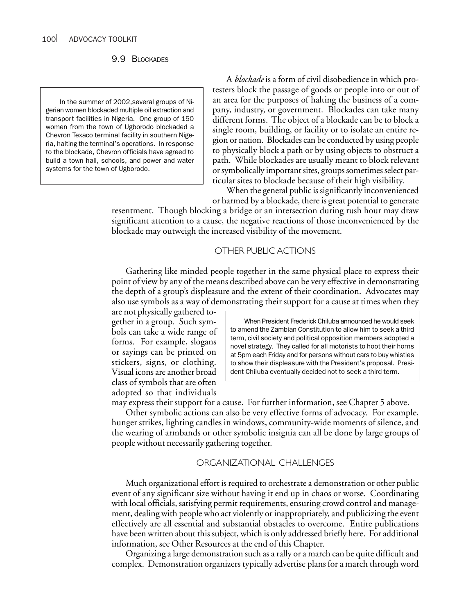## 9.9 BLOCKADES

In the summer of 2002,several groups of Nigerian women blockaded multiple oil extraction and transport facilities in Nigeria. One group of 150 women from the town of Ugborodo blockaded a Chevron Texaco terminal facility in southern Nigeria, halting the terminal's operations. In response to the blockade, Chevron officials have agreed to build a town hall, schools, and power and water systems for the town of Ugborodo.

A *blockade* is a form of civil disobedience in which protesters block the passage of goods or people into or out of an area for the purposes of halting the business of a company, industry, or government. Blockades can take many different forms. The object of a blockade can be to block a single room, building, or facility or to isolate an entire region or nation. Blockades can be conducted by using people to physically block a path or by using objects to obstruct a path. While blockades are usually meant to block relevant or symbolically important sites, groups sometimes select particular sites to blockade because of their high visibility.

When the general public is significantly inconvenienced or harmed by a blockade, there is great potential to generate

resentment. Though blocking a bridge or an intersection during rush hour may draw significant attention to a cause, the negative reactions of those inconvenienced by the blockade may outweigh the increased visibility of the movement.

## OTHER PUBLIC ACTIONS

Gathering like minded people together in the same physical place to express their point of view by any of the means described above can be very effective in demonstrating the depth of a group's displeasure and the extent of their coordination. Advocates may also use symbols as a way of demonstrating their support for a cause at times when they

are not physically gathered together in a group. Such symbols can take a wide range of forms. For example, slogans or sayings can be printed on stickers, signs, or clothing. Visual icons are another broad class of symbols that are often adopted so that individuals

When President Frederick Chiluba announced he would seek to amend the Zambian Constitution to allow him to seek a third term, civil society and political opposition members adopted a novel strategy. They called for all motorists to hoot their horns at 5pm each Friday and for persons without cars to buy whistles to show their displeasure with the President's proposal. President Chiluba eventually decided not to seek a third term.

may express their support for a cause. For further information, see Chapter 5 above.

Other symbolic actions can also be very effective forms of advocacy. For example, hunger strikes, lighting candles in windows, community-wide moments of silence, and the wearing of armbands or other symbolic insignia can all be done by large groups of people without necessarily gathering together.

#### ORGANIZATIONAL CHALLENGES

Much organizational effort is required to orchestrate a demonstration or other public event of any significant size without having it end up in chaos or worse. Coordinating with local officials, satisfying permit requirements, ensuring crowd control and management, dealing with people who act violently or inappropriately, and publicizing the event effectively are all essential and substantial obstacles to overcome. Entire publications have been written about this subject, which is only addressed briefly here. For additional information, see Other Resources at the end of this Chapter.

Organizing a large demonstration such as a rally or a march can be quite difficult and complex. Demonstration organizers typically advertise plans for a march through word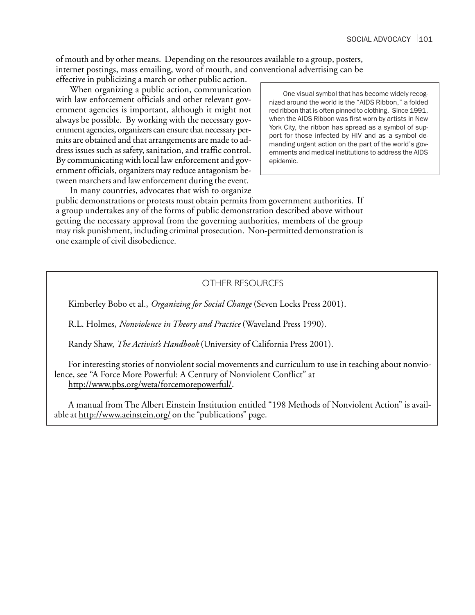of mouth and by other means. Depending on the resources available to a group, posters, internet postings, mass emailing, word of mouth, and conventional advertising can be

effective in publicizing a march or other public action.

When organizing a public action, communication with law enforcement officials and other relevant government agencies is important, although it might not always be possible. By working with the necessary government agencies, organizers can ensure that necessary permits are obtained and that arrangements are made to address issues such as safety, sanitation, and traffic control. By communicating with local law enforcement and government officials, organizers may reduce antagonism between marchers and law enforcement during the event.

One visual symbol that has become widely recognized around the world is the "AIDS Ribbon," a folded red ribbon that is often pinned to clothing. Since 1991, when the AIDS Ribbon was first worn by artists in New York City, the ribbon has spread as a symbol of support for those infected by HIV and as a symbol demanding urgent action on the part of the world's governments and medical institutions to address the AIDS epidemic.

In many countries, advocates that wish to organize public demonstrations or protests must obtain permits from government authorities. If a group undertakes any of the forms of public demonstration described above without getting the necessary approval from the governing authorities, members of the group may risk punishment, including criminal prosecution. Non-permitted demonstration is one example of civil disobedience.

# OTHER RESOURCES

Kimberley Bobo et al., *Organizing for Social Change* (Seven Locks Press 2001).

R.L. Holmes, *Nonviolence in Theory and Practice* (Waveland Press 1990).

Randy Shaw, *The Activist's Handbook* (University of California Press 2001).

For interesting stories of nonviolent social movements and curriculum to use in teaching about nonviolence, see "A Force More Powerful: A Century of Nonviolent Conflict" at http://www.pbs.org/weta/forcemorepowerful/.

A manual from The Albert Einstein Institution entitled "198 Methods of Nonviolent Action" is available at http://www.aeinstein.org/ on the "publications" page.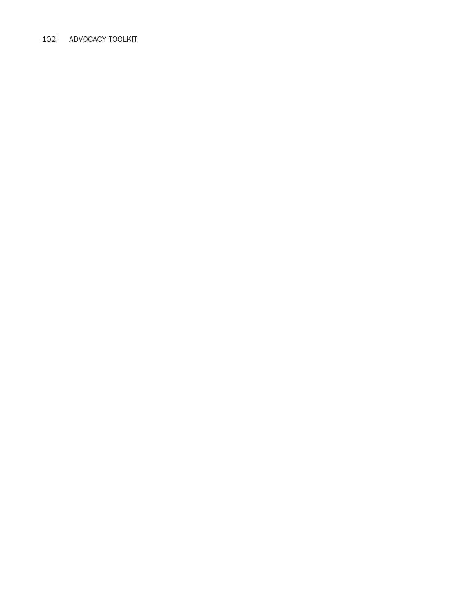# 102 ADVOCACY TOOLKIT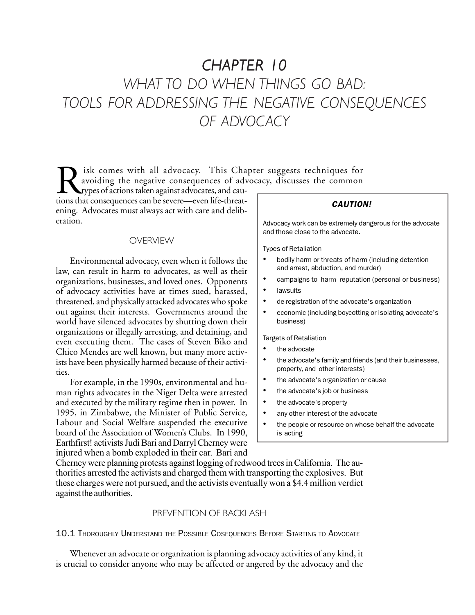# *CHAPTER 10 CHAPTER 10 WHAT TO DO WHEN THINGS GO BAD: TOOLS FOR ADDRESSING THE NEGATIVE CONSEQUENCES OF ADVOCACY*

Risk comes with all advocacy. This Chapter suggests techniques for<br>avoiding the negative consequences of advocacy, discusses the common<br>tions that consequences can be severe—even life-threatavoiding the negative consequences of advocacy, discusses the common

types of actions taken against advocates, and cautions that consequences can be severe—even life-threatening. Advocates must always act with care and deliberation.

## **OVERVIEW**

Environmental advocacy, even when it follows the law, can result in harm to advocates, as well as their organizations, businesses, and loved ones. Opponents of advocacy activities have at times sued, harassed, threatened, and physically attacked advocates who spoke out against their interests. Governments around the world have silenced advocates by shutting down their organizations or illegally arresting, and detaining, and even executing them. The cases of Steven Biko and Chico Mendes are well known, but many more activists have been physically harmed because of their activities.

For example, in the 1990s, environmental and human rights advocates in the Niger Delta were arrested and executed by the military regime then in power. In 1995, in Zimbabwe, the Minister of Public Service, Labour and Social Welfare suspended the executive board of the Association of Women's Clubs. In 1990, Earthfirst! activists Judi Bari and Darryl Cherney were injured when a bomb exploded in their car. Bari and

#### CAUTION!

Advocacy work can be extremely dangerous for the advocate and those close to the advocate.

Types of Retaliation

- bodily harm or threats of harm (including detention and arrest, abduction, and murder)
- campaigns to harm reputation (personal or business)
- **lawsuits**
- de-registration of the advocate's organization
- economic (including boycotting or isolating advocate's business)

#### Targets of Retaliation

- the advocate
- the advocate's family and friends (and their businesses, property, and other interests)
- the advocate's organization or cause
- the advocate's job or business
- the advocate's property
- any other interest of the advocate
- the people or resource on whose behalf the advocate is acting

Cherney were planning protests against logging of redwood trees in California. The authorities arrested the activists and charged them with transporting the explosives. But these charges were not pursued, and the activists eventually won a \$4.4 million verdict against the authorities.

## PREVENTION OF BACKLASH

10.1 THOROUGHLY UNDERSTAND THE POSSIBLE COSEQUENCES BEFORE STARTING TO ADVOCATE

Whenever an advocate or organization is planning advocacy activities of any kind, it is crucial to consider anyone who may be affected or angered by the advocacy and the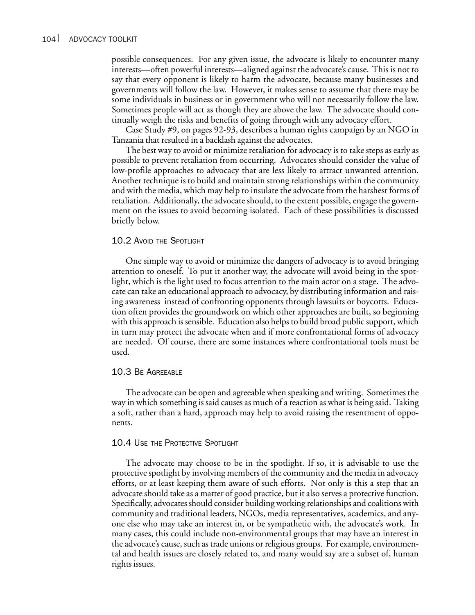possible consequences. For any given issue, the advocate is likely to encounter many interests—often powerful interests—aligned against the advocate's cause. This is not to say that every opponent is likely to harm the advocate, because many businesses and governments will follow the law. However, it makes sense to assume that there may be some individuals in business or in government who will not necessarily follow the law. Sometimes people will act as though they are above the law. The advocate should continually weigh the risks and benefits of going through with any advocacy effort.

Case Study #9, on pages 92-93, describes a human rights campaign by an NGO in Tanzania that resulted in a backlash against the advocates.

The best way to avoid or minimize retaliation for advocacy is to take steps as early as possible to prevent retaliation from occurring. Advocates should consider the value of low-profile approaches to advocacy that are less likely to attract unwanted attention. Another technique is to build and maintain strong relationships within the community and with the media, which may help to insulate the advocate from the harshest forms of retaliation. Additionally, the advocate should, to the extent possible, engage the government on the issues to avoid becoming isolated. Each of these possibilities is discussed briefly below.

#### 10.2 AVOID THE SPOTLIGHT

One simple way to avoid or minimize the dangers of advocacy is to avoid bringing attention to oneself. To put it another way, the advocate will avoid being in the spotlight, which is the light used to focus attention to the main actor on a stage. The advocate can take an educational approach to advocacy, by distributing information and raising awareness instead of confronting opponents through lawsuits or boycotts. Education often provides the groundwork on which other approaches are built, so beginning with this approach is sensible. Education also helps to build broad public support, which in turn may protect the advocate when and if more confrontational forms of advocacy are needed. Of course, there are some instances where confrontational tools must be used.

#### 10.3 BE AGREEABLE

The advocate can be open and agreeable when speaking and writing. Sometimes the way in which something is said causes as much of a reaction as what is being said. Taking a soft, rather than a hard, approach may help to avoid raising the resentment of opponents.

#### 10.4 USE THE PROTECTIVE SPOTLIGHT

The advocate may choose to be in the spotlight. If so, it is advisable to use the protective spotlight by involving members of the community and the media in advocacy efforts, or at least keeping them aware of such efforts. Not only is this a step that an advocate should take as a matter of good practice, but it also serves a protective function. Specifically, advocates should consider building working relationships and coalitions with community and traditional leaders, NGOs, media representatives, academics, and anyone else who may take an interest in, or be sympathetic with, the advocate's work. In many cases, this could include non-environmental groups that may have an interest in the advocate's cause, such as trade unions or religious groups. For example, environmental and health issues are closely related to, and many would say are a subset of, human rights issues.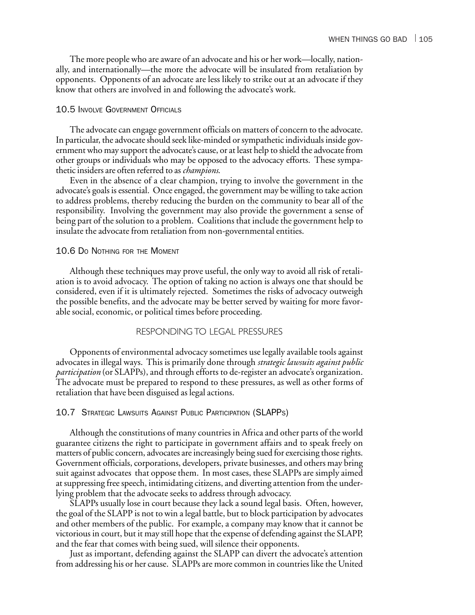The more people who are aware of an advocate and his or her work—locally, nationally, and internationally—the more the advocate will be insulated from retaliation by opponents. Opponents of an advocate are less likely to strike out at an advocate if they know that others are involved in and following the advocate's work.

#### 10.5 INVOLVE GOVERNMENT OFFICIALS

The advocate can engage government officials on matters of concern to the advocate. In particular, the advocate should seek like-minded or sympathetic individuals inside government who may support the advocate's cause, or at least help to shield the advocate from other groups or individuals who may be opposed to the advocacy efforts. These sympathetic insiders are often referred to as *champions*.

Even in the absence of a clear champion, trying to involve the government in the advocate's goals is essential. Once engaged, the government may be willing to take action to address problems, thereby reducing the burden on the community to bear all of the responsibility. Involving the government may also provide the government a sense of being part of the solution to a problem. Coalitions that include the government help to insulate the advocate from retaliation from non-governmental entities.

#### 10.6 DO NOTHING FOR THE MOMENT

Although these techniques may prove useful, the only way to avoid all risk of retaliation is to avoid advocacy. The option of taking no action is always one that should be considered, even if it is ultimately rejected. Sometimes the risks of advocacy outweigh the possible benefits, and the advocate may be better served by waiting for more favorable social, economic, or political times before proceeding.

#### RESPONDING TO LEGAL PRESSURES

Opponents of environmental advocacy sometimes use legally available tools against advocates in illegal ways. This is primarily done through *strategic lawsuits against public participation* (or SLAPPs), and through efforts to de-register an advocate's organization. The advocate must be prepared to respond to these pressures, as well as other forms of retaliation that have been disguised as legal actions.

# 10.7 STRATEGIC LAWSUITS AGAINST PUBLIC PARTICIPATION (SLAPPS)

Although the constitutions of many countries in Africa and other parts of the world guarantee citizens the right to participate in government affairs and to speak freely on matters of public concern, advocates are increasingly being sued for exercising those rights. Government officials, corporations, developers, private businesses, and others may bring suit against advocates that oppose them. In most cases, these SLAPPs are simply aimed at suppressing free speech, intimidating citizens, and diverting attention from the underlying problem that the advocate seeks to address through advocacy.

SLAPPs usually lose in court because they lack a sound legal basis. Often, however, the goal of the SLAPP is not to win a legal battle, but to block participation by advocates and other members of the public. For example, a company may know that it cannot be victorious in court, but it may still hope that the expense of defending against the SLAPP, and the fear that comes with being sued, will silence their opponents.

Just as important, defending against the SLAPP can divert the advocate's attention from addressing his or her cause. SLAPPs are more common in countries like the United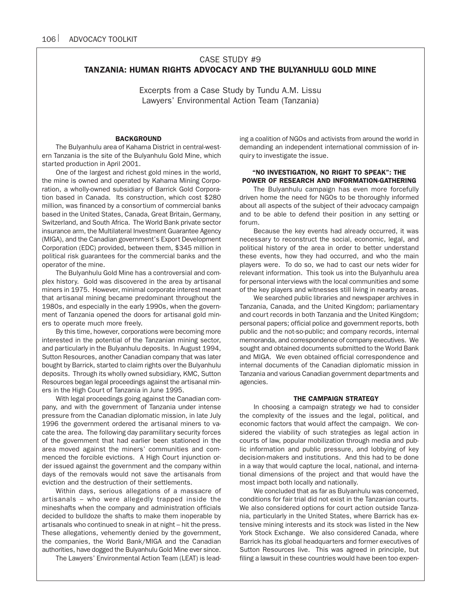## CASE STUDY #9 TANZANIA: HUMAN RIGHTS ADVOCACY AND THE BULYANHULU GOLD MINE

Excerpts from a Case Study by Tundu A.M. Lissu Lawyers' Environmental Action Team (Tanzania)

#### **BACKGROUND**

The Bulyanhulu area of Kahama District in central-western Tanzania is the site of the Bulyanhulu Gold Mine, which started production in April 2001.

One of the largest and richest gold mines in the world, the mine is owned and operated by Kahama Mining Corporation, a wholly-owned subsidiary of Barrick Gold Corporation based in Canada. Its construction, which cost \$280 million, was financed by a consortium of commercial banks based in the United States, Canada, Great Britain, Germany, Switzerland, and South Africa. The World Bank private sector insurance arm, the Multilateral Investment Guarantee Agency (MIGA), and the Canadian government's Export Development Corporation (EDC) provided, between them, \$345 million in political risk guarantees for the commercial banks and the operator of the mine.

The Bulyanhulu Gold Mine has a controversial and complex history. Gold was discovered in the area by artisanal miners in 1975. However, minimal corporate interest meant that artisanal mining became predominant throughout the 1980s, and especially in the early 1990s, when the government of Tanzania opened the doors for artisanal gold miners to operate much more freely.

By this time, however, corporations were becoming more interested in the potential of the Tanzanian mining sector, and particularly in the Bulyanhulu deposits. In August 1994, Sutton Resources, another Canadian company that was later bought by Barrick, started to claim rights over the Bulyanhulu deposits. Through its wholly owned subsidiary, KMC, Sutton Resources began legal proceedings against the artisanal miners in the High Court of Tanzania in June 1995.

With legal proceedings going against the Canadian company, and with the government of Tanzania under intense pressure from the Canadian diplomatic mission, in late July 1996 the government ordered the artisanal miners to vacate the area. The following day paramilitary security forces of the government that had earlier been stationed in the area moved against the miners' communities and commenced the forcible evictions. A High Court injunction order issued against the government and the company within days of the removals would not save the artisanals from eviction and the destruction of their settlements.

Within days, serious allegations of a massacre of artisanals – who were allegedly trapped inside the mineshafts when the company and administration officials decided to bulldoze the shafts to make them inoperable by artisanals who continued to sneak in at night – hit the press. These allegations, vehemently denied by the government, the companies, the World Bank/MIGA and the Canadian authorities, have dogged the Bulyanhulu Gold Mine ever since.

The Lawyers' Environmental Action Team (LEAT) is lead-

ing a coalition of NGOs and activists from around the world in demanding an independent international commission of inquiry to investigate the issue.

#### "NO INVESTIGATION, NO RIGHT TO SPEAK": THE POWER OF RESEARCH AND INFORMATION-GATHERING

The Bulyanhulu campaign has even more forcefully driven home the need for NGOs to be thoroughly informed about all aspects of the subject of their advocacy campaign and to be able to defend their position in any setting or forum.

Because the key events had already occurred, it was necessary to reconstruct the social, economic, legal, and political history of the area in order to better understand these events, how they had occurred, and who the main players were. To do so, we had to cast our nets wider for relevant information. This took us into the Bulyanhulu area for personal interviews with the local communities and some of the key players and witnesses still living in nearby areas.

We searched public libraries and newspaper archives in Tanzania, Canada, and the United Kingdom; parliamentary and court records in both Tanzania and the United Kingdom; personal papers; official police and government reports, both public and the not-so-public; and company records, internal memoranda, and correspondence of company executives. We sought and obtained documents submitted to the World Bank and MIGA. We even obtained official correspondence and internal documents of the Canadian diplomatic mission in Tanzania and various Canadian government departments and agencies.

#### THE CAMPAIGN STRATEGY

In choosing a campaign strategy we had to consider the complexity of the issues and the legal, political, and economic factors that would affect the campaign. We considered the viability of such strategies as legal action in courts of law, popular mobilization through media and public information and public pressure, and lobbying of key decision-makers and institutions. And this had to be done in a way that would capture the local, national, and international dimensions of the project and that would have the most impact both locally and nationally.

We concluded that as far as Bulyanhulu was concerned, conditions for fair trial did not exist in the Tanzanian courts. We also considered options for court action outside Tanzania, particularly in the United States, where Barrick has extensive mining interests and its stock was listed in the New York Stock Exchange. We also considered Canada, where Barrick has its global headquarters and former executives of Sutton Resources live. This was agreed in principle, but filing a lawsuit in these countries would have been too expen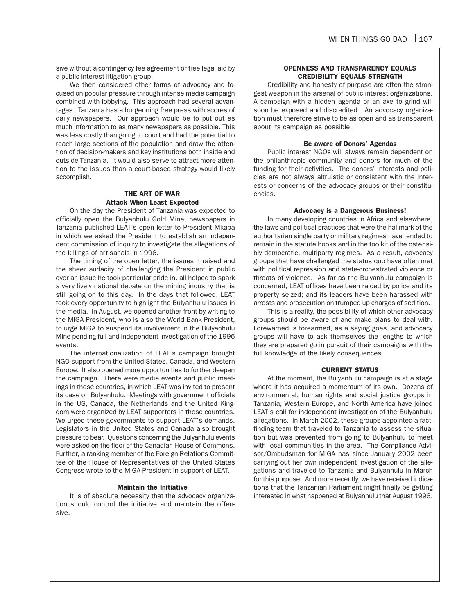sive without a contingency fee agreement or free legal aid by a public interest litigation group.

We then considered other forms of advocacy and focused on popular pressure through intense media campaign combined with lobbying. This approach had several advantages. Tanzania has a burgeoning free press with scores of daily newspapers. Our approach would be to put out as much information to as many newspapers as possible. This was less costly than going to court and had the potential to reach large sections of the population and draw the attention of decision-makers and key institutions both inside and outside Tanzania. It would also serve to attract more attention to the issues than a court-based strategy would likely accomplish.

#### THE ART OF WAR Attack When Least Expected

On the day the President of Tanzania was expected to officially open the Bulyanhulu Gold Mine, newspapers in Tanzania published LEAT's open letter to President Mkapa in which we asked the President to establish an independent commission of inquiry to investigate the allegations of the killings of artisanals in 1996.

The timing of the open letter, the issues it raised and the sheer audacity of challenging the President in public over an issue he took particular pride in, all helped to spark a very lively national debate on the mining industry that is still going on to this day. In the days that followed, LEAT took every opportunity to highlight the Bulyanhulu issues in the media. In August, we opened another front by writing to the MIGA President, who is also the World Bank President, to urge MIGA to suspend its involvement in the Bulyanhulu Mine pending full and independent investigation of the 1996 events.

The internationalization of LEAT's campaign brought NGO support from the United States, Canada, and Western Europe. It also opened more opportunities to further deepen the campaign. There were media events and public meetings in these countries, in which LEAT was invited to present its case on Bulyanhulu. Meetings with government officials in the US, Canada, the Netherlands and the United Kingdom were organized by LEAT supporters in these countries. We urged these governments to support LEAT's demands. Legislators in the United States and Canada also brought pressure to bear. Questions concerning the Bulyanhulu events were asked on the floor of the Canadian House of Commons. Further, a ranking member of the Foreign Relations Committee of the House of Representatives of the United States Congress wrote to the MIGA President in support of LEAT.

#### Maintain the Initiative

It is of absolute necessity that the advocacy organization should control the initiative and maintain the offensive.

#### OPENNESS AND TRANSPARENCY EQUALS CREDIBILITY EQUALS STRENGTH

Credibility and honesty of purpose are often the strongest weapon in the arsenal of public interest organizations. A campaign with a hidden agenda or an axe to grind will soon be exposed and discredited. An advocacy organization must therefore strive to be as open and as transparent about its campaign as possible.

#### Be aware of Donors' Agendas

Public interest NGOs will always remain dependent on the philanthropic community and donors for much of the funding for their activities. The donors' interests and policies are not always altruistic or consistent with the interests or concerns of the advocacy groups or their constituencies.

#### Advocacy is a Dangerous Business!

In many developing countries in Africa and elsewhere, the laws and political practices that were the hallmark of the authoritarian single party or military regimes have tended to remain in the statute books and in the toolkit of the ostensibly democratic, multiparty regimes. As a result, advocacy groups that have challenged the status quo have often met with political repression and state-orchestrated violence or threats of violence. As far as the Bulyanhulu campaign is concerned, LEAT offices have been raided by police and its property seized; and its leaders have been harassed with arrests and prosecution on trumped-up charges of sedition.

This is a reality, the possibility of which other advocacy groups should be aware of and make plans to deal with. Forewarned is forearmed, as a saying goes, and advocacy groups will have to ask themselves the lengths to which they are prepared go in pursuit of their campaigns with the full knowledge of the likely consequences.

#### CURRENT STATUS

At the moment, the Bulyanhulu campaign is at a stage where it has acquired a momentum of its own. Dozens of environmental, human rights and social justice groups in Tanzania, Western Europe, and North America have joined LEAT's call for independent investigation of the Bulyanhulu allegations. In March 2002, these groups appointed a factfinding team that traveled to Tanzania to assess the situation but was prevented from going to Bulyanhulu to meet with local communities in the area. The Compliance Advisor/Ombudsman for MIGA has since January 2002 been carrying out her own independent investigation of the allegations and traveled to Tanzania and Bulyanhulu in March for this purpose. And more recently, we have received indications that the Tanzanian Parliament might finally be getting interested in what happened at Bulyanhulu that August 1996.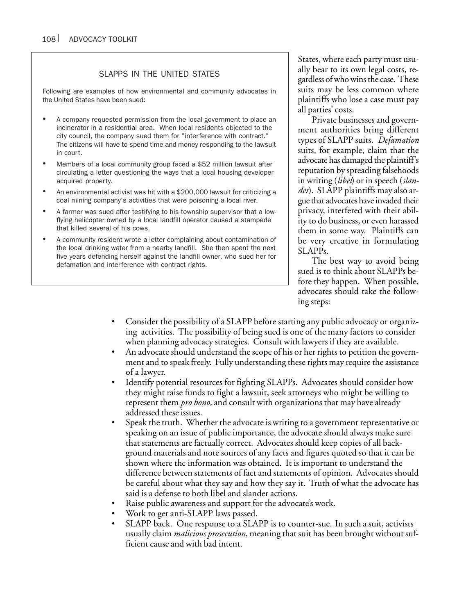## SLAPPS IN THE UNITED STATES

Following are examples of how environmental and community advocates in the United States have been sued:

- A company requested permission from the local government to place an incinerator in a residential area. When local residents objected to the city council, the company sued them for "interference with contract." The citizens will have to spend time and money responding to the lawsuit in court.
- Members of a local community group faced a \$52 million lawsuit after circulating a letter questioning the ways that a local housing developer acquired property.
- An environmental activist was hit with a \$200,000 lawsuit for criticizing a coal mining company's activities that were poisoning a local river.
- A farmer was sued after testifying to his township supervisor that a lowflying helicopter owned by a local landfill operator caused a stampede that killed several of his cows.
- A community resident wrote a letter complaining about contamination of the local drinking water from a nearby landfill. She then spent the next five years defending herself against the landfill owner, who sued her for defamation and interference with contract rights.

States, where each party must usually bear to its own legal costs, regardless of who wins the case. These suits may be less common where plaintiffs who lose a case must pay all parties' costs.

Private businesses and government authorities bring different types of SLAPP suits. *Defamation* suits, for example, claim that the advocate has damaged the plaintiff's reputation by spreading falsehoods in writing (*libel*) or in speech (*slander*). SLAPP plaintiffs may also argue that advocates have invaded their privacy, interfered with their ability to do business, or even harassed them in some way. Plaintiffs can be very creative in formulating SLAPPs.

The best way to avoid being sued is to think about SLAPPs before they happen. When possible, advocates should take the following steps:

- Consider the possibility of a SLAPP before starting any public advocacy or organizing activities. The possibility of being sued is one of the many factors to consider when planning advocacy strategies. Consult with lawyers if they are available.
- An advocate should understand the scope of his or her rights to petition the government and to speak freely. Fully understanding these rights may require the assistance of a lawyer.
- Identify potential resources for fighting SLAPPs. Advocates should consider how they might raise funds to fight a lawsuit, seek attorneys who might be willing to represent them *pro bono,* and consult with organizations that may have already addressed these issues.
- Speak the truth. Whether the advocate is writing to a government representative or speaking on an issue of public importance, the advocate should always make sure that statements are factually correct. Advocates should keep copies of all background materials and note sources of any facts and figures quoted so that it can be shown where the information was obtained. It is important to understand the difference between statements of fact and statements of opinion. Advocates should be careful about what they say and how they say it. Truth of what the advocate has said is a defense to both libel and slander actions.
- Raise public awareness and support for the advocate's work.
- Work to get anti-SLAPP laws passed.
- SLAPP back. One response to a SLAPP is to counter-sue. In such a suit, activists usually claim *malicious prosecution*, meaning that suit has been brought without sufficient cause and with bad intent.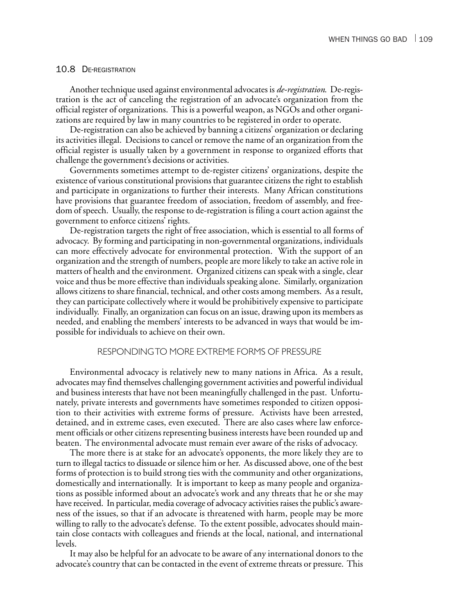#### 10.8 DE-REGISTRATION

Another technique used against environmental advocates is *de-registration*. De-registration is the act of canceling the registration of an advocate's organization from the official register of organizations. This is a powerful weapon, as NGOs and other organizations are required by law in many countries to be registered in order to operate.

De-registration can also be achieved by banning a citizens' organization or declaring its activities illegal. Decisions to cancel or remove the name of an organization from the official register is usually taken by a government in response to organized efforts that challenge the government's decisions or activities.

Governments sometimes attempt to de-register citizens' organizations, despite the existence of various constitutional provisions that guarantee citizens the right to establish and participate in organizations to further their interests. Many African constitutions have provisions that guarantee freedom of association, freedom of assembly, and freedom of speech. Usually, the response to de-registration is filing a court action against the government to enforce citizens' rights.

De-registration targets the right of free association, which is essential to all forms of advocacy. By forming and participating in non-governmental organizations, individuals can more effectively advocate for environmental protection. With the support of an organization and the strength of numbers, people are more likely to take an active role in matters of health and the environment. Organized citizens can speak with a single, clear voice and thus be more effective than individuals speaking alone. Similarly, organization allows citizens to share financial, technical, and other costs among members. As a result, they can participate collectively where it would be prohibitively expensive to participate individually. Finally, an organization can focus on an issue, drawing upon its members as needed, and enabling the members' interests to be advanced in ways that would be impossible for individuals to achieve on their own.

### RESPONDING TO MORE EXTREME FORMS OF PRESSURE

Environmental advocacy is relatively new to many nations in Africa. As a result, advocates may find themselves challenging government activities and powerful individual and business interests that have not been meaningfully challenged in the past. Unfortunately, private interests and governments have sometimes responded to citizen opposition to their activities with extreme forms of pressure. Activists have been arrested, detained, and in extreme cases, even executed. There are also cases where law enforcement officials or other citizens representing business interests have been rounded up and beaten. The environmental advocate must remain ever aware of the risks of advocacy.

The more there is at stake for an advocate's opponents, the more likely they are to turn to illegal tactics to dissuade or silence him or her. As discussed above, one of the best forms of protection is to build strong ties with the community and other organizations, domestically and internationally. It is important to keep as many people and organizations as possible informed about an advocate's work and any threats that he or she may have received. In particular, media coverage of advocacy activities raises the public's awareness of the issues, so that if an advocate is threatened with harm, people may be more willing to rally to the advocate's defense. To the extent possible, advocates should maintain close contacts with colleagues and friends at the local, national, and international levels.

It may also be helpful for an advocate to be aware of any international donors to the advocate's country that can be contacted in the event of extreme threats or pressure. This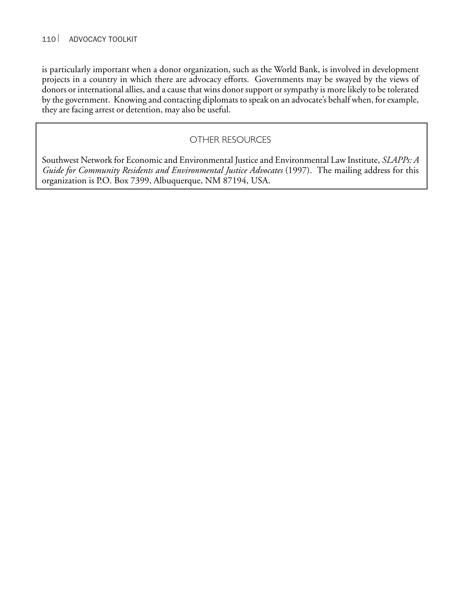is particularly important when a donor organization, such as the World Bank, is involved in development projects in a country in which there are advocacy efforts. Governments may be swayed by the views of donors or international allies, and a cause that wins donor support or sympathy is more likely to be tolerated by the government. Knowing and contacting diplomats to speak on an advocate's behalf when, for example, they are facing arrest or detention, may also be useful.

## OTHER RESOURCES

Southwest Network for Economic and Environmental Justice and Environmental Law Institute, *SLAPPs: A Guide for Community Residents and Environmental Justice Advocates* (1997). The mailing address for this organization is P.O. Box 7399, Albuquerque, NM 87194, USA.